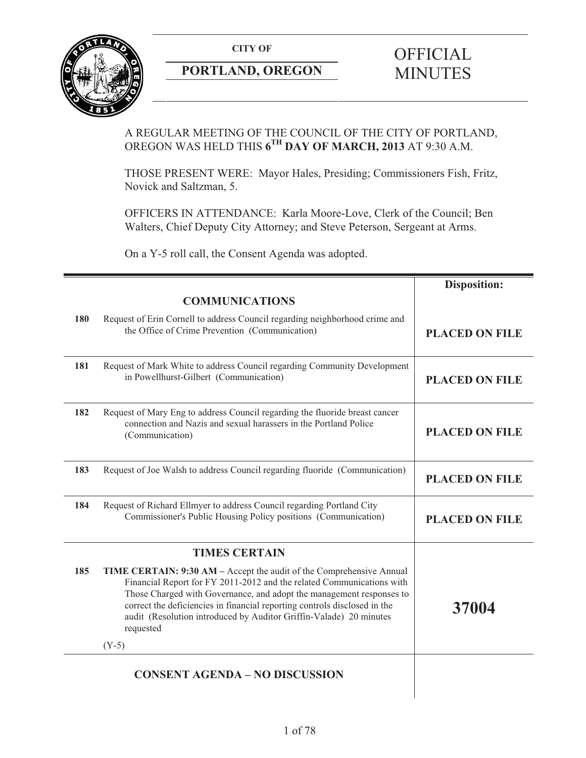**CITY OF** 



## **PORTLAND, OREGON**

# **OFFICIAL** MINUTES

## A REGULAR MEETING OF THE COUNCIL OF THE CITY OF PORTLAND, OREGON WAS HELD THIS **6TH DAY OF MARCH, 2013** AT 9:30 A.M.

THOSE PRESENT WERE: Mayor Hales, Presiding; Commissioners Fish, Fritz, Novick and Saltzman, 5.

OFFICERS IN ATTENDANCE: Karla Moore-Love, Clerk of the Council; Ben Walters, Chief Deputy City Attorney; and Steve Peterson, Sergeant at Arms.

On a Y-5 roll call, the Consent Agenda was adopted.

|     |                                                                                                                                                                                                                                                                                                                                                                                                  | <b>Disposition:</b>   |
|-----|--------------------------------------------------------------------------------------------------------------------------------------------------------------------------------------------------------------------------------------------------------------------------------------------------------------------------------------------------------------------------------------------------|-----------------------|
|     | <b>COMMUNICATIONS</b>                                                                                                                                                                                                                                                                                                                                                                            |                       |
| 180 | Request of Erin Cornell to address Council regarding neighborhood crime and<br>the Office of Crime Prevention (Communication)                                                                                                                                                                                                                                                                    | <b>PLACED ON FILE</b> |
| 181 | Request of Mark White to address Council regarding Community Development<br>in Powellhurst-Gilbert (Communication)                                                                                                                                                                                                                                                                               | <b>PLACED ON FILE</b> |
| 182 | Request of Mary Eng to address Council regarding the fluoride breast cancer<br>connection and Nazis and sexual harassers in the Portland Police<br>(Communication)                                                                                                                                                                                                                               | <b>PLACED ON FILE</b> |
| 183 | Request of Joe Walsh to address Council regarding fluoride (Communication)                                                                                                                                                                                                                                                                                                                       | <b>PLACED ON FILE</b> |
| 184 | Request of Richard Ellmyer to address Council regarding Portland City<br>Commissioner's Public Housing Policy positions (Communication)                                                                                                                                                                                                                                                          | <b>PLACED ON FILE</b> |
|     | <b>TIMES CERTAIN</b>                                                                                                                                                                                                                                                                                                                                                                             |                       |
| 185 | TIME CERTAIN: 9:30 AM – Accept the audit of the Comprehensive Annual<br>Financial Report for FY 2011-2012 and the related Communications with<br>Those Charged with Governance, and adopt the management responses to<br>correct the deficiencies in financial reporting controls disclosed in the<br>audit (Resolution introduced by Auditor Griffin-Valade) 20 minutes<br>requested<br>$(Y-5)$ | 37004                 |
|     |                                                                                                                                                                                                                                                                                                                                                                                                  |                       |
|     | <b>CONSENT AGENDA - NO DISCUSSION</b>                                                                                                                                                                                                                                                                                                                                                            |                       |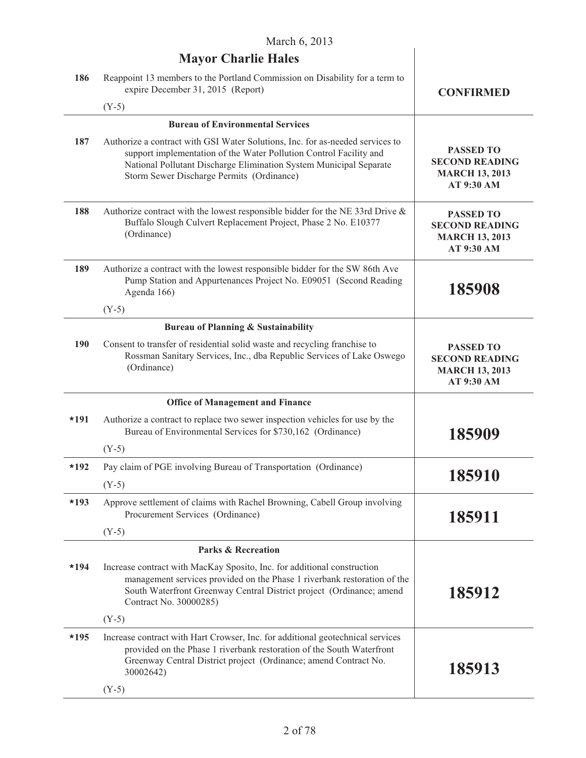$\overline{\phantom{a}}$ 

|        | <b>Mayor Charlie Hales</b>                                                                                                                                                                                                                                             |                                                                                  |
|--------|------------------------------------------------------------------------------------------------------------------------------------------------------------------------------------------------------------------------------------------------------------------------|----------------------------------------------------------------------------------|
| 186    | Reappoint 13 members to the Portland Commission on Disability for a term to<br>expire December 31, 2015 (Report)                                                                                                                                                       | <b>CONFIRMED</b>                                                                 |
|        | $(Y-5)$                                                                                                                                                                                                                                                                |                                                                                  |
|        | <b>Bureau of Environmental Services</b>                                                                                                                                                                                                                                |                                                                                  |
| 187    | Authorize a contract with GSI Water Solutions, Inc. for as-needed services to<br>support implementation of the Water Pollution Control Facility and<br>National Pollutant Discharge Elimination System Municipal Separate<br>Storm Sewer Discharge Permits (Ordinance) | <b>PASSED TO</b><br><b>SECOND READING</b><br><b>MARCH 13, 2013</b><br>AT 9:30 AM |
| 188    | Authorize contract with the lowest responsible bidder for the NE 33rd Drive &<br>Buffalo Slough Culvert Replacement Project, Phase 2 No. E10377<br>(Ordinance)                                                                                                         | <b>PASSED TO</b><br><b>SECOND READING</b><br><b>MARCH 13, 2013</b><br>AT 9:30 AM |
| 189    | Authorize a contract with the lowest responsible bidder for the SW 86th Ave<br>Pump Station and Appurtenances Project No. E09051 (Second Reading<br>Agenda 166)                                                                                                        | 185908                                                                           |
|        | $(Y-5)$                                                                                                                                                                                                                                                                |                                                                                  |
|        | <b>Bureau of Planning &amp; Sustainability</b>                                                                                                                                                                                                                         |                                                                                  |
| 190    | Consent to transfer of residential solid waste and recycling franchise to<br>Rossman Sanitary Services, Inc., dba Republic Services of Lake Oswego<br>(Ordinance)                                                                                                      | <b>PASSED TO</b><br><b>SECOND READING</b><br><b>MARCH 13, 2013</b><br>AT 9:30 AM |
|        | <b>Office of Management and Finance</b>                                                                                                                                                                                                                                |                                                                                  |
| $*191$ | Authorize a contract to replace two sewer inspection vehicles for use by the<br>Bureau of Environmental Services for \$730,162 (Ordinance)                                                                                                                             | 185909                                                                           |
|        | $(Y-5)$                                                                                                                                                                                                                                                                |                                                                                  |
| $*192$ | Pay claim of PGE involving Bureau of Transportation (Ordinance)                                                                                                                                                                                                        |                                                                                  |
|        | $(Y-5)$                                                                                                                                                                                                                                                                | 185910                                                                           |
| $*193$ | Approve settlement of claims with Rachel Browning, Cabell Group involving<br>Procurement Services (Ordinance)                                                                                                                                                          | 185911                                                                           |
|        | $(Y-5)$                                                                                                                                                                                                                                                                |                                                                                  |
|        | <b>Parks &amp; Recreation</b>                                                                                                                                                                                                                                          |                                                                                  |
| $*194$ | Increase contract with MacKay Sposito, Inc. for additional construction<br>management services provided on the Phase 1 riverbank restoration of the<br>South Waterfront Greenway Central District project (Ordinance; amend<br>Contract No. 30000285)                  | 185912                                                                           |
|        | $(Y-5)$                                                                                                                                                                                                                                                                |                                                                                  |
| $*195$ | Increase contract with Hart Crowser, Inc. for additional geotechnical services<br>provided on the Phase 1 riverbank restoration of the South Waterfront<br>Greenway Central District project (Ordinance; amend Contract No.<br>30002642)                               | 185913                                                                           |
|        | $(Y-5)$                                                                                                                                                                                                                                                                |                                                                                  |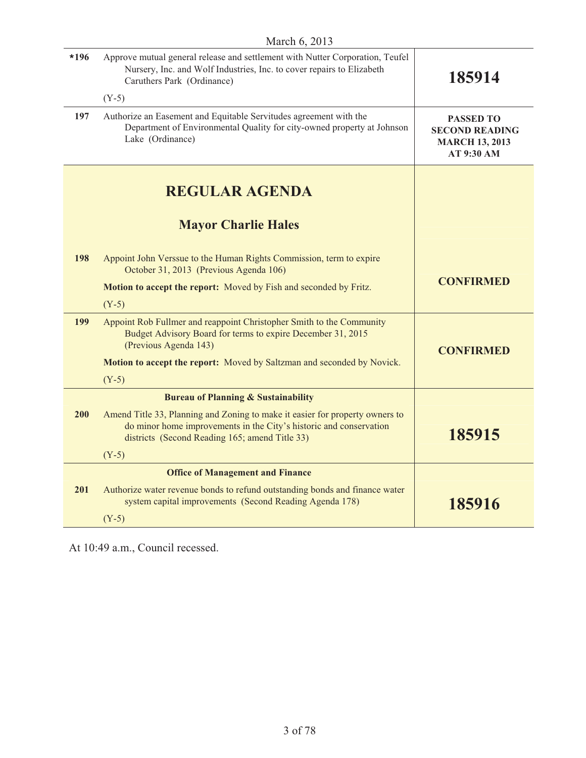| $*196$ | Approve mutual general release and settlement with Nutter Corporation, Teufel<br>Nursery, Inc. and Wolf Industries, Inc. to cover repairs to Elizabeth<br>Caruthers Park (Ordinance)                 | 185914                                                                           |
|--------|------------------------------------------------------------------------------------------------------------------------------------------------------------------------------------------------------|----------------------------------------------------------------------------------|
|        | $(Y-5)$                                                                                                                                                                                              |                                                                                  |
| 197    | Authorize an Easement and Equitable Servitudes agreement with the<br>Department of Environmental Quality for city-owned property at Johnson<br>Lake (Ordinance)                                      | <b>PASSED TO</b><br><b>SECOND READING</b><br><b>MARCH 13, 2013</b><br>AT 9:30 AM |
|        | <b>REGULAR AGENDA</b>                                                                                                                                                                                |                                                                                  |
|        | <b>Mayor Charlie Hales</b>                                                                                                                                                                           |                                                                                  |
| 198    | Appoint John Verssue to the Human Rights Commission, term to expire<br>October 31, 2013 (Previous Agenda 106)                                                                                        |                                                                                  |
|        | Motion to accept the report: Moved by Fish and seconded by Fritz.                                                                                                                                    | <b>CONFIRMED</b>                                                                 |
|        | $(Y-5)$                                                                                                                                                                                              |                                                                                  |
| 199    | Appoint Rob Fullmer and reappoint Christopher Smith to the Community<br>Budget Advisory Board for terms to expire December 31, 2015<br>(Previous Agenda 143)                                         | <b>CONFIRMED</b>                                                                 |
|        | Motion to accept the report: Moved by Saltzman and seconded by Novick.                                                                                                                               |                                                                                  |
|        | $(Y-5)$                                                                                                                                                                                              |                                                                                  |
|        | <b>Bureau of Planning &amp; Sustainability</b>                                                                                                                                                       |                                                                                  |
| 200    | Amend Title 33, Planning and Zoning to make it easier for property owners to<br>do minor home improvements in the City's historic and conservation<br>districts (Second Reading 165; amend Title 33) | 185915                                                                           |
|        | $(Y-5)$                                                                                                                                                                                              |                                                                                  |
|        | <b>Office of Management and Finance</b>                                                                                                                                                              |                                                                                  |
| 201    | Authorize water revenue bonds to refund outstanding bonds and finance water<br>system capital improvements (Second Reading Agenda 178)                                                               | 185916                                                                           |
|        | $(Y-5)$                                                                                                                                                                                              |                                                                                  |

At 10:49 a.m., Council recessed.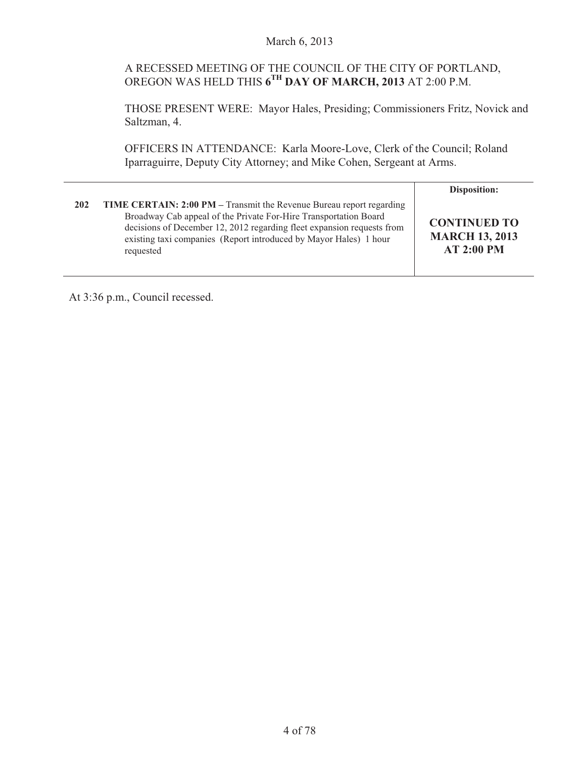## A RECESSED MEETING OF THE COUNCIL OF THE CITY OF PORTLAND, OREGON WAS HELD THIS **6TH DAY OF MARCH, 2013** AT 2:00 P.M.

THOSE PRESENT WERE: Mayor Hales, Presiding; Commissioners Fritz, Novick and Saltzman, 4.

OFFICERS IN ATTENDANCE: Karla Moore-Love, Clerk of the Council; Roland Iparraguirre, Deputy City Attorney; and Mike Cohen, Sergeant at Arms.

|     |                                                                                                                                                                                                                                                                                                             | <b>Disposition:</b>                                               |
|-----|-------------------------------------------------------------------------------------------------------------------------------------------------------------------------------------------------------------------------------------------------------------------------------------------------------------|-------------------------------------------------------------------|
| 202 | <b>TIME CERTAIN: 2:00 PM – Transmit the Revenue Bureau report regarding</b><br>Broadway Cab appeal of the Private For-Hire Transportation Board<br>decisions of December 12, 2012 regarding fleet expansion requests from<br>existing taxi companies (Report introduced by Mayor Hales) 1 hour<br>requested | <b>CONTINUED TO</b><br><b>MARCH 13, 2013</b><br><b>AT 2:00 PM</b> |

At 3:36 p.m., Council recessed.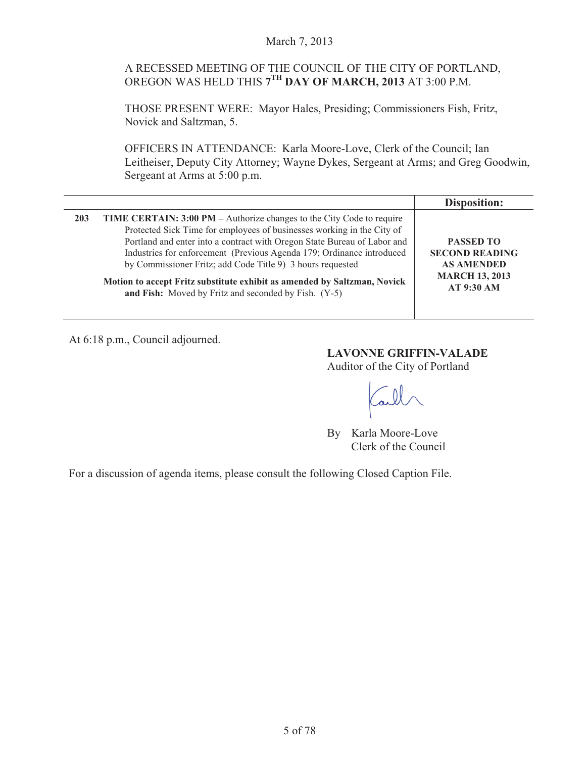#### March 7, 2013

## A RECESSED MEETING OF THE COUNCIL OF THE CITY OF PORTLAND, OREGON WAS HELD THIS **7TH DAY OF MARCH, 2013** AT 3:00 P.M.

THOSE PRESENT WERE: Mayor Hales, Presiding; Commissioners Fish, Fritz, Novick and Saltzman, 5.

OFFICERS IN ATTENDANCE: Karla Moore-Love, Clerk of the Council; Ian Leitheiser, Deputy City Attorney; Wayne Dykes, Sergeant at Arms; and Greg Goodwin, Sergeant at Arms at 5:00 p.m.

|                                                                                                                                                                                                                                                                                                                                                                                                                                                                                                                      | <b>Disposition:</b>                                                                                   |
|----------------------------------------------------------------------------------------------------------------------------------------------------------------------------------------------------------------------------------------------------------------------------------------------------------------------------------------------------------------------------------------------------------------------------------------------------------------------------------------------------------------------|-------------------------------------------------------------------------------------------------------|
| <b>TIME CERTAIN: 3:00 PM</b> – Authorize changes to the City Code to require<br>203<br>Protected Sick Time for employees of businesses working in the City of<br>Portland and enter into a contract with Oregon State Bureau of Labor and<br>Industries for enforcement (Previous Agenda 179; Ordinance introduced<br>by Commissioner Fritz; add Code Title 9) 3 hours requested<br>Motion to accept Fritz substitute exhibit as amended by Saltzman, Novick<br>and Fish: Moved by Fritz and seconded by Fish. (Y-5) | <b>PASSED TO</b><br><b>SECOND READING</b><br><b>AS AMENDED</b><br><b>MARCH 13, 2013</b><br>AT 9:30 AM |

At 6:18 p.m., Council adjourned.

**LAVONNE GRIFFIN-VALADE**  Auditor of the City of Portland

By Karla Moore-Love Clerk of the Council

For a discussion of agenda items, please consult the following Closed Caption File.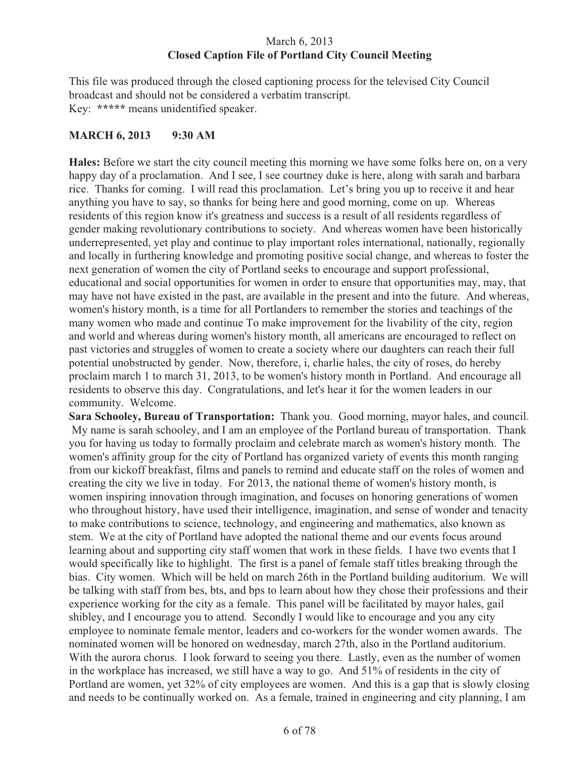## March 6, 2013 **Closed Caption File of Portland City Council Meeting**

This file was produced through the closed captioning process for the televised City Council broadcast and should not be considered a verbatim transcript. Key: **\*\*\*\*\*** means unidentified speaker.

#### **MARCH 6, 2013 9:30 AM**

**Hales:** Before we start the city council meeting this morning we have some folks here on, on a very happy day of a proclamation. And I see, I see courtney duke is here, along with sarah and barbara rice. Thanks for coming. I will read this proclamation. Let's bring you up to receive it and hear anything you have to say, so thanks for being here and good morning, come on up. Whereas residents of this region know it's greatness and success is a result of all residents regardless of gender making revolutionary contributions to society. And whereas women have been historically underrepresented, yet play and continue to play important roles international, nationally, regionally and locally in furthering knowledge and promoting positive social change, and whereas to foster the next generation of women the city of Portland seeks to encourage and support professional, educational and social opportunities for women in order to ensure that opportunities may, may, that may have not have existed in the past, are available in the present and into the future. And whereas, women's history month, is a time for all Portlanders to remember the stories and teachings of the many women who made and continue To make improvement for the livability of the city, region and world and whereas during women's history month, all americans are encouraged to reflect on past victories and struggles of women to create a society where our daughters can reach their full potential unobstructed by gender. Now, therefore, i, charlie hales, the city of roses, do hereby proclaim march 1 to march 31, 2013, to be women's history month in Portland. And encourage all residents to observe this day. Congratulations, and let's hear it for the women leaders in our community. Welcome.

**Sara Schooley, Bureau of Transportation:** Thank you. Good morning, mayor hales, and council. My name is sarah schooley, and I am an employee of the Portland bureau of transportation. Thank you for having us today to formally proclaim and celebrate march as women's history month. The women's affinity group for the city of Portland has organized variety of events this month ranging from our kickoff breakfast, films and panels to remind and educate staff on the roles of women and creating the city we live in today. For 2013, the national theme of women's history month, is women inspiring innovation through imagination, and focuses on honoring generations of women who throughout history, have used their intelligence, imagination, and sense of wonder and tenacity to make contributions to science, technology, and engineering and mathematics, also known as stem. We at the city of Portland have adopted the national theme and our events focus around learning about and supporting city staff women that work in these fields. I have two events that I would specifically like to highlight. The first is a panel of female staff titles breaking through the bias. City women. Which will be held on march 26th in the Portland building auditorium. We will be talking with staff from bes, bts, and bps to learn about how they chose their professions and their experience working for the city as a female. This panel will be facilitated by mayor hales, gail shibley, and I encourage you to attend. Secondly I would like to encourage and you any city employee to nominate female mentor, leaders and co-workers for the wonder women awards. The nominated women will be honored on wednesday, march 27th, also in the Portland auditorium. With the aurora chorus. I look forward to seeing you there. Lastly, even as the number of women in the workplace has increased, we still have a way to go. And 51% of residents in the city of Portland are women, yet 32% of city employees are women. And this is a gap that is slowly closing and needs to be continually worked on. As a female, trained in engineering and city planning, I am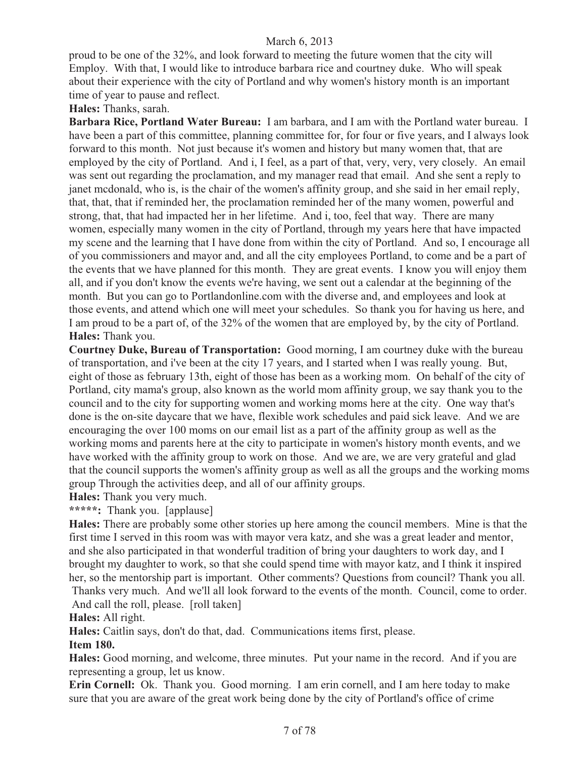proud to be one of the 32%, and look forward to meeting the future women that the city will Employ. With that, I would like to introduce barbara rice and courtney duke. Who will speak about their experience with the city of Portland and why women's history month is an important time of year to pause and reflect.

**Hales:** Thanks, sarah.

**Barbara Rice, Portland Water Bureau:** I am barbara, and I am with the Portland water bureau. I have been a part of this committee, planning committee for, for four or five years, and I always look forward to this month. Not just because it's women and history but many women that, that are employed by the city of Portland. And i, I feel, as a part of that, very, very, very closely. An email was sent out regarding the proclamation, and my manager read that email. And she sent a reply to janet mcdonald, who is, is the chair of the women's affinity group, and she said in her email reply, that, that, that if reminded her, the proclamation reminded her of the many women, powerful and strong, that, that had impacted her in her lifetime. And i, too, feel that way. There are many women, especially many women in the city of Portland, through my years here that have impacted my scene and the learning that I have done from within the city of Portland. And so, I encourage all of you commissioners and mayor and, and all the city employees Portland, to come and be a part of the events that we have planned for this month. They are great events. I know you will enjoy them all, and if you don't know the events we're having, we sent out a calendar at the beginning of the month. But you can go to Portlandonline.com with the diverse and, and employees and look at those events, and attend which one will meet your schedules. So thank you for having us here, and I am proud to be a part of, of the 32% of the women that are employed by, by the city of Portland. **Hales:** Thank you.

**Courtney Duke, Bureau of Transportation:** Good morning, I am courtney duke with the bureau of transportation, and i've been at the city 17 years, and I started when I was really young. But, eight of those as february 13th, eight of those has been as a working mom. On behalf of the city of Portland, city mama's group, also known as the world mom affinity group, we say thank you to the council and to the city for supporting women and working moms here at the city. One way that's done is the on-site daycare that we have, flexible work schedules and paid sick leave. And we are encouraging the over 100 moms on our email list as a part of the affinity group as well as the working moms and parents here at the city to participate in women's history month events, and we have worked with the affinity group to work on those. And we are, we are very grateful and glad that the council supports the women's affinity group as well as all the groups and the working moms group Through the activities deep, and all of our affinity groups.

**Hales:** Thank you very much.

**\*\*\*\*\*:** Thank you. [applause]

**Hales:** There are probably some other stories up here among the council members. Mine is that the first time I served in this room was with mayor vera katz, and she was a great leader and mentor, and she also participated in that wonderful tradition of bring your daughters to work day, and I brought my daughter to work, so that she could spend time with mayor katz, and I think it inspired her, so the mentorship part is important. Other comments? Questions from council? Thank you all.

 Thanks very much. And we'll all look forward to the events of the month. Council, come to order. And call the roll, please. [roll taken]

**Hales:** All right.

**Hales:** Caitlin says, don't do that, dad. Communications items first, please.

#### **Item 180.**

**Hales:** Good morning, and welcome, three minutes. Put your name in the record. And if you are representing a group, let us know.

**Erin Cornell:** Ok. Thank you. Good morning. I am erin cornell, and I am here today to make sure that you are aware of the great work being done by the city of Portland's office of crime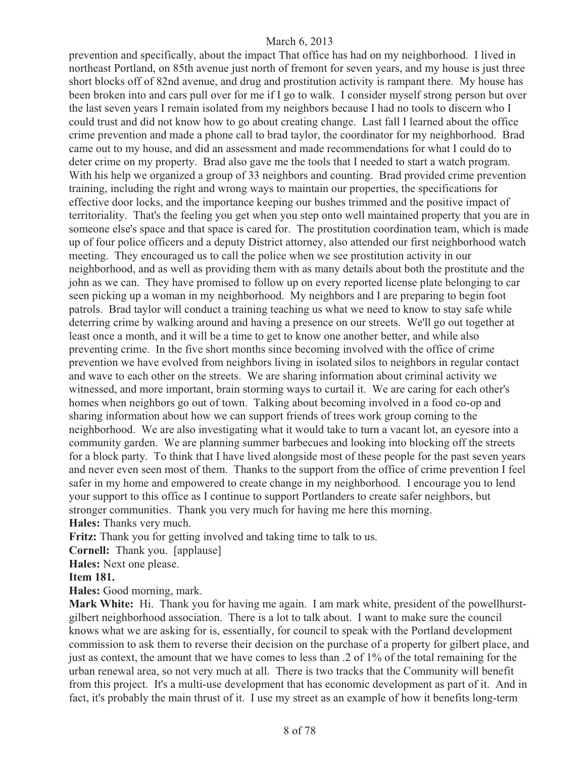prevention and specifically, about the impact That office has had on my neighborhood. I lived in northeast Portland, on 85th avenue just north of fremont for seven years, and my house is just three short blocks off of 82nd avenue, and drug and prostitution activity is rampant there. My house has been broken into and cars pull over for me if I go to walk. I consider myself strong person but over the last seven years I remain isolated from my neighbors because I had no tools to discern who I could trust and did not know how to go about creating change. Last fall I learned about the office crime prevention and made a phone call to brad taylor, the coordinator for my neighborhood. Brad came out to my house, and did an assessment and made recommendations for what I could do to deter crime on my property. Brad also gave me the tools that I needed to start a watch program. With his help we organized a group of 33 neighbors and counting. Brad provided crime prevention training, including the right and wrong ways to maintain our properties, the specifications for effective door locks, and the importance keeping our bushes trimmed and the positive impact of territoriality. That's the feeling you get when you step onto well maintained property that you are in someone else's space and that space is cared for. The prostitution coordination team, which is made up of four police officers and a deputy District attorney, also attended our first neighborhood watch meeting. They encouraged us to call the police when we see prostitution activity in our neighborhood, and as well as providing them with as many details about both the prostitute and the john as we can. They have promised to follow up on every reported license plate belonging to car seen picking up a woman in my neighborhood. My neighbors and I are preparing to begin foot patrols. Brad taylor will conduct a training teaching us what we need to know to stay safe while deterring crime by walking around and having a presence on our streets. We'll go out together at least once a month, and it will be a time to get to know one another better, and while also preventing crime. In the five short months since becoming involved with the office of crime prevention we have evolved from neighbors living in isolated silos to neighbors in regular contact and wave to each other on the streets. We are sharing information about criminal activity we witnessed, and more important, brain storming ways to curtail it. We are caring for each other's homes when neighbors go out of town. Talking about becoming involved in a food co-op and sharing information about how we can support friends of trees work group coming to the neighborhood. We are also investigating what it would take to turn a vacant lot, an eyesore into a community garden. We are planning summer barbecues and looking into blocking off the streets for a block party. To think that I have lived alongside most of these people for the past seven years and never even seen most of them. Thanks to the support from the office of crime prevention I feel safer in my home and empowered to create change in my neighborhood. I encourage you to lend your support to this office as I continue to support Portlanders to create safer neighbors, but stronger communities. Thank you very much for having me here this morning. **Hales:** Thanks very much.

**Fritz:** Thank you for getting involved and taking time to talk to us.

**Cornell:** Thank you. [applause]

**Hales:** Next one please.

#### **Item 181.**

**Hales:** Good morning, mark.

**Mark White:** Hi. Thank you for having me again. I am mark white, president of the powellhurstgilbert neighborhood association. There is a lot to talk about. I want to make sure the council knows what we are asking for is, essentially, for council to speak with the Portland development commission to ask them to reverse their decision on the purchase of a property for gilbert place, and just as context, the amount that we have comes to less than .2 of 1% of the total remaining for the urban renewal area, so not very much at all. There is two tracks that the Community will benefit from this project. It's a multi-use development that has economic development as part of it. And in fact, it's probably the main thrust of it. I use my street as an example of how it benefits long-term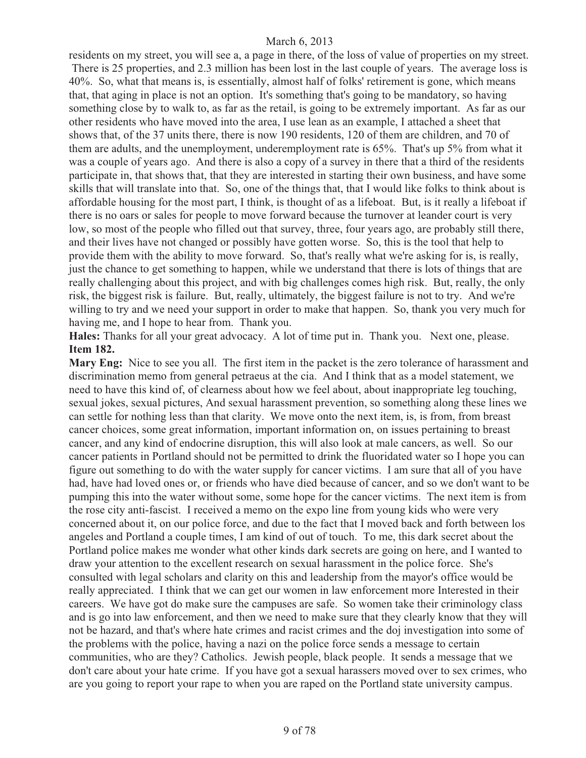residents on my street, you will see a, a page in there, of the loss of value of properties on my street. There is 25 properties, and 2.3 million has been lost in the last couple of years. The average loss is 40%. So, what that means is, is essentially, almost half of folks' retirement is gone, which means that, that aging in place is not an option. It's something that's going to be mandatory, so having something close by to walk to, as far as the retail, is going to be extremely important. As far as our other residents who have moved into the area, I use lean as an example, I attached a sheet that shows that, of the 37 units there, there is now 190 residents, 120 of them are children, and 70 of them are adults, and the unemployment, underemployment rate is 65%. That's up 5% from what it was a couple of years ago. And there is also a copy of a survey in there that a third of the residents participate in, that shows that, that they are interested in starting their own business, and have some skills that will translate into that. So, one of the things that, that I would like folks to think about is affordable housing for the most part, I think, is thought of as a lifeboat. But, is it really a lifeboat if there is no oars or sales for people to move forward because the turnover at leander court is very low, so most of the people who filled out that survey, three, four years ago, are probably still there, and their lives have not changed or possibly have gotten worse. So, this is the tool that help to provide them with the ability to move forward. So, that's really what we're asking for is, is really, just the chance to get something to happen, while we understand that there is lots of things that are really challenging about this project, and with big challenges comes high risk. But, really, the only risk, the biggest risk is failure. But, really, ultimately, the biggest failure is not to try. And we're willing to try and we need your support in order to make that happen. So, thank you very much for having me, and I hope to hear from. Thank you.

**Hales:** Thanks for all your great advocacy. A lot of time put in. Thank you. Next one, please. **Item 182.** 

**Mary Eng:** Nice to see you all. The first item in the packet is the zero tolerance of harassment and discrimination memo from general petraeus at the cia. And I think that as a model statement, we need to have this kind of, of clearness about how we feel about, about inappropriate leg touching, sexual jokes, sexual pictures, And sexual harassment prevention, so something along these lines we can settle for nothing less than that clarity. We move onto the next item, is, is from, from breast cancer choices, some great information, important information on, on issues pertaining to breast cancer, and any kind of endocrine disruption, this will also look at male cancers, as well. So our cancer patients in Portland should not be permitted to drink the fluoridated water so I hope you can figure out something to do with the water supply for cancer victims. I am sure that all of you have had, have had loved ones or, or friends who have died because of cancer, and so we don't want to be pumping this into the water without some, some hope for the cancer victims. The next item is from the rose city anti-fascist. I received a memo on the expo line from young kids who were very concerned about it, on our police force, and due to the fact that I moved back and forth between los angeles and Portland a couple times, I am kind of out of touch. To me, this dark secret about the Portland police makes me wonder what other kinds dark secrets are going on here, and I wanted to draw your attention to the excellent research on sexual harassment in the police force. She's consulted with legal scholars and clarity on this and leadership from the mayor's office would be really appreciated. I think that we can get our women in law enforcement more Interested in their careers. We have got do make sure the campuses are safe. So women take their criminology class and is go into law enforcement, and then we need to make sure that they clearly know that they will not be hazard, and that's where hate crimes and racist crimes and the doj investigation into some of the problems with the police, having a nazi on the police force sends a message to certain communities, who are they? Catholics. Jewish people, black people. It sends a message that we don't care about your hate crime. If you have got a sexual harassers moved over to sex crimes, who are you going to report your rape to when you are raped on the Portland state university campus.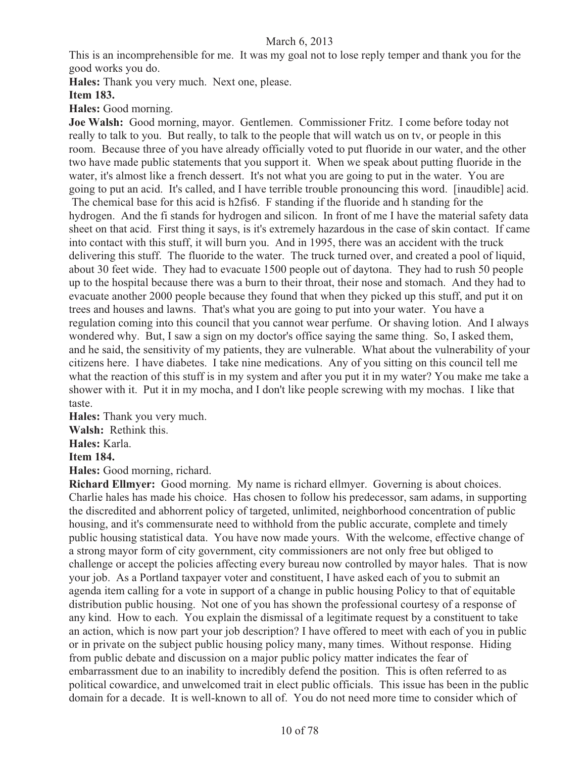This is an incomprehensible for me. It was my goal not to lose reply temper and thank you for the good works you do.

**Hales:** Thank you very much. Next one, please.

#### **Item 183.**

**Hales:** Good morning.

**Joe Walsh:** Good morning, mayor. Gentlemen. Commissioner Fritz. I come before today not really to talk to you. But really, to talk to the people that will watch us on tv, or people in this room. Because three of you have already officially voted to put fluoride in our water, and the other two have made public statements that you support it. When we speak about putting fluoride in the water, it's almost like a french dessert. It's not what you are going to put in the water. You are going to put an acid. It's called, and I have terrible trouble pronouncing this word. [inaudible] acid. The chemical base for this acid is h2fis6. F standing if the fluoride and h standing for the hydrogen. And the fi stands for hydrogen and silicon. In front of me I have the material safety data sheet on that acid. First thing it says, is it's extremely hazardous in the case of skin contact. If came into contact with this stuff, it will burn you. And in 1995, there was an accident with the truck delivering this stuff. The fluoride to the water. The truck turned over, and created a pool of liquid, about 30 feet wide. They had to evacuate 1500 people out of daytona. They had to rush 50 people up to the hospital because there was a burn to their throat, their nose and stomach. And they had to evacuate another 2000 people because they found that when they picked up this stuff, and put it on trees and houses and lawns. That's what you are going to put into your water. You have a regulation coming into this council that you cannot wear perfume. Or shaving lotion. And I always wondered why. But, I saw a sign on my doctor's office saying the same thing. So, I asked them, and he said, the sensitivity of my patients, they are vulnerable. What about the vulnerability of your citizens here. I have diabetes. I take nine medications. Any of you sitting on this council tell me what the reaction of this stuff is in my system and after you put it in my water? You make me take a shower with it. Put it in my mocha, and I don't like people screwing with my mochas. I like that taste.

**Hales:** Thank you very much.

**Walsh:** Rethink this.

**Hales:** Karla.

#### **Item 184.**

**Hales:** Good morning, richard.

**Richard Ellmyer:** Good morning. My name is richard ellmyer. Governing is about choices. Charlie hales has made his choice. Has chosen to follow his predecessor, sam adams, in supporting the discredited and abhorrent policy of targeted, unlimited, neighborhood concentration of public housing, and it's commensurate need to withhold from the public accurate, complete and timely public housing statistical data. You have now made yours. With the welcome, effective change of a strong mayor form of city government, city commissioners are not only free but obliged to challenge or accept the policies affecting every bureau now controlled by mayor hales. That is now your job. As a Portland taxpayer voter and constituent, I have asked each of you to submit an agenda item calling for a vote in support of a change in public housing Policy to that of equitable distribution public housing. Not one of you has shown the professional courtesy of a response of any kind. How to each. You explain the dismissal of a legitimate request by a constituent to take an action, which is now part your job description? I have offered to meet with each of you in public or in private on the subject public housing policy many, many times. Without response. Hiding from public debate and discussion on a major public policy matter indicates the fear of embarrassment due to an inability to incredibly defend the position. This is often referred to as political cowardice, and unwelcomed trait in elect public officials. This issue has been in the public domain for a decade. It is well-known to all of. You do not need more time to consider which of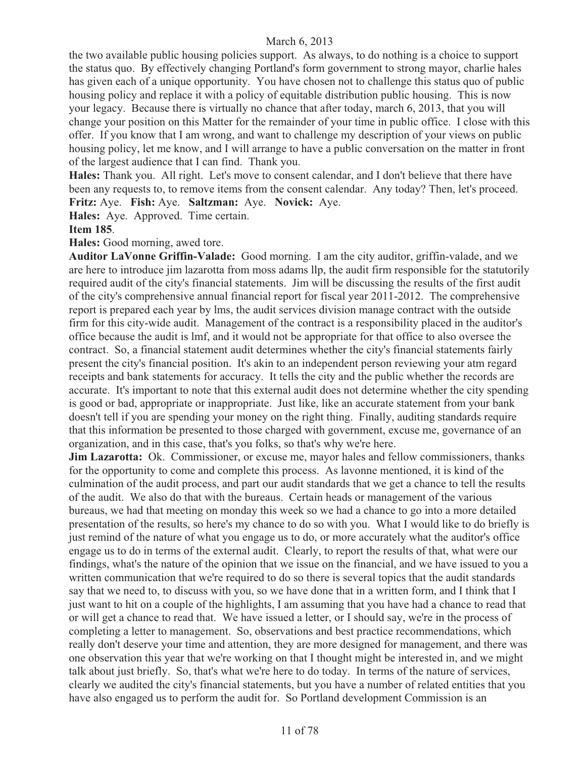the two available public housing policies support. As always, to do nothing is a choice to support the status quo. By effectively changing Portland's form government to strong mayor, charlie hales has given each of a unique opportunity. You have chosen not to challenge this status quo of public housing policy and replace it with a policy of equitable distribution public housing. This is now your legacy. Because there is virtually no chance that after today, march 6, 2013, that you will change your position on this Matter for the remainder of your time in public office. I close with this offer. If you know that I am wrong, and want to challenge my description of your views on public housing policy, let me know, and I will arrange to have a public conversation on the matter in front of the largest audience that I can find. Thank you.

**Hales:** Thank you. All right. Let's move to consent calendar, and I don't believe that there have been any requests to, to remove items from the consent calendar. Any today? Then, let's proceed. **Fritz:** Aye. **Fish:** Aye. **Saltzman:** Aye. **Novick:** Aye.

**Hales:** Aye. Approved. Time certain.

**Item 185**.

**Hales:** Good morning, awed tore.

**Auditor LaVonne Griffin-Valade:** Good morning. I am the city auditor, griffin-valade, and we are here to introduce jim lazarotta from moss adams llp, the audit firm responsible for the statutorily required audit of the city's financial statements. Jim will be discussing the results of the first audit of the city's comprehensive annual financial report for fiscal year 2011-2012. The comprehensive report is prepared each year by lms, the audit services division manage contract with the outside firm for this city-wide audit. Management of the contract is a responsibility placed in the auditor's office because the audit is lmf, and it would not be appropriate for that office to also oversee the contract. So, a financial statement audit determines whether the city's financial statements fairly present the city's financial position. It's akin to an independent person reviewing your atm regard receipts and bank statements for accuracy. It tells the city and the public whether the records are accurate. It's important to note that this external audit does not determine whether the city spending is good or bad, appropriate or inappropriate. Just like, like an accurate statement from your bank doesn't tell if you are spending your money on the right thing. Finally, auditing standards require that this information be presented to those charged with government, excuse me, governance of an organization, and in this case, that's you folks, so that's why we're here.

**Jim Lazarotta:** Ok. Commissioner, or excuse me, mayor hales and fellow commissioners, thanks for the opportunity to come and complete this process. As lavonne mentioned, it is kind of the culmination of the audit process, and part our audit standards that we get a chance to tell the results of the audit. We also do that with the bureaus. Certain heads or management of the various bureaus, we had that meeting on monday this week so we had a chance to go into a more detailed presentation of the results, so here's my chance to do so with you. What I would like to do briefly is just remind of the nature of what you engage us to do, or more accurately what the auditor's office engage us to do in terms of the external audit. Clearly, to report the results of that, what were our findings, what's the nature of the opinion that we issue on the financial, and we have issued to you a written communication that we're required to do so there is several topics that the audit standards say that we need to, to discuss with you, so we have done that in a written form, and I think that I just want to hit on a couple of the highlights, I am assuming that you have had a chance to read that or will get a chance to read that. We have issued a letter, or I should say, we're in the process of completing a letter to management. So, observations and best practice recommendations, which really don't deserve your time and attention, they are more designed for management, and there was one observation this year that we're working on that I thought might be interested in, and we might talk about just briefly. So, that's what we're here to do today. In terms of the nature of services, clearly we audited the city's financial statements, but you have a number of related entities that you have also engaged us to perform the audit for. So Portland development Commission is an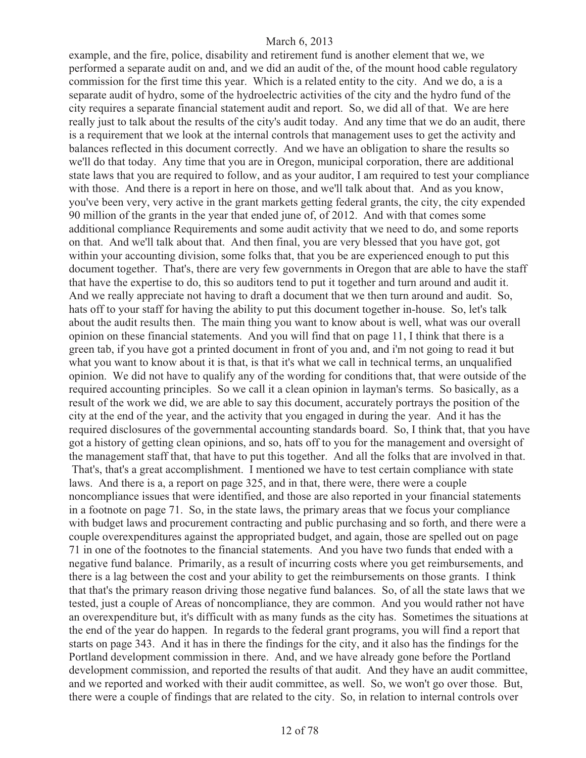example, and the fire, police, disability and retirement fund is another element that we, we performed a separate audit on and, and we did an audit of the, of the mount hood cable regulatory commission for the first time this year. Which is a related entity to the city. And we do, a is a separate audit of hydro, some of the hydroelectric activities of the city and the hydro fund of the city requires a separate financial statement audit and report. So, we did all of that. We are here really just to talk about the results of the city's audit today. And any time that we do an audit, there is a requirement that we look at the internal controls that management uses to get the activity and balances reflected in this document correctly. And we have an obligation to share the results so we'll do that today. Any time that you are in Oregon, municipal corporation, there are additional state laws that you are required to follow, and as your auditor, I am required to test your compliance with those. And there is a report in here on those, and we'll talk about that. And as you know, you've been very, very active in the grant markets getting federal grants, the city, the city expended 90 million of the grants in the year that ended june of, of 2012. And with that comes some additional compliance Requirements and some audit activity that we need to do, and some reports on that. And we'll talk about that. And then final, you are very blessed that you have got, got within your accounting division, some folks that, that you be are experienced enough to put this document together. That's, there are very few governments in Oregon that are able to have the staff that have the expertise to do, this so auditors tend to put it together and turn around and audit it. And we really appreciate not having to draft a document that we then turn around and audit. So, hats off to your staff for having the ability to put this document together in-house. So, let's talk about the audit results then. The main thing you want to know about is well, what was our overall opinion on these financial statements. And you will find that on page 11, I think that there is a green tab, if you have got a printed document in front of you and, and i'm not going to read it but what you want to know about it is that, is that it's what we call in technical terms, an unqualified opinion. We did not have to qualify any of the wording for conditions that, that were outside of the required accounting principles. So we call it a clean opinion in layman's terms. So basically, as a result of the work we did, we are able to say this document, accurately portrays the position of the city at the end of the year, and the activity that you engaged in during the year. And it has the required disclosures of the governmental accounting standards board. So, I think that, that you have got a history of getting clean opinions, and so, hats off to you for the management and oversight of the management staff that, that have to put this together. And all the folks that are involved in that. That's, that's a great accomplishment. I mentioned we have to test certain compliance with state laws. And there is a, a report on page 325, and in that, there were, there were a couple noncompliance issues that were identified, and those are also reported in your financial statements in a footnote on page 71. So, in the state laws, the primary areas that we focus your compliance with budget laws and procurement contracting and public purchasing and so forth, and there were a couple overexpenditures against the appropriated budget, and again, those are spelled out on page 71 in one of the footnotes to the financial statements. And you have two funds that ended with a negative fund balance. Primarily, as a result of incurring costs where you get reimbursements, and there is a lag between the cost and your ability to get the reimbursements on those grants. I think that that's the primary reason driving those negative fund balances. So, of all the state laws that we tested, just a couple of Areas of noncompliance, they are common. And you would rather not have an overexpenditure but, it's difficult with as many funds as the city has. Sometimes the situations at the end of the year do happen. In regards to the federal grant programs, you will find a report that starts on page 343. And it has in there the findings for the city, and it also has the findings for the Portland development commission in there. And, and we have already gone before the Portland development commission, and reported the results of that audit. And they have an audit committee, and we reported and worked with their audit committee, as well. So, we won't go over those. But, there were a couple of findings that are related to the city. So, in relation to internal controls over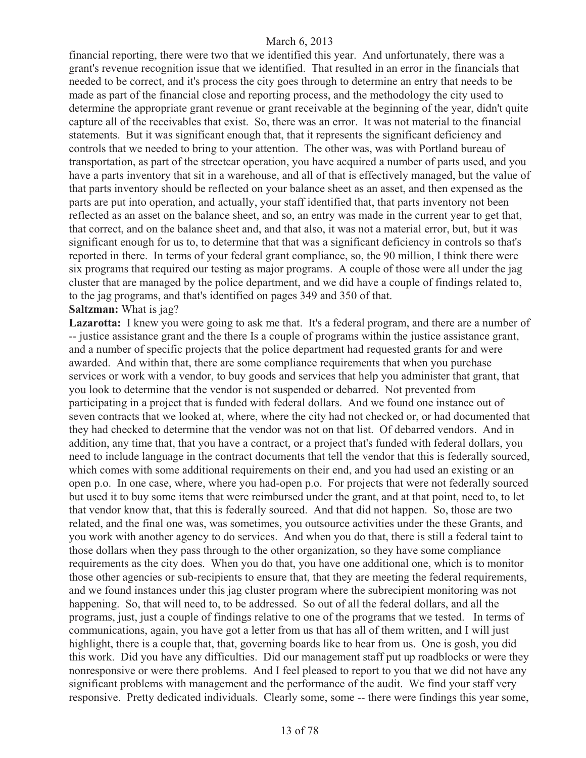financial reporting, there were two that we identified this year. And unfortunately, there was a grant's revenue recognition issue that we identified. That resulted in an error in the financials that needed to be correct, and it's process the city goes through to determine an entry that needs to be made as part of the financial close and reporting process, and the methodology the city used to determine the appropriate grant revenue or grant receivable at the beginning of the year, didn't quite capture all of the receivables that exist. So, there was an error. It was not material to the financial statements. But it was significant enough that, that it represents the significant deficiency and controls that we needed to bring to your attention. The other was, was with Portland bureau of transportation, as part of the streetcar operation, you have acquired a number of parts used, and you have a parts inventory that sit in a warehouse, and all of that is effectively managed, but the value of that parts inventory should be reflected on your balance sheet as an asset, and then expensed as the parts are put into operation, and actually, your staff identified that, that parts inventory not been reflected as an asset on the balance sheet, and so, an entry was made in the current year to get that, that correct, and on the balance sheet and, and that also, it was not a material error, but, but it was significant enough for us to, to determine that that was a significant deficiency in controls so that's reported in there. In terms of your federal grant compliance, so, the 90 million, I think there were six programs that required our testing as major programs. A couple of those were all under the jag cluster that are managed by the police department, and we did have a couple of findings related to, to the jag programs, and that's identified on pages 349 and 350 of that. **Saltzman:** What is jag?

Lazarotta: I knew you were going to ask me that. It's a federal program, and there are a number of -- justice assistance grant and the there Is a couple of programs within the justice assistance grant, and a number of specific projects that the police department had requested grants for and were awarded. And within that, there are some compliance requirements that when you purchase services or work with a vendor, to buy goods and services that help you administer that grant, that you look to determine that the vendor is not suspended or debarred. Not prevented from participating in a project that is funded with federal dollars. And we found one instance out of seven contracts that we looked at, where, where the city had not checked or, or had documented that they had checked to determine that the vendor was not on that list. Of debarred vendors. And in addition, any time that, that you have a contract, or a project that's funded with federal dollars, you need to include language in the contract documents that tell the vendor that this is federally sourced, which comes with some additional requirements on their end, and you had used an existing or an open p.o. In one case, where, where you had-open p.o. For projects that were not federally sourced but used it to buy some items that were reimbursed under the grant, and at that point, need to, to let that vendor know that, that this is federally sourced. And that did not happen. So, those are two related, and the final one was, was sometimes, you outsource activities under the these Grants, and you work with another agency to do services. And when you do that, there is still a federal taint to those dollars when they pass through to the other organization, so they have some compliance requirements as the city does. When you do that, you have one additional one, which is to monitor those other agencies or sub-recipients to ensure that, that they are meeting the federal requirements, and we found instances under this jag cluster program where the subrecipient monitoring was not happening. So, that will need to, to be addressed. So out of all the federal dollars, and all the programs, just, just a couple of findings relative to one of the programs that we tested. In terms of communications, again, you have got a letter from us that has all of them written, and I will just highlight, there is a couple that, that, governing boards like to hear from us. One is gosh, you did this work. Did you have any difficulties. Did our management staff put up roadblocks or were they nonresponsive or were there problems. And I feel pleased to report to you that we did not have any significant problems with management and the performance of the audit. We find your staff very responsive. Pretty dedicated individuals. Clearly some, some -- there were findings this year some,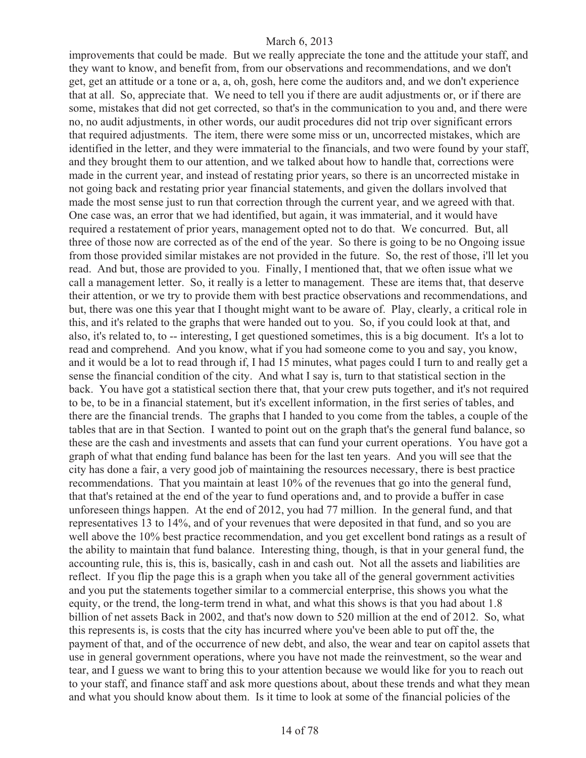improvements that could be made. But we really appreciate the tone and the attitude your staff, and they want to know, and benefit from, from our observations and recommendations, and we don't get, get an attitude or a tone or a, a, oh, gosh, here come the auditors and, and we don't experience that at all. So, appreciate that. We need to tell you if there are audit adjustments or, or if there are some, mistakes that did not get corrected, so that's in the communication to you and, and there were no, no audit adjustments, in other words, our audit procedures did not trip over significant errors that required adjustments. The item, there were some miss or un, uncorrected mistakes, which are identified in the letter, and they were immaterial to the financials, and two were found by your staff, and they brought them to our attention, and we talked about how to handle that, corrections were made in the current year, and instead of restating prior years, so there is an uncorrected mistake in not going back and restating prior year financial statements, and given the dollars involved that made the most sense just to run that correction through the current year, and we agreed with that. One case was, an error that we had identified, but again, it was immaterial, and it would have required a restatement of prior years, management opted not to do that. We concurred. But, all three of those now are corrected as of the end of the year. So there is going to be no Ongoing issue from those provided similar mistakes are not provided in the future. So, the rest of those, i'll let you read. And but, those are provided to you. Finally, I mentioned that, that we often issue what we call a management letter. So, it really is a letter to management. These are items that, that deserve their attention, or we try to provide them with best practice observations and recommendations, and but, there was one this year that I thought might want to be aware of. Play, clearly, a critical role in this, and it's related to the graphs that were handed out to you. So, if you could look at that, and also, it's related to, to -- interesting, I get questioned sometimes, this is a big document. It's a lot to read and comprehend. And you know, what if you had someone come to you and say, you know, and it would be a lot to read through if, I had 15 minutes, what pages could I turn to and really get a sense the financial condition of the city. And what I say is, turn to that statistical section in the back. You have got a statistical section there that, that your crew puts together, and it's not required to be, to be in a financial statement, but it's excellent information, in the first series of tables, and there are the financial trends. The graphs that I handed to you come from the tables, a couple of the tables that are in that Section. I wanted to point out on the graph that's the general fund balance, so these are the cash and investments and assets that can fund your current operations. You have got a graph of what that ending fund balance has been for the last ten years. And you will see that the city has done a fair, a very good job of maintaining the resources necessary, there is best practice recommendations. That you maintain at least 10% of the revenues that go into the general fund, that that's retained at the end of the year to fund operations and, and to provide a buffer in case unforeseen things happen. At the end of 2012, you had 77 million. In the general fund, and that representatives 13 to 14%, and of your revenues that were deposited in that fund, and so you are well above the 10% best practice recommendation, and you get excellent bond ratings as a result of the ability to maintain that fund balance. Interesting thing, though, is that in your general fund, the accounting rule, this is, this is, basically, cash in and cash out. Not all the assets and liabilities are reflect. If you flip the page this is a graph when you take all of the general government activities and you put the statements together similar to a commercial enterprise, this shows you what the equity, or the trend, the long-term trend in what, and what this shows is that you had about 1.8 billion of net assets Back in 2002, and that's now down to 520 million at the end of 2012. So, what this represents is, is costs that the city has incurred where you've been able to put off the, the payment of that, and of the occurrence of new debt, and also, the wear and tear on capitol assets that use in general government operations, where you have not made the reinvestment, so the wear and tear, and I guess we want to bring this to your attention because we would like for you to reach out to your staff, and finance staff and ask more questions about, about these trends and what they mean and what you should know about them. Is it time to look at some of the financial policies of the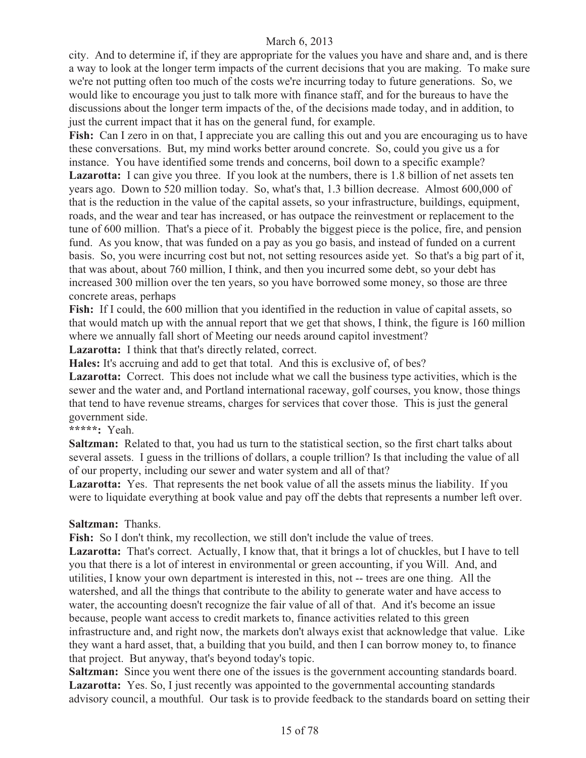city. And to determine if, if they are appropriate for the values you have and share and, and is there a way to look at the longer term impacts of the current decisions that you are making. To make sure we're not putting often too much of the costs we're incurring today to future generations. So, we would like to encourage you just to talk more with finance staff, and for the bureaus to have the discussions about the longer term impacts of the, of the decisions made today, and in addition, to just the current impact that it has on the general fund, for example.

Fish: Can I zero in on that, I appreciate you are calling this out and you are encouraging us to have these conversations. But, my mind works better around concrete. So, could you give us a for instance. You have identified some trends and concerns, boil down to a specific example? Lazarotta: I can give you three. If you look at the numbers, there is 1.8 billion of net assets ten years ago. Down to 520 million today. So, what's that, 1.3 billion decrease. Almost 600,000 of that is the reduction in the value of the capital assets, so your infrastructure, buildings, equipment, roads, and the wear and tear has increased, or has outpace the reinvestment or replacement to the tune of 600 million. That's a piece of it. Probably the biggest piece is the police, fire, and pension fund. As you know, that was funded on a pay as you go basis, and instead of funded on a current basis. So, you were incurring cost but not, not setting resources aside yet. So that's a big part of it, that was about, about 760 million, I think, and then you incurred some debt, so your debt has increased 300 million over the ten years, so you have borrowed some money, so those are three concrete areas, perhaps

**Fish:** If I could, the 600 million that you identified in the reduction in value of capital assets, so that would match up with the annual report that we get that shows, I think, the figure is 160 million where we annually fall short of Meeting our needs around capitol investment?

Lazarotta: I think that that's directly related, correct.

**Hales:** It's accruing and add to get that total. And this is exclusive of, of bes?

Lazarotta: Correct. This does not include what we call the business type activities, which is the sewer and the water and, and Portland international raceway, golf courses, you know, those things that tend to have revenue streams, charges for services that cover those. This is just the general government side.

**\*\*\*\*\*:** Yeah.

**Saltzman:** Related to that, you had us turn to the statistical section, so the first chart talks about several assets. I guess in the trillions of dollars, a couple trillion? Is that including the value of all of our property, including our sewer and water system and all of that?

Lazarotta: Yes. That represents the net book value of all the assets minus the liability. If you were to liquidate everything at book value and pay off the debts that represents a number left over.

#### **Saltzman:** Thanks.

**Fish:** So I don't think, my recollection, we still don't include the value of trees.

**Lazarotta:** That's correct. Actually, I know that, that it brings a lot of chuckles, but I have to tell you that there is a lot of interest in environmental or green accounting, if you Will. And, and utilities, I know your own department is interested in this, not -- trees are one thing. All the watershed, and all the things that contribute to the ability to generate water and have access to water, the accounting doesn't recognize the fair value of all of that. And it's become an issue because, people want access to credit markets to, finance activities related to this green infrastructure and, and right now, the markets don't always exist that acknowledge that value. Like they want a hard asset, that, a building that you build, and then I can borrow money to, to finance that project. But anyway, that's beyond today's topic.

**Saltzman:** Since you went there one of the issues is the government accounting standards board. Lazarotta: Yes. So, I just recently was appointed to the governmental accounting standards advisory council, a mouthful. Our task is to provide feedback to the standards board on setting their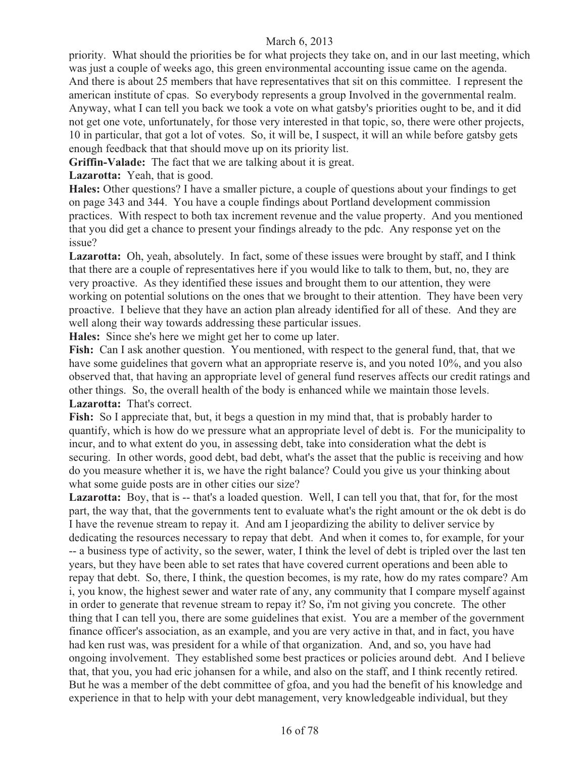priority. What should the priorities be for what projects they take on, and in our last meeting, which was just a couple of weeks ago, this green environmental accounting issue came on the agenda. And there is about 25 members that have representatives that sit on this committee. I represent the american institute of cpas. So everybody represents a group Involved in the governmental realm. Anyway, what I can tell you back we took a vote on what gatsby's priorities ought to be, and it did not get one vote, unfortunately, for those very interested in that topic, so, there were other projects, 10 in particular, that got a lot of votes. So, it will be, I suspect, it will an while before gatsby gets enough feedback that that should move up on its priority list.

**Griffin-Valade:** The fact that we are talking about it is great.

Lazarotta: Yeah, that is good.

**Hales:** Other questions? I have a smaller picture, a couple of questions about your findings to get on page 343 and 344. You have a couple findings about Portland development commission practices. With respect to both tax increment revenue and the value property. And you mentioned that you did get a chance to present your findings already to the pdc. Any response yet on the issue?

Lazarotta: Oh, yeah, absolutely. In fact, some of these issues were brought by staff, and I think that there are a couple of representatives here if you would like to talk to them, but, no, they are very proactive. As they identified these issues and brought them to our attention, they were working on potential solutions on the ones that we brought to their attention. They have been very proactive. I believe that they have an action plan already identified for all of these. And they are well along their way towards addressing these particular issues.

**Hales:** Since she's here we might get her to come up later.

**Fish:** Can I ask another question. You mentioned, with respect to the general fund, that, that we have some guidelines that govern what an appropriate reserve is, and you noted 10%, and you also observed that, that having an appropriate level of general fund reserves affects our credit ratings and other things. So, the overall health of the body is enhanced while we maintain those levels. **Lazarotta:** That's correct.

**Fish:** So I appreciate that, but, it begs a question in my mind that, that is probably harder to quantify, which is how do we pressure what an appropriate level of debt is. For the municipality to incur, and to what extent do you, in assessing debt, take into consideration what the debt is securing. In other words, good debt, bad debt, what's the asset that the public is receiving and how do you measure whether it is, we have the right balance? Could you give us your thinking about what some guide posts are in other cities our size?

Lazarotta: Boy, that is -- that's a loaded question. Well, I can tell you that, that for, for the most part, the way that, that the governments tent to evaluate what's the right amount or the ok debt is do I have the revenue stream to repay it. And am I jeopardizing the ability to deliver service by dedicating the resources necessary to repay that debt. And when it comes to, for example, for your -- a business type of activity, so the sewer, water, I think the level of debt is tripled over the last ten years, but they have been able to set rates that have covered current operations and been able to repay that debt. So, there, I think, the question becomes, is my rate, how do my rates compare? Am i, you know, the highest sewer and water rate of any, any community that I compare myself against in order to generate that revenue stream to repay it? So, i'm not giving you concrete. The other thing that I can tell you, there are some guidelines that exist. You are a member of the government finance officer's association, as an example, and you are very active in that, and in fact, you have had ken rust was, was president for a while of that organization. And, and so, you have had ongoing involvement. They established some best practices or policies around debt. And I believe that, that you, you had eric johansen for a while, and also on the staff, and I think recently retired. But he was a member of the debt committee of gfoa, and you had the benefit of his knowledge and experience in that to help with your debt management, very knowledgeable individual, but they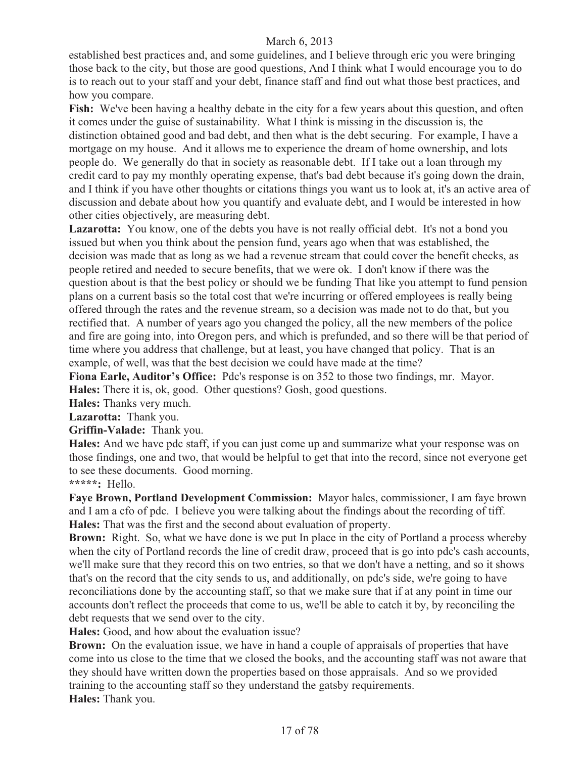established best practices and, and some guidelines, and I believe through eric you were bringing those back to the city, but those are good questions, And I think what I would encourage you to do is to reach out to your staff and your debt, finance staff and find out what those best practices, and how you compare.

Fish: We've been having a healthy debate in the city for a few years about this question, and often it comes under the guise of sustainability. What I think is missing in the discussion is, the distinction obtained good and bad debt, and then what is the debt securing. For example, I have a mortgage on my house. And it allows me to experience the dream of home ownership, and lots people do. We generally do that in society as reasonable debt. If I take out a loan through my credit card to pay my monthly operating expense, that's bad debt because it's going down the drain, and I think if you have other thoughts or citations things you want us to look at, it's an active area of discussion and debate about how you quantify and evaluate debt, and I would be interested in how other cities objectively, are measuring debt.

Lazarotta: You know, one of the debts you have is not really official debt. It's not a bond you issued but when you think about the pension fund, years ago when that was established, the decision was made that as long as we had a revenue stream that could cover the benefit checks, as people retired and needed to secure benefits, that we were ok. I don't know if there was the question about is that the best policy or should we be funding That like you attempt to fund pension plans on a current basis so the total cost that we're incurring or offered employees is really being offered through the rates and the revenue stream, so a decision was made not to do that, but you rectified that. A number of years ago you changed the policy, all the new members of the police and fire are going into, into Oregon pers, and which is prefunded, and so there will be that period of time where you address that challenge, but at least, you have changed that policy. That is an example, of well, was that the best decision we could have made at the time?

**Fiona Earle, Auditor's Office:** Pdc's response is on 352 to those two findings, mr. Mayor. **Hales:** There it is, ok, good. Other questions? Gosh, good questions.

**Hales:** Thanks very much.

**Lazarotta:** Thank you.

**Griffin-Valade:** Thank you.

**Hales:** And we have pdc staff, if you can just come up and summarize what your response was on those findings, one and two, that would be helpful to get that into the record, since not everyone get to see these documents. Good morning.

**\*\*\*\*\*:** Hello.

**Faye Brown, Portland Development Commission:** Mayor hales, commissioner, I am faye brown and I am a cfo of pdc. I believe you were talking about the findings about the recording of tiff. **Hales:** That was the first and the second about evaluation of property.

**Brown:** Right. So, what we have done is we put In place in the city of Portland a process whereby when the city of Portland records the line of credit draw, proceed that is go into pdc's cash accounts, we'll make sure that they record this on two entries, so that we don't have a netting, and so it shows that's on the record that the city sends to us, and additionally, on pdc's side, we're going to have reconciliations done by the accounting staff, so that we make sure that if at any point in time our accounts don't reflect the proceeds that come to us, we'll be able to catch it by, by reconciling the debt requests that we send over to the city.

**Hales:** Good, and how about the evaluation issue?

**Brown:** On the evaluation issue, we have in hand a couple of appraisals of properties that have come into us close to the time that we closed the books, and the accounting staff was not aware that they should have written down the properties based on those appraisals. And so we provided training to the accounting staff so they understand the gatsby requirements. **Hales:** Thank you.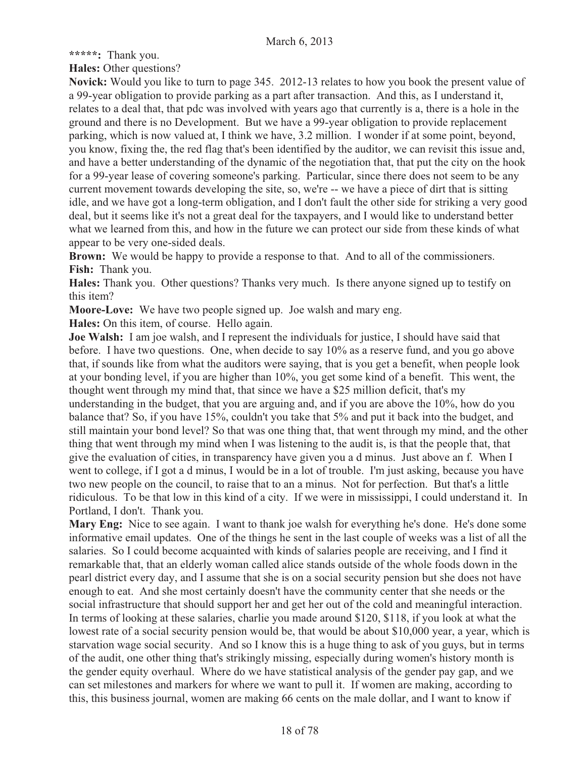**\*\*\*\*\*:** Thank you.

**Hales:** Other questions?

**Novick:** Would you like to turn to page 345. 2012-13 relates to how you book the present value of a 99-year obligation to provide parking as a part after transaction. And this, as I understand it, relates to a deal that, that pdc was involved with years ago that currently is a, there is a hole in the ground and there is no Development. But we have a 99-year obligation to provide replacement parking, which is now valued at, I think we have, 3.2 million. I wonder if at some point, beyond, you know, fixing the, the red flag that's been identified by the auditor, we can revisit this issue and, and have a better understanding of the dynamic of the negotiation that, that put the city on the hook for a 99-year lease of covering someone's parking. Particular, since there does not seem to be any current movement towards developing the site, so, we're -- we have a piece of dirt that is sitting idle, and we have got a long-term obligation, and I don't fault the other side for striking a very good deal, but it seems like it's not a great deal for the taxpayers, and I would like to understand better what we learned from this, and how in the future we can protect our side from these kinds of what appear to be very one-sided deals.

**Brown:** We would be happy to provide a response to that. And to all of the commissioners. **Fish:** Thank you.

**Hales:** Thank you. Other questions? Thanks very much. Is there anyone signed up to testify on this item?

**Moore-Love:** We have two people signed up. Joe walsh and mary eng.

**Hales:** On this item, of course. Hello again.

**Joe Walsh:** I am joe walsh, and I represent the individuals for justice, I should have said that before. I have two questions. One, when decide to say 10% as a reserve fund, and you go above that, if sounds like from what the auditors were saying, that is you get a benefit, when people look at your bonding level, if you are higher than 10%, you get some kind of a benefit. This went, the thought went through my mind that, that since we have a \$25 million deficit, that's my understanding in the budget, that you are arguing and, and if you are above the 10%, how do you balance that? So, if you have 15%, couldn't you take that 5% and put it back into the budget, and still maintain your bond level? So that was one thing that, that went through my mind, and the other thing that went through my mind when I was listening to the audit is, is that the people that, that give the evaluation of cities, in transparency have given you a d minus. Just above an f. When I went to college, if I got a d minus, I would be in a lot of trouble. I'm just asking, because you have two new people on the council, to raise that to an a minus. Not for perfection. But that's a little ridiculous. To be that low in this kind of a city. If we were in mississippi, I could understand it. In Portland, I don't. Thank you.

**Mary Eng:** Nice to see again. I want to thank joe walsh for everything he's done. He's done some informative email updates. One of the things he sent in the last couple of weeks was a list of all the salaries. So I could become acquainted with kinds of salaries people are receiving, and I find it remarkable that, that an elderly woman called alice stands outside of the whole foods down in the pearl district every day, and I assume that she is on a social security pension but she does not have enough to eat. And she most certainly doesn't have the community center that she needs or the social infrastructure that should support her and get her out of the cold and meaningful interaction. In terms of looking at these salaries, charlie you made around \$120, \$118, if you look at what the lowest rate of a social security pension would be, that would be about \$10,000 year, a year, which is starvation wage social security. And so I know this is a huge thing to ask of you guys, but in terms of the audit, one other thing that's strikingly missing, especially during women's history month is the gender equity overhaul. Where do we have statistical analysis of the gender pay gap, and we can set milestones and markers for where we want to pull it. If women are making, according to this, this business journal, women are making 66 cents on the male dollar, and I want to know if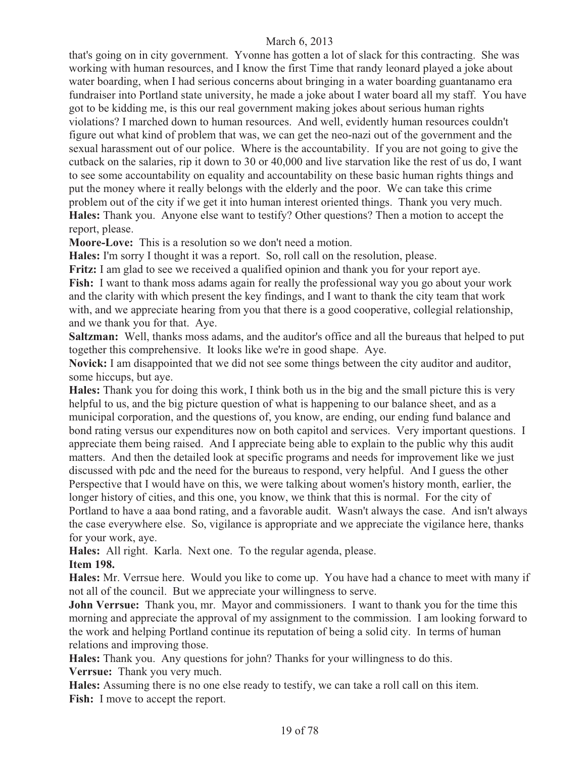that's going on in city government. Yvonne has gotten a lot of slack for this contracting. She was working with human resources, and I know the first Time that randy leonard played a joke about water boarding, when I had serious concerns about bringing in a water boarding guantanamo era fundraiser into Portland state university, he made a joke about I water board all my staff. You have got to be kidding me, is this our real government making jokes about serious human rights violations? I marched down to human resources. And well, evidently human resources couldn't figure out what kind of problem that was, we can get the neo-nazi out of the government and the sexual harassment out of our police. Where is the accountability. If you are not going to give the cutback on the salaries, rip it down to 30 or 40,000 and live starvation like the rest of us do, I want to see some accountability on equality and accountability on these basic human rights things and put the money where it really belongs with the elderly and the poor. We can take this crime problem out of the city if we get it into human interest oriented things. Thank you very much. **Hales:** Thank you. Anyone else want to testify? Other questions? Then a motion to accept the report, please.

**Moore-Love:** This is a resolution so we don't need a motion.

**Hales:** I'm sorry I thought it was a report. So, roll call on the resolution, please.

**Fritz:** I am glad to see we received a qualified opinion and thank you for your report aye. **Fish:** I want to thank moss adams again for really the professional way you go about your work and the clarity with which present the key findings, and I want to thank the city team that work with, and we appreciate hearing from you that there is a good cooperative, collegial relationship, and we thank you for that. Aye.

**Saltzman:** Well, thanks moss adams, and the auditor's office and all the bureaus that helped to put together this comprehensive. It looks like we're in good shape. Aye.

Novick: I am disappointed that we did not see some things between the city auditor and auditor, some hiccups, but aye.

**Hales:** Thank you for doing this work, I think both us in the big and the small picture this is very helpful to us, and the big picture question of what is happening to our balance sheet, and as a municipal corporation, and the questions of, you know, are ending, our ending fund balance and bond rating versus our expenditures now on both capitol and services. Very important questions. I appreciate them being raised. And I appreciate being able to explain to the public why this audit matters. And then the detailed look at specific programs and needs for improvement like we just discussed with pdc and the need for the bureaus to respond, very helpful. And I guess the other Perspective that I would have on this, we were talking about women's history month, earlier, the longer history of cities, and this one, you know, we think that this is normal. For the city of Portland to have a aaa bond rating, and a favorable audit. Wasn't always the case. And isn't always the case everywhere else. So, vigilance is appropriate and we appreciate the vigilance here, thanks for your work, aye.

**Hales:** All right. Karla. Next one. To the regular agenda, please. **Item 198.** 

**Hales:** Mr. Verrsue here. Would you like to come up. You have had a chance to meet with many if not all of the council. But we appreciate your willingness to serve.

**John Verrsue:** Thank you, mr. Mayor and commissioners. I want to thank you for the time this morning and appreciate the approval of my assignment to the commission. I am looking forward to the work and helping Portland continue its reputation of being a solid city. In terms of human relations and improving those.

**Hales:** Thank you. Any questions for john? Thanks for your willingness to do this. **Verrsue:** Thank you very much.

**Hales:** Assuming there is no one else ready to testify, we can take a roll call on this item. Fish: I move to accept the report.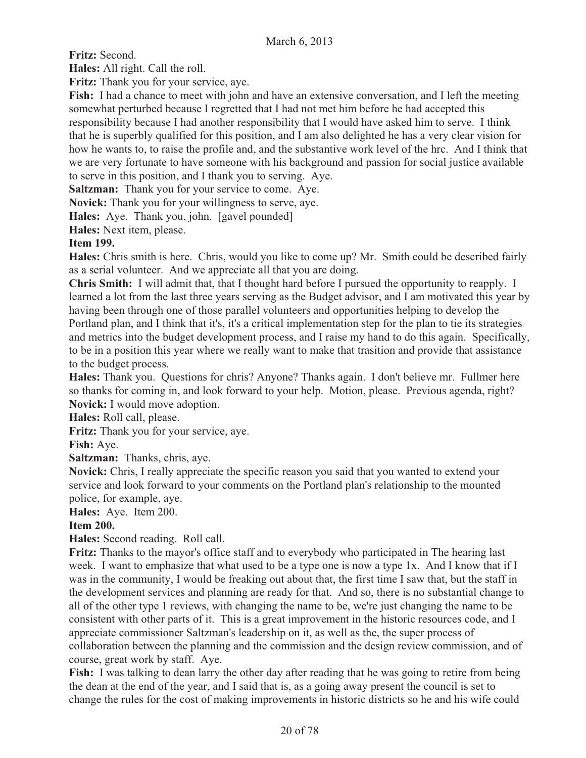**Fritz:** Second.

**Hales:** All right. Call the roll.

**Fritz:** Thank you for your service, aye.

**Fish:** I had a chance to meet with john and have an extensive conversation, and I left the meeting somewhat perturbed because I regretted that I had not met him before he had accepted this responsibility because I had another responsibility that I would have asked him to serve. I think that he is superbly qualified for this position, and I am also delighted he has a very clear vision for how he wants to, to raise the profile and, and the substantive work level of the hrc. And I think that we are very fortunate to have someone with his background and passion for social justice available to serve in this position, and I thank you to serving. Aye.

**Saltzman:** Thank you for your service to come. Aye.

**Novick:** Thank you for your willingness to serve, aye.

**Hales:** Aye. Thank you, john. [gavel pounded]

**Hales:** Next item, please.

## **Item 199.**

**Hales:** Chris smith is here. Chris, would you like to come up? Mr. Smith could be described fairly as a serial volunteer. And we appreciate all that you are doing.

**Chris Smith:** I will admit that, that I thought hard before I pursued the opportunity to reapply. I learned a lot from the last three years serving as the Budget advisor, and I am motivated this year by having been through one of those parallel volunteers and opportunities helping to develop the Portland plan, and I think that it's, it's a critical implementation step for the plan to tie its strategies and metrics into the budget development process, and I raise my hand to do this again. Specifically, to be in a position this year where we really want to make that trasition and provide that assistance to the budget process.

**Hales:** Thank you. Questions for chris? Anyone? Thanks again. I don't believe mr. Fullmer here so thanks for coming in, and look forward to your help. Motion, please. Previous agenda, right? **Novick:** I would move adoption.

**Hales:** Roll call, please.

**Fritz:** Thank you for your service, aye.

**Fish:** Aye.

**Saltzman:** Thanks, chris, aye.

**Novick:** Chris, I really appreciate the specific reason you said that you wanted to extend your service and look forward to your comments on the Portland plan's relationship to the mounted police, for example, aye.

**Hales:** Aye. Item 200.

## **Item 200.**

**Hales:** Second reading. Roll call.

**Fritz:** Thanks to the mayor's office staff and to everybody who participated in The hearing last week. I want to emphasize that what used to be a type one is now a type 1x. And I know that if I was in the community, I would be freaking out about that, the first time I saw that, but the staff in the development services and planning are ready for that. And so, there is no substantial change to all of the other type 1 reviews, with changing the name to be, we're just changing the name to be consistent with other parts of it. This is a great improvement in the historic resources code, and I appreciate commissioner Saltzman's leadership on it, as well as the, the super process of collaboration between the planning and the commission and the design review commission, and of course, great work by staff. Aye.

**Fish:** I was talking to dean larry the other day after reading that he was going to retire from being the dean at the end of the year, and I said that is, as a going away present the council is set to change the rules for the cost of making improvements in historic districts so he and his wife could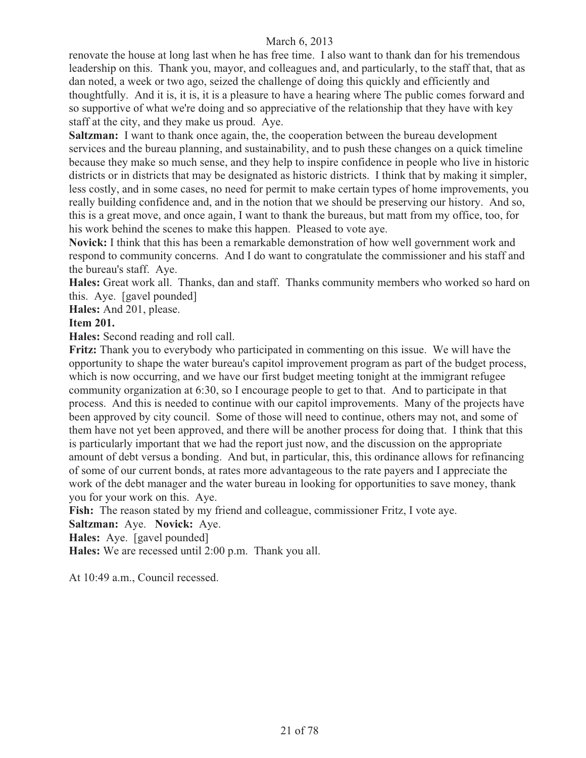renovate the house at long last when he has free time. I also want to thank dan for his tremendous leadership on this. Thank you, mayor, and colleagues and, and particularly, to the staff that, that as dan noted, a week or two ago, seized the challenge of doing this quickly and efficiently and thoughtfully. And it is, it is, it is a pleasure to have a hearing where The public comes forward and so supportive of what we're doing and so appreciative of the relationship that they have with key staff at the city, and they make us proud. Aye.

**Saltzman:** I want to thank once again, the, the cooperation between the bureau development services and the bureau planning, and sustainability, and to push these changes on a quick timeline because they make so much sense, and they help to inspire confidence in people who live in historic districts or in districts that may be designated as historic districts. I think that by making it simpler, less costly, and in some cases, no need for permit to make certain types of home improvements, you really building confidence and, and in the notion that we should be preserving our history. And so, this is a great move, and once again, I want to thank the bureaus, but matt from my office, too, for his work behind the scenes to make this happen. Pleased to vote aye.

**Novick:** I think that this has been a remarkable demonstration of how well government work and respond to community concerns. And I do want to congratulate the commissioner and his staff and the bureau's staff. Aye.

**Hales:** Great work all. Thanks, dan and staff. Thanks community members who worked so hard on this. Aye. [gavel pounded]

**Hales:** And 201, please.

## **Item 201.**

**Hales:** Second reading and roll call.

**Fritz:** Thank you to everybody who participated in commenting on this issue. We will have the opportunity to shape the water bureau's capitol improvement program as part of the budget process, which is now occurring, and we have our first budget meeting tonight at the immigrant refugee community organization at 6:30, so I encourage people to get to that. And to participate in that process. And this is needed to continue with our capitol improvements. Many of the projects have been approved by city council. Some of those will need to continue, others may not, and some of them have not yet been approved, and there will be another process for doing that. I think that this is particularly important that we had the report just now, and the discussion on the appropriate amount of debt versus a bonding. And but, in particular, this, this ordinance allows for refinancing of some of our current bonds, at rates more advantageous to the rate payers and I appreciate the work of the debt manager and the water bureau in looking for opportunities to save money, thank you for your work on this. Aye.

**Fish:** The reason stated by my friend and colleague, commissioner Fritz, I vote aye.

**Saltzman:** Aye. **Novick:** Aye.

**Hales:** Aye. [gavel pounded]

**Hales:** We are recessed until 2:00 p.m. Thank you all.

At 10:49 a.m., Council recessed.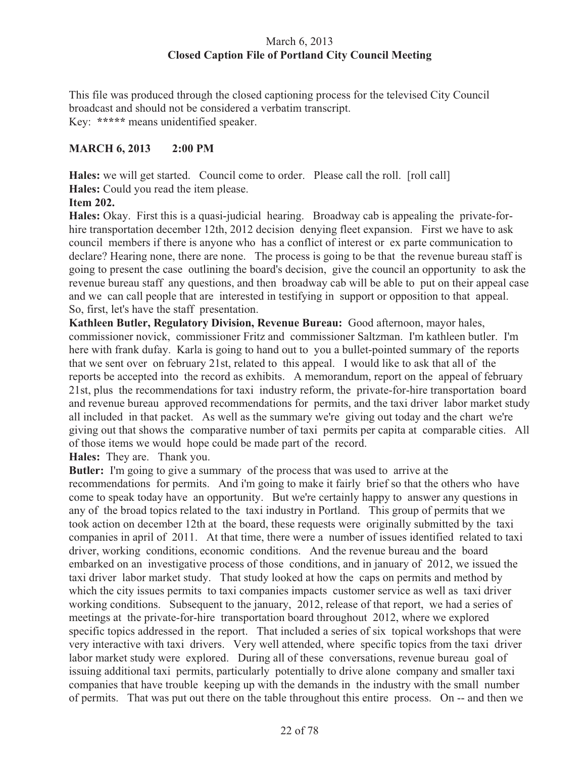## March 6, 2013 **Closed Caption File of Portland City Council Meeting**

This file was produced through the closed captioning process for the televised City Council broadcast and should not be considered a verbatim transcript. Key: **\*\*\*\*\*** means unidentified speaker.

## **MARCH 6, 2013 2:00 PM**

**Hales:** we will get started. Council come to order. Please call the roll. [roll call] **Hales:** Could you read the item please.

## **Item 202.**

**Hales:** Okay. First this is a quasi-judicial hearing. Broadway cab is appealing the private-forhire transportation december 12th, 2012 decision denying fleet expansion. First we have to ask council members if there is anyone who has a conflict of interest or ex parte communication to declare? Hearing none, there are none. The process is going to be that the revenue bureau staff is going to present the case outlining the board's decision, give the council an opportunity to ask the revenue bureau staff any questions, and then broadway cab will be able to put on their appeal case and we can call people that are interested in testifying in support or opposition to that appeal. So, first, let's have the staff presentation.

**Kathleen Butler, Regulatory Division, Revenue Bureau:** Good afternoon, mayor hales, commissioner novick, commissioner Fritz and commissioner Saltzman. I'm kathleen butler. I'm here with frank dufay. Karla is going to hand out to you a bullet-pointed summary of the reports that we sent over on february 21st, related to this appeal. I would like to ask that all of the reports be accepted into the record as exhibits. A memorandum, report on the appeal of february 21st, plus the recommendations for taxi industry reform, the private-for-hire transportation board and revenue bureau approved recommendations for permits, and the taxi driver labor market study all included in that packet. As well as the summary we're giving out today and the chart we're giving out that shows the comparative number of taxi permits per capita at comparable cities. All of those items we would hope could be made part of the record.

**Hales:** They are. Thank you.

**Butler:** I'm going to give a summary of the process that was used to arrive at the recommendations for permits. And i'm going to make it fairly brief so that the others who have come to speak today have an opportunity. But we're certainly happy to answer any questions in any of the broad topics related to the taxi industry in Portland. This group of permits that we took action on december 12th at the board, these requests were originally submitted by the taxi companies in april of 2011. At that time, there were a number of issues identified related to taxi driver, working conditions, economic conditions. And the revenue bureau and the board embarked on an investigative process of those conditions, and in january of 2012, we issued the taxi driver labor market study. That study looked at how the caps on permits and method by which the city issues permits to taxi companies impacts customer service as well as taxi driver working conditions. Subsequent to the january, 2012, release of that report, we had a series of meetings at the private-for-hire transportation board throughout 2012, where we explored specific topics addressed in the report. That included a series of six topical workshops that were very interactive with taxi drivers. Very well attended, where specific topics from the taxi driver labor market study were explored. During all of these conversations, revenue bureau goal of issuing additional taxi permits, particularly potentially to drive alone company and smaller taxi companies that have trouble keeping up with the demands in the industry with the small number of permits. That was put out there on the table throughout this entire process. On -- and then we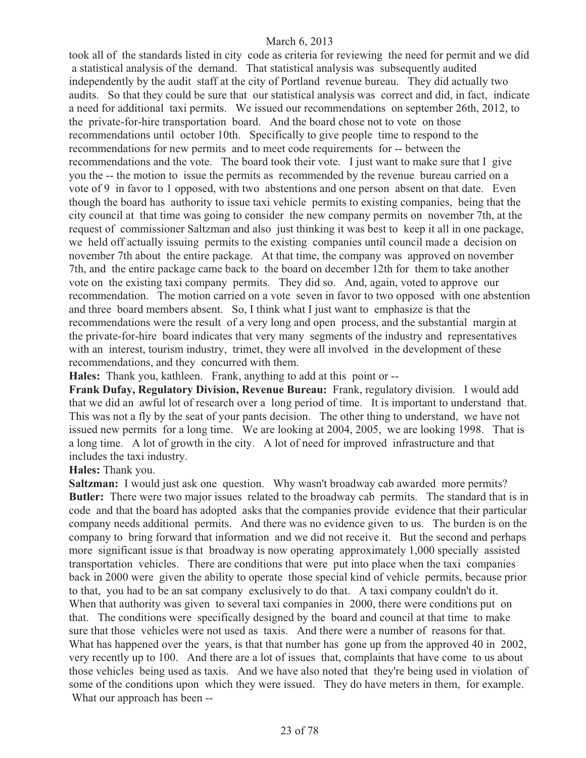took all of the standards listed in city code as criteria for reviewing the need for permit and we did a statistical analysis of the demand. That statistical analysis was subsequently audited independently by the audit staff at the city of Portland revenue bureau. They did actually two audits. So that they could be sure that our statistical analysis was correct and did, in fact, indicate a need for additional taxi permits. We issued our recommendations on september 26th, 2012, to the private-for-hire transportation board. And the board chose not to vote on those recommendations until october 10th. Specifically to give people time to respond to the recommendations for new permits and to meet code requirements for -- between the recommendations and the vote. The board took their vote. I just want to make sure that I give you the -- the motion to issue the permits as recommended by the revenue bureau carried on a vote of 9 in favor to 1 opposed, with two abstentions and one person absent on that date. Even though the board has authority to issue taxi vehicle permits to existing companies, being that the city council at that time was going to consider the new company permits on november 7th, at the request of commissioner Saltzman and also just thinking it was best to keep it all in one package, we held off actually issuing permits to the existing companies until council made a decision on november 7th about the entire package. At that time, the company was approved on november 7th, and the entire package came back to the board on december 12th for them to take another vote on the existing taxi company permits. They did so. And, again, voted to approve our recommendation. The motion carried on a vote seven in favor to two opposed with one abstention and three board members absent. So, I think what I just want to emphasize is that the recommendations were the result of a very long and open process, and the substantial margin at the private-for-hire board indicates that very many segments of the industry and representatives with an interest, tourism industry, trimet, they were all involved in the development of these recommendations, and they concurred with them.

**Hales:** Thank you, kathleen. Frank, anything to add at this point or --

**Frank Dufay, Regulatory Division, Revenue Bureau:** Frank, regulatory division. I would add that we did an awful lot of research over a long period of time. It is important to understand that. This was not a fly by the seat of your pants decision. The other thing to understand, we have not issued new permits for a long time. We are looking at 2004, 2005, we are looking 1998. That is a long time. A lot of growth in the city. A lot of need for improved infrastructure and that includes the taxi industry.

#### **Hales:** Thank you.

**Saltzman:** I would just ask one question. Why wasn't broadway cab awarded more permits? **Butler:** There were two major issues related to the broadway cab permits. The standard that is in code and that the board has adopted asks that the companies provide evidence that their particular company needs additional permits. And there was no evidence given to us. The burden is on the company to bring forward that information and we did not receive it. But the second and perhaps more significant issue is that broadway is now operating approximately 1,000 specially assisted transportation vehicles. There are conditions that were put into place when the taxi companies back in 2000 were given the ability to operate those special kind of vehicle permits, because prior to that, you had to be an sat company exclusively to do that. A taxi company couldn't do it. When that authority was given to several taxi companies in 2000, there were conditions put on that. The conditions were specifically designed by the board and council at that time to make sure that those vehicles were not used as taxis. And there were a number of reasons for that. What has happened over the years, is that that number has gone up from the approved 40 in 2002, very recently up to 100. And there are a lot of issues that, complaints that have come to us about those vehicles being used as taxis. And we have also noted that they're being used in violation of some of the conditions upon which they were issued. They do have meters in them, for example. What our approach has been --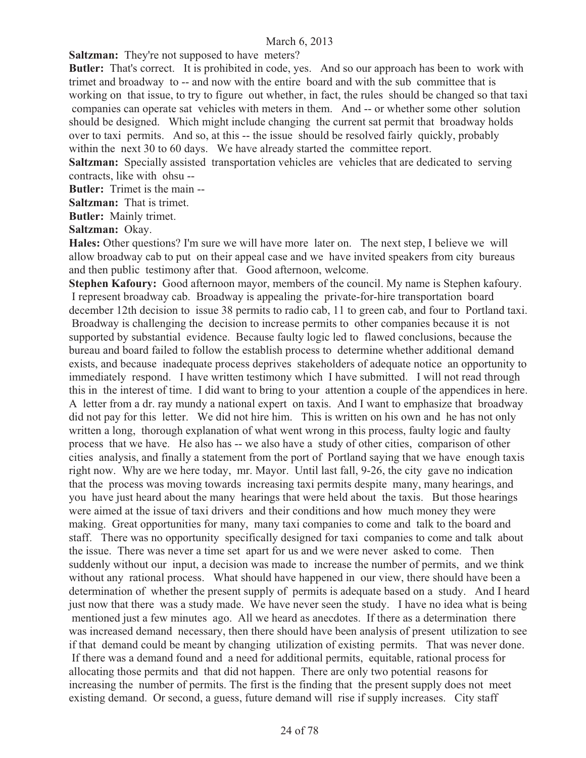**Saltzman:** They're not supposed to have meters?

**Butler:** That's correct. It is prohibited in code, yes. And so our approach has been to work with trimet and broadway to -- and now with the entire board and with the sub committee that is working on that issue, to try to figure out whether, in fact, the rules should be changed so that taxi companies can operate sat vehicles with meters in them. And -- or whether some other solution should be designed. Which might include changing the current sat permit that broadway holds over to taxi permits. And so, at this -- the issue should be resolved fairly quickly, probably within the next 30 to 60 days. We have already started the committee report.

**Saltzman:** Specially assisted transportation vehicles are vehicles that are dedicated to serving contracts, like with ohsu --

**Butler:** Trimet is the main --

**Saltzman:** That is trimet.

**Butler:** Mainly trimet.

**Saltzman:** Okay.

**Hales:** Other questions? I'm sure we will have more later on. The next step, I believe we will allow broadway cab to put on their appeal case and we have invited speakers from city bureaus and then public testimony after that. Good afternoon, welcome.

**Stephen Kafoury:** Good afternoon mayor, members of the council. My name is Stephen kafoury. I represent broadway cab. Broadway is appealing the private-for-hire transportation board december 12th decision to issue 38 permits to radio cab, 11 to green cab, and four to Portland taxi. Broadway is challenging the decision to increase permits to other companies because it is not supported by substantial evidence. Because faulty logic led to flawed conclusions, because the bureau and board failed to follow the establish process to determine whether additional demand exists, and because inadequate process deprives stakeholders of adequate notice an opportunity to immediately respond. I have written testimony which I have submitted. I will not read through this in the interest of time. I did want to bring to your attention a couple of the appendices in here. A letter from a dr. ray mundy a national expert on taxis. And I want to emphasize that broadway did not pay for this letter. We did not hire him. This is written on his own and he has not only written a long, thorough explanation of what went wrong in this process, faulty logic and faulty process that we have. He also has -- we also have a study of other cities, comparison of other cities analysis, and finally a statement from the port of Portland saying that we have enough taxis right now. Why are we here today, mr. Mayor. Until last fall, 9-26, the city gave no indication that the process was moving towards increasing taxi permits despite many, many hearings, and you have just heard about the many hearings that were held about the taxis. But those hearings were aimed at the issue of taxi drivers and their conditions and how much money they were making. Great opportunities for many, many taxi companies to come and talk to the board and staff. There was no opportunity specifically designed for taxi companies to come and talk about the issue. There was never a time set apart for us and we were never asked to come. Then suddenly without our input, a decision was made to increase the number of permits, and we think without any rational process. What should have happened in our view, there should have been a determination of whether the present supply of permits is adequate based on a study. And I heard just now that there was a study made. We have never seen the study. I have no idea what is being mentioned just a few minutes ago. All we heard as anecdotes. If there as a determination there was increased demand necessary, then there should have been analysis of present utilization to see if that demand could be meant by changing utilization of existing permits. That was never done. If there was a demand found and a need for additional permits, equitable, rational process for allocating those permits and that did not happen. There are only two potential reasons for increasing the number of permits. The first is the finding that the present supply does not meet existing demand. Or second, a guess, future demand will rise if supply increases. City staff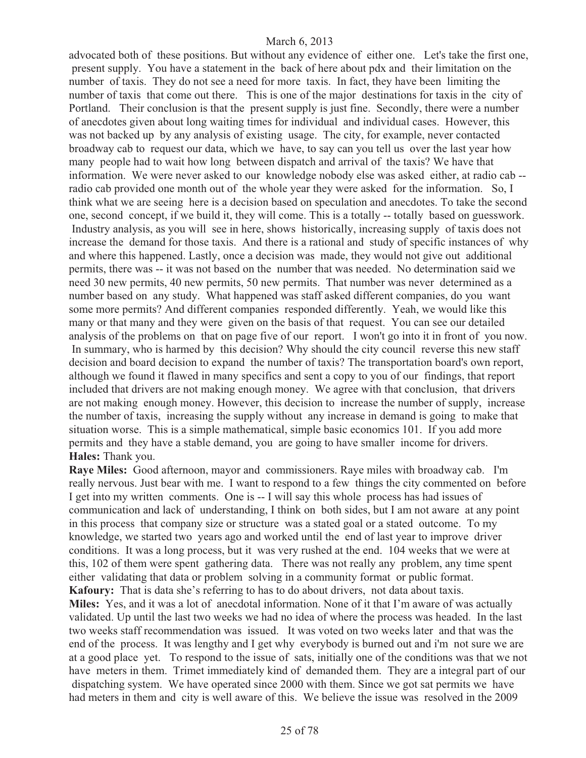advocated both of these positions. But without any evidence of either one. Let's take the first one, present supply. You have a statement in the back of here about pdx and their limitation on the number of taxis. They do not see a need for more taxis. In fact, they have been limiting the number of taxis that come out there. This is one of the major destinations for taxis in the city of Portland. Their conclusion is that the present supply is just fine. Secondly, there were a number of anecdotes given about long waiting times for individual and individual cases. However, this was not backed up by any analysis of existing usage. The city, for example, never contacted broadway cab to request our data, which we have, to say can you tell us over the last year how many people had to wait how long between dispatch and arrival of the taxis? We have that information. We were never asked to our knowledge nobody else was asked either, at radio cab - radio cab provided one month out of the whole year they were asked for the information. So, I think what we are seeing here is a decision based on speculation and anecdotes. To take the second one, second concept, if we build it, they will come. This is a totally -- totally based on guesswork. Industry analysis, as you will see in here, shows historically, increasing supply of taxis does not increase the demand for those taxis. And there is a rational and study of specific instances of why and where this happened. Lastly, once a decision was made, they would not give out additional permits, there was -- it was not based on the number that was needed. No determination said we need 30 new permits, 40 new permits, 50 new permits. That number was never determined as a number based on any study. What happened was staff asked different companies, do you want some more permits? And different companies responded differently. Yeah, we would like this many or that many and they were given on the basis of that request. You can see our detailed analysis of the problems on that on page five of our report. I won't go into it in front of you now. In summary, who is harmed by this decision? Why should the city council reverse this new staff decision and board decision to expand the number of taxis? The transportation board's own report, although we found it flawed in many specifics and sent a copy to you of our findings, that report included that drivers are not making enough money. We agree with that conclusion, that drivers are not making enough money. However, this decision to increase the number of supply, increase the number of taxis, increasing the supply without any increase in demand is going to make that situation worse. This is a simple mathematical, simple basic economics 101. If you add more permits and they have a stable demand, you are going to have smaller income for drivers. **Hales:** Thank you.

**Raye Miles:** Good afternoon, mayor and commissioners. Raye miles with broadway cab. I'm really nervous. Just bear with me. I want to respond to a few things the city commented on before I get into my written comments. One is -- I will say this whole process has had issues of communication and lack of understanding, I think on both sides, but I am not aware at any point in this process that company size or structure was a stated goal or a stated outcome. To my knowledge, we started two years ago and worked until the end of last year to improve driver conditions. It was a long process, but it was very rushed at the end. 104 weeks that we were at this, 102 of them were spent gathering data. There was not really any problem, any time spent either validating that data or problem solving in a community format or public format. **Kafoury:** That is data she's referring to has to do about drivers, not data about taxis.

**Miles:** Yes, and it was a lot of anecdotal information. None of it that I'm aware of was actually validated. Up until the last two weeks we had no idea of where the process was headed. In the last two weeks staff recommendation was issued. It was voted on two weeks later and that was the end of the process. It was lengthy and I get why everybody is burned out and i'm not sure we are at a good place yet. To respond to the issue of sats, initially one of the conditions was that we not have meters in them. Trimet immediately kind of demanded them. They are a integral part of our dispatching system. We have operated since 2000 with them. Since we got sat permits we have had meters in them and city is well aware of this. We believe the issue was resolved in the 2009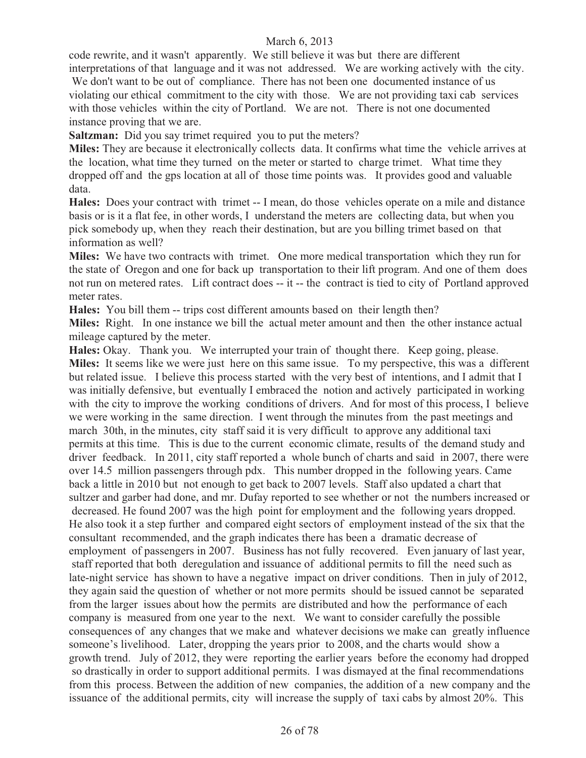code rewrite, and it wasn't apparently. We still believe it was but there are different interpretations of that language and it was not addressed. We are working actively with the city.

We don't want to be out of compliance. There has not been one documented instance of us violating our ethical commitment to the city with those. We are not providing taxi cab services with those vehicles within the city of Portland. We are not. There is not one documented instance proving that we are.

**Saltzman:** Did you say trimet required you to put the meters?

**Miles:** They are because it electronically collects data. It confirms what time the vehicle arrives at the location, what time they turned on the meter or started to charge trimet. What time they dropped off and the gps location at all of those time points was. It provides good and valuable data.

**Hales:** Does your contract with trimet -- I mean, do those vehicles operate on a mile and distance basis or is it a flat fee, in other words, I understand the meters are collecting data, but when you pick somebody up, when they reach their destination, but are you billing trimet based on that information as well?

**Miles:** We have two contracts with trimet. One more medical transportation which they run for the state of Oregon and one for back up transportation to their lift program. And one of them does not run on metered rates. Lift contract does -- it -- the contract is tied to city of Portland approved meter rates.

**Hales:** You bill them -- trips cost different amounts based on their length then?

**Miles:** Right. In one instance we bill the actual meter amount and then the other instance actual mileage captured by the meter.

**Hales:** Okay. Thank you. We interrupted your train of thought there. Keep going, please. **Miles:** It seems like we were just here on this same issue. To my perspective, this was a different but related issue. I believe this process started with the very best of intentions, and I admit that I was initially defensive, but eventually I embraced the notion and actively participated in working with the city to improve the working conditions of drivers. And for most of this process, I believe we were working in the same direction. I went through the minutes from the past meetings and march 30th, in the minutes, city staff said it is very difficult to approve any additional taxi permits at this time. This is due to the current economic climate, results of the demand study and driver feedback. In 2011, city staff reported a whole bunch of charts and said in 2007, there were over 14.5 million passengers through pdx. This number dropped in the following years. Came back a little in 2010 but not enough to get back to 2007 levels. Staff also updated a chart that sultzer and garber had done, and mr. Dufay reported to see whether or not the numbers increased or decreased. He found 2007 was the high point for employment and the following years dropped. He also took it a step further and compared eight sectors of employment instead of the six that the consultant recommended, and the graph indicates there has been a dramatic decrease of employment of passengers in 2007. Business has not fully recovered. Even january of last year, staff reported that both deregulation and issuance of additional permits to fill the need such as late-night service has shown to have a negative impact on driver conditions. Then in july of 2012, they again said the question of whether or not more permits should be issued cannot be separated from the larger issues about how the permits are distributed and how the performance of each company is measured from one year to the next. We want to consider carefully the possible consequences of any changes that we make and whatever decisions we make can greatly influence someone's livelihood. Later, dropping the years prior to 2008, and the charts would show a growth trend. July of 2012, they were reporting the earlier years before the economy had dropped so drastically in order to support additional permits. I was dismayed at the final recommendations from this process. Between the addition of new companies, the addition of a new company and the issuance of the additional permits, city will increase the supply of taxi cabs by almost 20%. This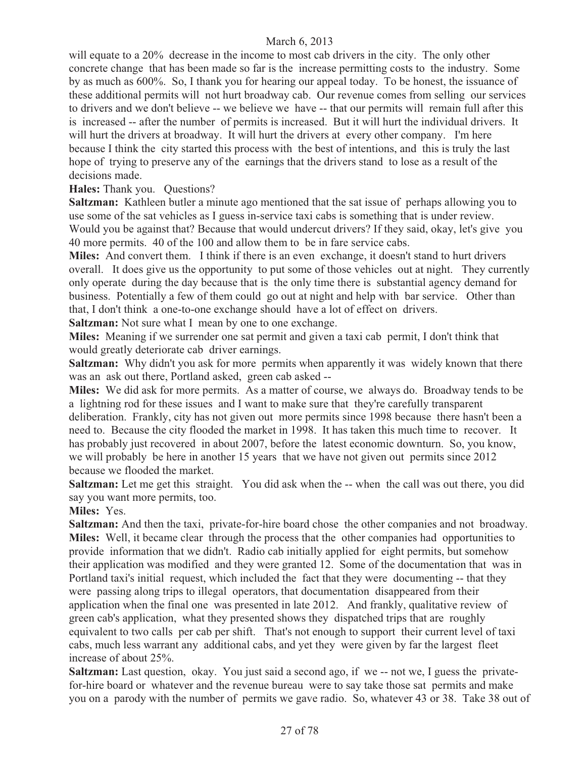will equate to a 20% decrease in the income to most cab drivers in the city. The only other concrete change that has been made so far is the increase permitting costs to the industry. Some by as much as 600%. So, I thank you for hearing our appeal today. To be honest, the issuance of these additional permits will not hurt broadway cab. Our revenue comes from selling our services to drivers and we don't believe -- we believe we have -- that our permits will remain full after this is increased -- after the number of permits is increased. But it will hurt the individual drivers. It will hurt the drivers at broadway. It will hurt the drivers at every other company. I'm here because I think the city started this process with the best of intentions, and this is truly the last hope of trying to preserve any of the earnings that the drivers stand to lose as a result of the decisions made.

#### **Hales:** Thank you. Questions?

**Saltzman:** Kathleen butler a minute ago mentioned that the sat issue of perhaps allowing you to use some of the sat vehicles as I guess in-service taxi cabs is something that is under review. Would you be against that? Because that would undercut drivers? If they said, okay, let's give you 40 more permits. 40 of the 100 and allow them to be in fare service cabs.

**Miles:** And convert them. I think if there is an even exchange, it doesn't stand to hurt drivers overall. It does give us the opportunity to put some of those vehicles out at night. They currently only operate during the day because that is the only time there is substantial agency demand for business. Potentially a few of them could go out at night and help with bar service. Other than that, I don't think a one-to-one exchange should have a lot of effect on drivers.

**Saltzman:** Not sure what I mean by one to one exchange.

**Miles:** Meaning if we surrender one sat permit and given a taxi cab permit, I don't think that would greatly deteriorate cab driver earnings.

**Saltzman:** Why didn't you ask for more permits when apparently it was widely known that there was an ask out there, Portland asked, green cab asked --

**Miles:** We did ask for more permits. As a matter of course, we always do. Broadway tends to be a lightning rod for these issues and I want to make sure that they're carefully transparent deliberation. Frankly, city has not given out more permits since 1998 because there hasn't been a need to. Because the city flooded the market in 1998. It has taken this much time to recover. It has probably just recovered in about 2007, before the latest economic downturn. So, you know, we will probably be here in another 15 years that we have not given out permits since 2012 because we flooded the market.

**Saltzman:** Let me get this straight. You did ask when the -- when the call was out there, you did say you want more permits, too.

**Miles:** Yes.

**Saltzman:** And then the taxi, private-for-hire board chose the other companies and not broadway. **Miles:** Well, it became clear through the process that the other companies had opportunities to provide information that we didn't. Radio cab initially applied for eight permits, but somehow their application was modified and they were granted 12. Some of the documentation that was in Portland taxi's initial request, which included the fact that they were documenting -- that they were passing along trips to illegal operators, that documentation disappeared from their application when the final one was presented in late 2012. And frankly, qualitative review of green cab's application, what they presented shows they dispatched trips that are roughly equivalent to two calls per cab per shift. That's not enough to support their current level of taxi cabs, much less warrant any additional cabs, and yet they were given by far the largest fleet increase of about 25%.

**Saltzman:** Last question, okay. You just said a second ago, if we -- not we, I guess the privatefor-hire board or whatever and the revenue bureau were to say take those sat permits and make you on a parody with the number of permits we gave radio. So, whatever 43 or 38. Take 38 out of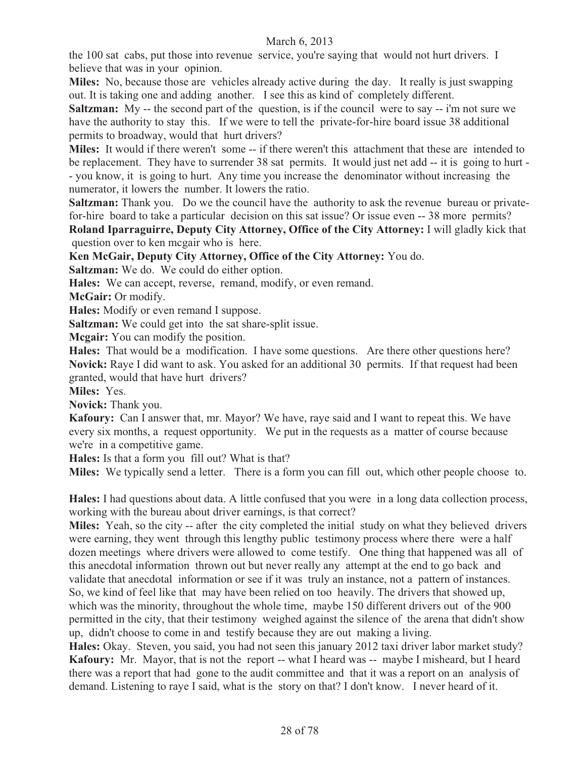the 100 sat cabs, put those into revenue service, you're saying that would not hurt drivers. I believe that was in your opinion.

**Miles:** No, because those are vehicles already active during the day. It really is just swapping out. It is taking one and adding another. I see this as kind of completely different.

**Saltzman:** My -- the second part of the question, is if the council were to say -- i'm not sure we have the authority to stay this. If we were to tell the private-for-hire board issue 38 additional permits to broadway, would that hurt drivers?

**Miles:** It would if there weren't some -- if there weren't this attachment that these are intended to be replacement. They have to surrender 38 sat permits. It would just net add -- it is going to hurt - - you know, it is going to hurt. Any time you increase the denominator without increasing the numerator, it lowers the number. It lowers the ratio.

**Saltzman:** Thank you. Do we the council have the authority to ask the revenue bureau or privatefor-hire board to take a particular decision on this sat issue? Or issue even -- 38 more permits?

**Roland Iparraguirre, Deputy City Attorney, Office of the City Attorney:** I will gladly kick that question over to ken mcgair who is here.

**Ken McGair, Deputy City Attorney, Office of the City Attorney:** You do.

**Saltzman:** We do. We could do either option.

**Hales:** We can accept, reverse, remand, modify, or even remand.

**McGair:** Or modify.

**Hales:** Modify or even remand I suppose.

**Saltzman:** We could get into the sat share-split issue.

**Mcgair:** You can modify the position.

**Hales:** That would be a modification. I have some questions. Are there other questions here? **Novick:** Raye I did want to ask. You asked for an additional 30 permits. If that request had been granted, would that have hurt drivers?

**Miles:** Yes.

**Novick:** Thank you.

**Kafoury:** Can I answer that, mr. Mayor? We have, raye said and I want to repeat this. We have every six months, a request opportunity. We put in the requests as a matter of course because we're in a competitive game.

**Hales:** Is that a form you fill out? What is that?

**Miles:** We typically send a letter. There is a form you can fill out, which other people choose to.

**Hales:** I had questions about data. A little confused that you were in a long data collection process, working with the bureau about driver earnings, is that correct?

**Miles:** Yeah, so the city -- after the city completed the initial study on what they believed drivers were earning, they went through this lengthy public testimony process where there were a half dozen meetings where drivers were allowed to come testify. One thing that happened was all of this anecdotal information thrown out but never really any attempt at the end to go back and validate that anecdotal information or see if it was truly an instance, not a pattern of instances. So, we kind of feel like that may have been relied on too heavily. The drivers that showed up, which was the minority, throughout the whole time, maybe 150 different drivers out of the 900 permitted in the city, that their testimony weighed against the silence of the arena that didn't show up, didn't choose to come in and testify because they are out making a living.

**Hales:** Okay. Steven, you said, you had not seen this january 2012 taxi driver labor market study? **Kafoury:** Mr. Mayor, that is not the report -- what I heard was -- maybe I misheard, but I heard there was a report that had gone to the audit committee and that it was a report on an analysis of demand. Listening to raye I said, what is the story on that? I don't know. I never heard of it.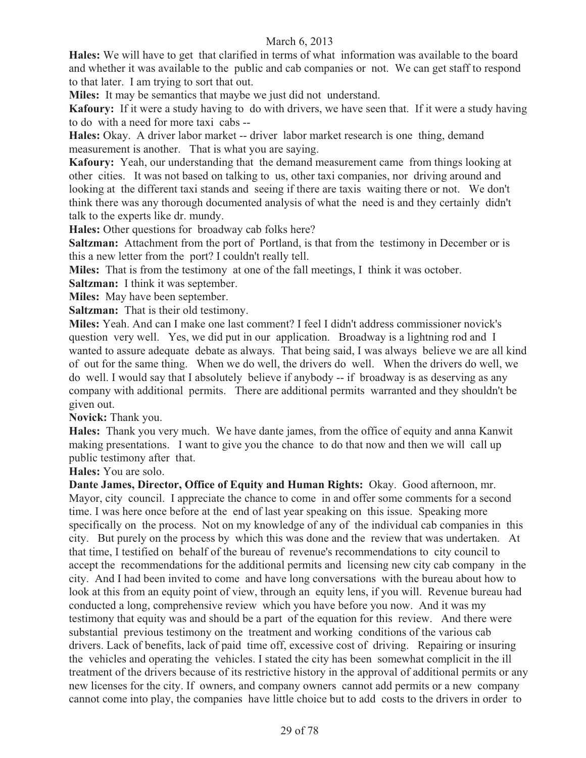**Hales:** We will have to get that clarified in terms of what information was available to the board and whether it was available to the public and cab companies or not. We can get staff to respond to that later. I am trying to sort that out.

**Miles:** It may be semantics that maybe we just did not understand.

**Kafoury:** If it were a study having to do with drivers, we have seen that. If it were a study having to do with a need for more taxi cabs --

**Hales:** Okay. A driver labor market -- driver labor market research is one thing, demand measurement is another. That is what you are saying.

**Kafoury:** Yeah, our understanding that the demand measurement came from things looking at other cities. It was not based on talking to us, other taxi companies, nor driving around and looking at the different taxi stands and seeing if there are taxis waiting there or not. We don't think there was any thorough documented analysis of what the need is and they certainly didn't talk to the experts like dr. mundy.

**Hales:** Other questions for broadway cab folks here?

**Saltzman:** Attachment from the port of Portland, is that from the testimony in December or is this a new letter from the port? I couldn't really tell.

**Miles:** That is from the testimony at one of the fall meetings, I think it was october.

**Saltzman:** I think it was september.

**Miles:** May have been september.

**Saltzman:** That is their old testimony.

**Miles:** Yeah. And can I make one last comment? I feel I didn't address commissioner novick's question very well. Yes, we did put in our application. Broadway is a lightning rod and I wanted to assure adequate debate as always. That being said, I was always believe we are all kind of out for the same thing. When we do well, the drivers do well. When the drivers do well, we do well. I would say that I absolutely believe if anybody -- if broadway is as deserving as any company with additional permits. There are additional permits warranted and they shouldn't be given out.

**Novick:** Thank you.

**Hales:** Thank you very much. We have dante james, from the office of equity and anna Kanwit making presentations. I want to give you the chance to do that now and then we will call up public testimony after that.

**Hales:** You are solo.

**Dante James, Director, Office of Equity and Human Rights:** Okay. Good afternoon, mr. Mayor, city council. I appreciate the chance to come in and offer some comments for a second time. I was here once before at the end of last year speaking on this issue. Speaking more specifically on the process. Not on my knowledge of any of the individual cab companies in this city. But purely on the process by which this was done and the review that was undertaken. At that time, I testified on behalf of the bureau of revenue's recommendations to city council to accept the recommendations for the additional permits and licensing new city cab company in the city. And I had been invited to come and have long conversations with the bureau about how to look at this from an equity point of view, through an equity lens, if you will. Revenue bureau had conducted a long, comprehensive review which you have before you now. And it was my testimony that equity was and should be a part of the equation for this review. And there were substantial previous testimony on the treatment and working conditions of the various cab drivers. Lack of benefits, lack of paid time off, excessive cost of driving. Repairing or insuring the vehicles and operating the vehicles. I stated the city has been somewhat complicit in the ill treatment of the drivers because of its restrictive history in the approval of additional permits or any new licenses for the city. If owners, and company owners cannot add permits or a new company cannot come into play, the companies have little choice but to add costs to the drivers in order to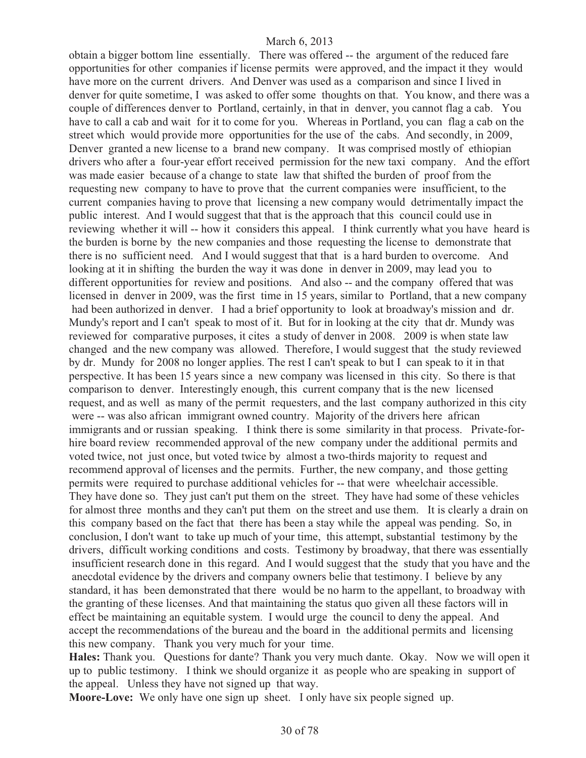obtain a bigger bottom line essentially. There was offered -- the argument of the reduced fare opportunities for other companies if license permits were approved, and the impact it they would have more on the current drivers. And Denver was used as a comparison and since I lived in denver for quite sometime, I was asked to offer some thoughts on that. You know, and there was a couple of differences denver to Portland, certainly, in that in denver, you cannot flag a cab. You have to call a cab and wait for it to come for you. Whereas in Portland, you can flag a cab on the street which would provide more opportunities for the use of the cabs. And secondly, in 2009, Denver granted a new license to a brand new company. It was comprised mostly of ethiopian drivers who after a four-year effort received permission for the new taxi company. And the effort was made easier because of a change to state law that shifted the burden of proof from the requesting new company to have to prove that the current companies were insufficient, to the current companies having to prove that licensing a new company would detrimentally impact the public interest. And I would suggest that that is the approach that this council could use in reviewing whether it will -- how it considers this appeal. I think currently what you have heard is the burden is borne by the new companies and those requesting the license to demonstrate that there is no sufficient need. And I would suggest that that is a hard burden to overcome. And looking at it in shifting the burden the way it was done in denver in 2009, may lead you to different opportunities for review and positions. And also -- and the company offered that was licensed in denver in 2009, was the first time in 15 years, similar to Portland, that a new company had been authorized in denver. I had a brief opportunity to look at broadway's mission and dr. Mundy's report and I can't speak to most of it. But for in looking at the city that dr. Mundy was reviewed for comparative purposes, it cites a study of denver in 2008. 2009 is when state law changed and the new company was allowed. Therefore, I would suggest that the study reviewed by dr. Mundy for 2008 no longer applies. The rest I can't speak to but I can speak to it in that perspective. It has been 15 years since a new company was licensed in this city. So there is that comparison to denver. Interestingly enough, this current company that is the new licensed request, and as well as many of the permit requesters, and the last company authorized in this city were -- was also african immigrant owned country. Majority of the drivers here african immigrants and or russian speaking. I think there is some similarity in that process. Private-forhire board review recommended approval of the new company under the additional permits and voted twice, not just once, but voted twice by almost a two-thirds majority to request and recommend approval of licenses and the permits. Further, the new company, and those getting permits were required to purchase additional vehicles for -- that were wheelchair accessible. They have done so. They just can't put them on the street. They have had some of these vehicles for almost three months and they can't put them on the street and use them. It is clearly a drain on this company based on the fact that there has been a stay while the appeal was pending. So, in conclusion, I don't want to take up much of your time, this attempt, substantial testimony by the drivers, difficult working conditions and costs. Testimony by broadway, that there was essentially insufficient research done in this regard. And I would suggest that the study that you have and the anecdotal evidence by the drivers and company owners belie that testimony. I believe by any standard, it has been demonstrated that there would be no harm to the appellant, to broadway with the granting of these licenses. And that maintaining the status quo given all these factors will in effect be maintaining an equitable system. I would urge the council to deny the appeal. And accept the recommendations of the bureau and the board in the additional permits and licensing this new company. Thank you very much for your time.

**Hales:** Thank you. Questions for dante? Thank you very much dante. Okay. Now we will open it up to public testimony. I think we should organize it as people who are speaking in support of the appeal. Unless they have not signed up that way.

**Moore-Love:** We only have one sign up sheet. I only have six people signed up.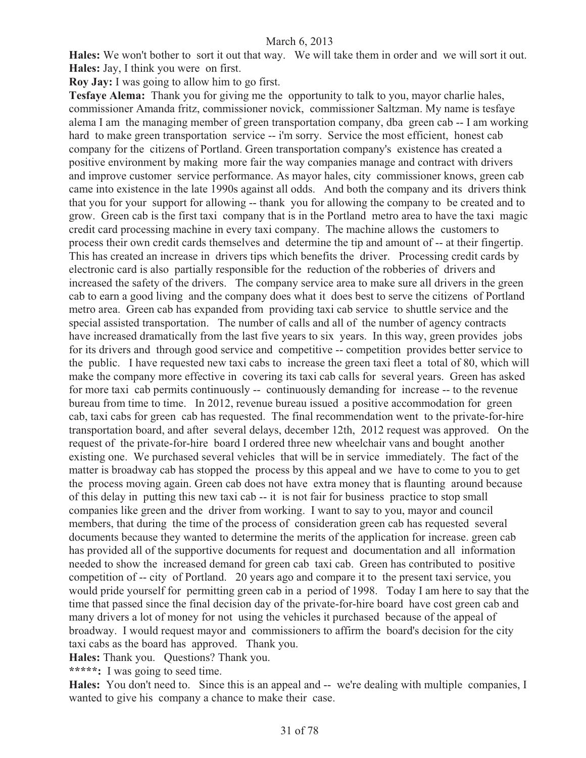**Hales:** We won't bother to sort it out that way. We will take them in order and we will sort it out. **Hales:** Jay, I think you were on first.

**Roy Jay:** I was going to allow him to go first.

**Tesfaye Alema:** Thank you for giving me the opportunity to talk to you, mayor charlie hales, commissioner Amanda fritz, commissioner novick, commissioner Saltzman. My name is tesfaye alema I am the managing member of green transportation company, dba green cab -- I am working hard to make green transportation service -- i'm sorry. Service the most efficient, honest cab company for the citizens of Portland. Green transportation company's existence has created a positive environment by making more fair the way companies manage and contract with drivers and improve customer service performance. As mayor hales, city commissioner knows, green cab came into existence in the late 1990s against all odds. And both the company and its drivers think that you for your support for allowing -- thank you for allowing the company to be created and to grow. Green cab is the first taxi company that is in the Portland metro area to have the taxi magic credit card processing machine in every taxi company. The machine allows the customers to process their own credit cards themselves and determine the tip and amount of -- at their fingertip. This has created an increase in drivers tips which benefits the driver. Processing credit cards by electronic card is also partially responsible for the reduction of the robberies of drivers and increased the safety of the drivers. The company service area to make sure all drivers in the green cab to earn a good living and the company does what it does best to serve the citizens of Portland metro area. Green cab has expanded from providing taxi cab service to shuttle service and the special assisted transportation. The number of calls and all of the number of agency contracts have increased dramatically from the last five years to six years. In this way, green provides jobs for its drivers and through good service and competitive -- competition provides better service to the public. I have requested new taxi cabs to increase the green taxi fleet a total of 80, which will make the company more effective in covering its taxi cab calls for several years. Green has asked for more taxi cab permits continuously -- continuously demanding for increase -- to the revenue bureau from time to time. In 2012, revenue bureau issued a positive accommodation for green cab, taxi cabs for green cab has requested. The final recommendation went to the private-for-hire transportation board, and after several delays, december 12th, 2012 request was approved. On the request of the private-for-hire board I ordered three new wheelchair vans and bought another existing one. We purchased several vehicles that will be in service immediately. The fact of the matter is broadway cab has stopped the process by this appeal and we have to come to you to get the process moving again. Green cab does not have extra money that is flaunting around because of this delay in putting this new taxi cab -- it is not fair for business practice to stop small companies like green and the driver from working. I want to say to you, mayor and council members, that during the time of the process of consideration green cab has requested several documents because they wanted to determine the merits of the application for increase. green cab has provided all of the supportive documents for request and documentation and all information needed to show the increased demand for green cab taxi cab. Green has contributed to positive competition of -- city of Portland. 20 years ago and compare it to the present taxi service, you would pride yourself for permitting green cab in a period of 1998. Today I am here to say that the time that passed since the final decision day of the private-for-hire board have cost green cab and many drivers a lot of money for not using the vehicles it purchased because of the appeal of broadway. I would request mayor and commissioners to affirm the board's decision for the city taxi cabs as the board has approved. Thank you.

**Hales:** Thank you. Questions? Thank you.

**\*\*\*\*\*:** I was going to seed time.

**Hales:** You don't need to. Since this is an appeal and -- we're dealing with multiple companies, I wanted to give his company a chance to make their case.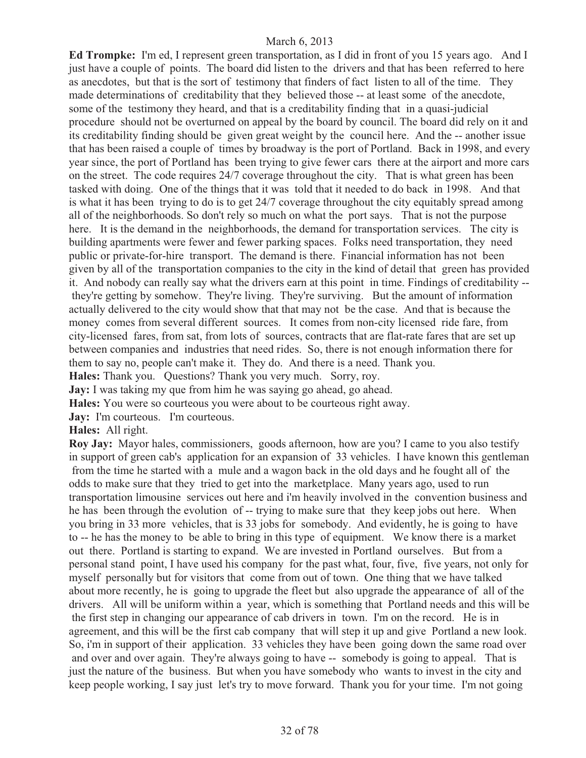**Ed Trompke:** I'm ed, I represent green transportation, as I did in front of you 15 years ago. And I just have a couple of points. The board did listen to the drivers and that has been referred to here as anecdotes, but that is the sort of testimony that finders of fact listen to all of the time. They made determinations of creditability that they believed those -- at least some of the anecdote, some of the testimony they heard, and that is a creditability finding that in a quasi-judicial procedure should not be overturned on appeal by the board by council. The board did rely on it and its creditability finding should be given great weight by the council here. And the -- another issue that has been raised a couple of times by broadway is the port of Portland. Back in 1998, and every year since, the port of Portland has been trying to give fewer cars there at the airport and more cars on the street. The code requires 24/7 coverage throughout the city. That is what green has been tasked with doing. One of the things that it was told that it needed to do back in 1998. And that is what it has been trying to do is to get 24/7 coverage throughout the city equitably spread among all of the neighborhoods. So don't rely so much on what the port says. That is not the purpose here. It is the demand in the neighborhoods, the demand for transportation services. The city is building apartments were fewer and fewer parking spaces. Folks need transportation, they need public or private-for-hire transport. The demand is there. Financial information has not been given by all of the transportation companies to the city in the kind of detail that green has provided it. And nobody can really say what the drivers earn at this point in time. Findings of creditability - they're getting by somehow. They're living. They're surviving. But the amount of information actually delivered to the city would show that that may not be the case. And that is because the money comes from several different sources. It comes from non-city licensed ride fare, from city-licensed fares, from sat, from lots of sources, contracts that are flat-rate fares that are set up between companies and industries that need rides. So, there is not enough information there for them to say no, people can't make it. They do. And there is a need. Thank you. **Hales:** Thank you. Questions? Thank you very much. Sorry, roy.

**Jay:** I was taking my que from him he was saying go ahead, go ahead.

**Hales:** You were so courteous you were about to be courteous right away.

**Jay:** I'm courteous. I'm courteous.

## **Hales:** All right.

**Roy Jay:** Mayor hales, commissioners, goods afternoon, how are you? I came to you also testify in support of green cab's application for an expansion of 33 vehicles. I have known this gentleman from the time he started with a mule and a wagon back in the old days and he fought all of the odds to make sure that they tried to get into the marketplace. Many years ago, used to run transportation limousine services out here and i'm heavily involved in the convention business and he has been through the evolution of -- trying to make sure that they keep jobs out here. When you bring in 33 more vehicles, that is 33 jobs for somebody. And evidently, he is going to have to -- he has the money to be able to bring in this type of equipment. We know there is a market out there. Portland is starting to expand. We are invested in Portland ourselves. But from a personal stand point, I have used his company for the past what, four, five, five years, not only for myself personally but for visitors that come from out of town. One thing that we have talked about more recently, he is going to upgrade the fleet but also upgrade the appearance of all of the drivers. All will be uniform within a year, which is something that Portland needs and this will be the first step in changing our appearance of cab drivers in town. I'm on the record. He is in agreement, and this will be the first cab company that will step it up and give Portland a new look. So, i'm in support of their application. 33 vehicles they have been going down the same road over and over and over again. They're always going to have -- somebody is going to appeal. That is just the nature of the business. But when you have somebody who wants to invest in the city and keep people working, I say just let's try to move forward. Thank you for your time. I'm not going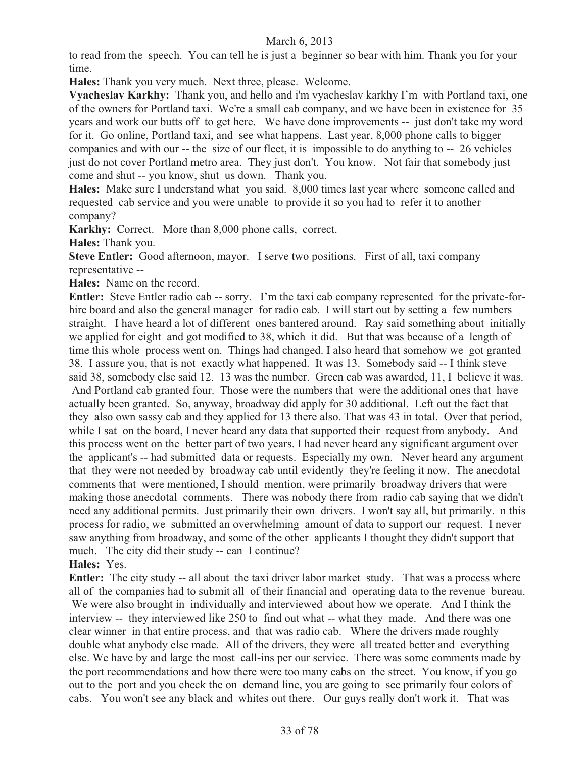to read from the speech. You can tell he is just a beginner so bear with him. Thank you for your time.

**Hales:** Thank you very much. Next three, please. Welcome.

**Vyacheslav Karkhy:** Thank you, and hello and i'm vyacheslav karkhy I'm with Portland taxi, one of the owners for Portland taxi. We're a small cab company, and we have been in existence for 35 years and work our butts off to get here. We have done improvements -- just don't take my word for it. Go online, Portland taxi, and see what happens. Last year, 8,000 phone calls to bigger companies and with our -- the size of our fleet, it is impossible to do anything to -- 26 vehicles just do not cover Portland metro area. They just don't. You know. Not fair that somebody just come and shut -- you know, shut us down. Thank you.

**Hales:** Make sure I understand what you said. 8,000 times last year where someone called and requested cab service and you were unable to provide it so you had to refer it to another company?

**Karkhy:** Correct. More than 8,000 phone calls, correct.

**Hales:** Thank you.

**Steve Entler:** Good afternoon, mayor. I serve two positions. First of all, taxi company representative --

**Hales:** Name on the record.

**Entler:** Steve Entler radio cab -- sorry. I'm the taxi cab company represented for the private-forhire board and also the general manager for radio cab. I will start out by setting a few numbers straight. I have heard a lot of different ones bantered around. Ray said something about initially we applied for eight and got modified to 38, which it did. But that was because of a length of time this whole process went on. Things had changed. I also heard that somehow we got granted 38. I assure you, that is not exactly what happened. It was 13. Somebody said -- I think steve said 38, somebody else said 12. 13 was the number. Green cab was awarded, 11, I believe it was. And Portland cab granted four. Those were the numbers that were the additional ones that have actually been granted. So, anyway, broadway did apply for 30 additional. Left out the fact that they also own sassy cab and they applied for 13 there also. That was 43 in total. Over that period, while I sat on the board, I never heard any data that supported their request from anybody. And this process went on the better part of two years. I had never heard any significant argument over the applicant's -- had submitted data or requests. Especially my own. Never heard any argument that they were not needed by broadway cab until evidently they're feeling it now. The anecdotal comments that were mentioned, I should mention, were primarily broadway drivers that were making those anecdotal comments. There was nobody there from radio cab saying that we didn't need any additional permits. Just primarily their own drivers. I won't say all, but primarily. n this process for radio, we submitted an overwhelming amount of data to support our request. I never saw anything from broadway, and some of the other applicants I thought they didn't support that much. The city did their study -- can I continue?

## **Hales:** Yes.

**Entler:** The city study -- all about the taxi driver labor market study. That was a process where all of the companies had to submit all of their financial and operating data to the revenue bureau. We were also brought in individually and interviewed about how we operate. And I think the interview -- they interviewed like 250 to find out what -- what they made. And there was one clear winner in that entire process, and that was radio cab. Where the drivers made roughly double what anybody else made. All of the drivers, they were all treated better and everything else. We have by and large the most call-ins per our service. There was some comments made by the port recommendations and how there were too many cabs on the street. You know, if you go out to the port and you check the on demand line, you are going to see primarily four colors of cabs. You won't see any black and whites out there. Our guys really don't work it. That was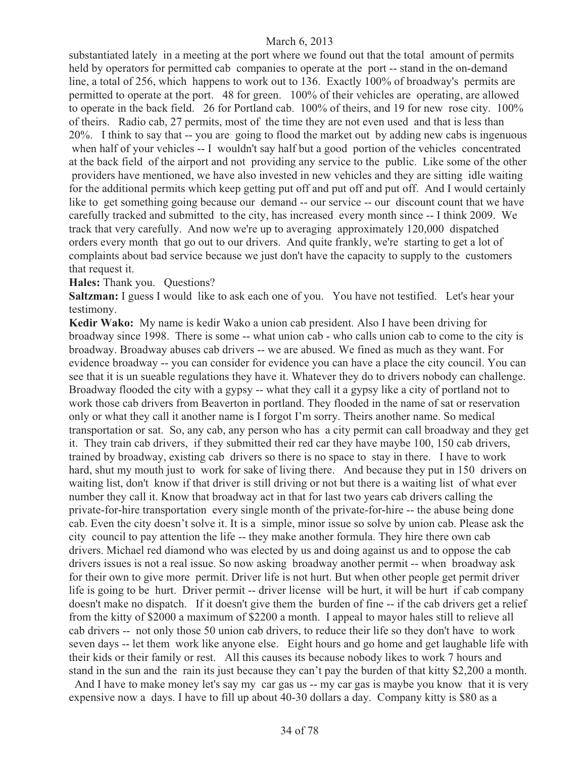substantiated lately in a meeting at the port where we found out that the total amount of permits held by operators for permitted cab companies to operate at the port -- stand in the on-demand line, a total of 256, which happens to work out to 136. Exactly 100% of broadway's permits are permitted to operate at the port. 48 for green. 100% of their vehicles are operating, are allowed to operate in the back field. 26 for Portland cab. 100% of theirs, and 19 for new rose city. 100% of theirs. Radio cab, 27 permits, most of the time they are not even used and that is less than 20%. I think to say that -- you are going to flood the market out by adding new cabs is ingenuous when half of your vehicles -- I wouldn't say half but a good portion of the vehicles concentrated at the back field of the airport and not providing any service to the public. Like some of the other providers have mentioned, we have also invested in new vehicles and they are sitting idle waiting for the additional permits which keep getting put off and put off and put off. And I would certainly like to get something going because our demand -- our service -- our discount count that we have carefully tracked and submitted to the city, has increased every month since -- I think 2009. We track that very carefully. And now we're up to averaging approximately 120,000 dispatched orders every month that go out to our drivers. And quite frankly, we're starting to get a lot of complaints about bad service because we just don't have the capacity to supply to the customers that request it.

#### **Hales:** Thank you. Questions?

**Saltzman:** I guess I would like to ask each one of you. You have not testified. Let's hear your testimony.

**Kedir Wako:** My name is kedir Wako a union cab president. Also I have been driving for broadway since 1998. There is some -- what union cab - who calls union cab to come to the city is broadway. Broadway abuses cab drivers -- we are abused. We fined as much as they want. For evidence broadway -- you can consider for evidence you can have a place the city council. You can see that it is un sueable regulations they have it. Whatever they do to drivers nobody can challenge. Broadway flooded the city with a gypsy -- what they call it a gypsy like a city of portland not to work those cab drivers from Beaverton in portland. They flooded in the name of sat or reservation only or what they call it another name is I forgot I'm sorry. Theirs another name. So medical transportation or sat. So, any cab, any person who has a city permit can call broadway and they get it. They train cab drivers, if they submitted their red car they have maybe 100, 150 cab drivers, trained by broadway, existing cab drivers so there is no space to stay in there. I have to work hard, shut my mouth just to work for sake of living there. And because they put in 150 drivers on waiting list, don't know if that driver is still driving or not but there is a waiting list of what ever number they call it. Know that broadway act in that for last two years cab drivers calling the private-for-hire transportation every single month of the private-for-hire -- the abuse being done cab. Even the city doesn't solve it. It is a simple, minor issue so solve by union cab. Please ask the city council to pay attention the life -- they make another formula. They hire there own cab drivers. Michael red diamond who was elected by us and doing against us and to oppose the cab drivers issues is not a real issue. So now asking broadway another permit -- when broadway ask for their own to give more permit. Driver life is not hurt. But when other people get permit driver life is going to be hurt. Driver permit -- driver license will be hurt, it will be hurt if cab company doesn't make no dispatch. If it doesn't give them the burden of fine -- if the cab drivers get a relief from the kitty of \$2000 a maximum of \$2200 a month. I appeal to mayor hales still to relieve all cab drivers -- not only those 50 union cab drivers, to reduce their life so they don't have to work seven days -- let them work like anyone else. Eight hours and go home and get laughable life with their kids or their family or rest. All this causes its because nobody likes to work 7 hours and stand in the sun and the rain its just because they can't pay the burden of that kitty \$2,200 a month.

And I have to make money let's say my car gas us -- my car gas is maybe you know that it is very expensive now a days. I have to fill up about 40-30 dollars a day. Company kitty is \$80 as a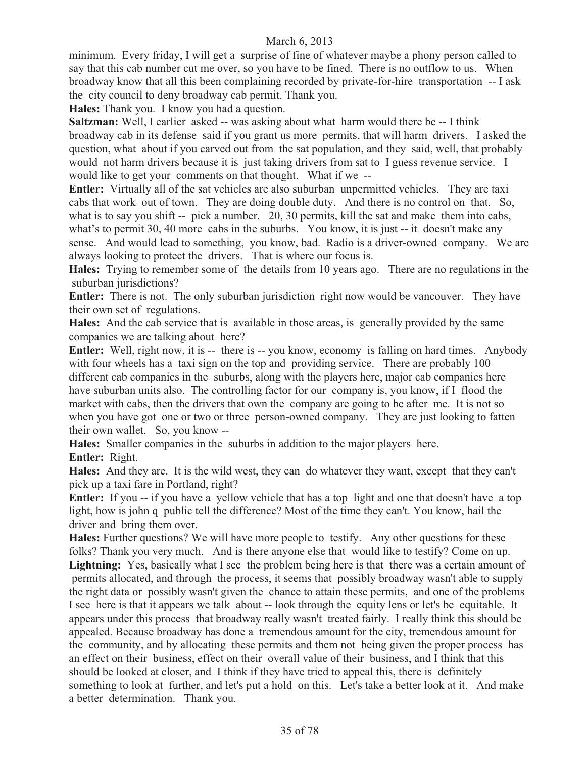minimum. Every friday, I will get a surprise of fine of whatever maybe a phony person called to say that this cab number cut me over, so you have to be fined. There is no outflow to us. When broadway know that all this been complaining recorded by private-for-hire transportation -- I ask the city council to deny broadway cab permit. Thank you.

**Hales:** Thank you. I know you had a question.

**Saltzman:** Well, I earlier asked -- was asking about what harm would there be -- I think broadway cab in its defense said if you grant us more permits, that will harm drivers. I asked the question, what about if you carved out from the sat population, and they said, well, that probably would not harm drivers because it is just taking drivers from sat to I guess revenue service. I would like to get your comments on that thought. What if we --

**Entler:** Virtually all of the sat vehicles are also suburban unpermitted vehicles. They are taxi cabs that work out of town. They are doing double duty. And there is no control on that. So, what is to say you shift -- pick a number. 20, 30 permits, kill the sat and make them into cabs, what's to permit 30, 40 more cabs in the suburbs. You know, it is just -- it doesn't make any sense. And would lead to something, you know, bad. Radio is a driver-owned company. We are always looking to protect the drivers. That is where our focus is.

**Hales:** Trying to remember some of the details from 10 years ago. There are no regulations in the suburban jurisdictions?

**Entler:** There is not. The only suburban jurisdiction right now would be vancouver. They have their own set of regulations.

**Hales:** And the cab service that is available in those areas, is generally provided by the same companies we are talking about here?

**Entler:** Well, right now, it is -- there is -- you know, economy is falling on hard times. Anybody with four wheels has a taxi sign on the top and providing service. There are probably 100 different cab companies in the suburbs, along with the players here, major cab companies here have suburban units also. The controlling factor for our company is, you know, if I flood the market with cabs, then the drivers that own the company are going to be after me. It is not so when you have got one or two or three person-owned company. They are just looking to fatten their own wallet. So, you know --

**Hales:** Smaller companies in the suburbs in addition to the major players here. **Entler:** Right.

**Hales:** And they are. It is the wild west, they can do whatever they want, except that they can't pick up a taxi fare in Portland, right?

**Entler:** If you -- if you have a yellow vehicle that has a top light and one that doesn't have a top light, how is john q public tell the difference? Most of the time they can't. You know, hail the driver and bring them over.

**Hales:** Further questions? We will have more people to testify. Any other questions for these folks? Thank you very much. And is there anyone else that would like to testify? Come on up. Lightning: Yes, basically what I see the problem being here is that there was a certain amount of permits allocated, and through the process, it seems that possibly broadway wasn't able to supply the right data or possibly wasn't given the chance to attain these permits, and one of the problems I see here is that it appears we talk about -- look through the equity lens or let's be equitable. It appears under this process that broadway really wasn't treated fairly. I really think this should be appealed. Because broadway has done a tremendous amount for the city, tremendous amount for the community, and by allocating these permits and them not being given the proper process has an effect on their business, effect on their overall value of their business, and I think that this should be looked at closer, and I think if they have tried to appeal this, there is definitely something to look at further, and let's put a hold on this. Let's take a better look at it. And make a better determination. Thank you.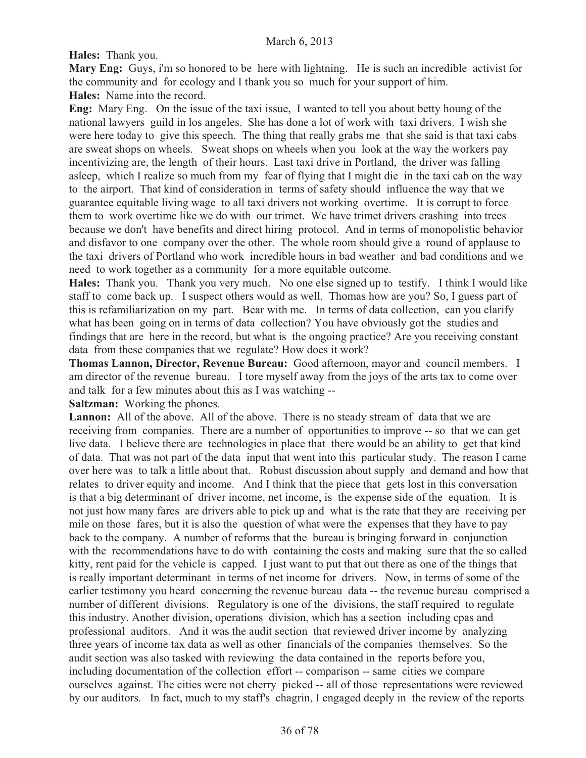**Hales:** Thank you.

**Mary Eng:** Guys, i'm so honored to be here with lightning. He is such an incredible activist for the community and for ecology and I thank you so much for your support of him. **Hales:** Name into the record.

**Eng:** Mary Eng. On the issue of the taxi issue, I wanted to tell you about betty houng of the national lawyers guild in los angeles. She has done a lot of work with taxi drivers. I wish she were here today to give this speech. The thing that really grabs me that she said is that taxi cabs are sweat shops on wheels. Sweat shops on wheels when you look at the way the workers pay incentivizing are, the length of their hours. Last taxi drive in Portland, the driver was falling asleep, which I realize so much from my fear of flying that I might die in the taxi cab on the way to the airport. That kind of consideration in terms of safety should influence the way that we guarantee equitable living wage to all taxi drivers not working overtime. It is corrupt to force them to work overtime like we do with our trimet. We have trimet drivers crashing into trees because we don't have benefits and direct hiring protocol. And in terms of monopolistic behavior and disfavor to one company over the other. The whole room should give a round of applause to the taxi drivers of Portland who work incredible hours in bad weather and bad conditions and we need to work together as a community for a more equitable outcome.

**Hales:** Thank you. Thank you very much. No one else signed up to testify. I think I would like staff to come back up. I suspect others would as well. Thomas how are you? So, I guess part of this is refamiliarization on my part. Bear with me. In terms of data collection, can you clarify what has been going on in terms of data collection? You have obviously got the studies and findings that are here in the record, but what is the ongoing practice? Are you receiving constant data from these companies that we regulate? How does it work?

**Thomas Lannon, Director, Revenue Bureau:** Good afternoon, mayor and council members. I am director of the revenue bureau. I tore myself away from the joys of the arts tax to come over and talk for a few minutes about this as I was watching --

**Saltzman:** Working the phones.

Lannon: All of the above. All of the above. There is no steady stream of data that we are receiving from companies. There are a number of opportunities to improve -- so that we can get live data. I believe there are technologies in place that there would be an ability to get that kind of data. That was not part of the data input that went into this particular study. The reason I came over here was to talk a little about that. Robust discussion about supply and demand and how that relates to driver equity and income. And I think that the piece that gets lost in this conversation is that a big determinant of driver income, net income, is the expense side of the equation. It is not just how many fares are drivers able to pick up and what is the rate that they are receiving per mile on those fares, but it is also the question of what were the expenses that they have to pay back to the company. A number of reforms that the bureau is bringing forward in conjunction with the recommendations have to do with containing the costs and making sure that the so called kitty, rent paid for the vehicle is capped. I just want to put that out there as one of the things that is really important determinant in terms of net income for drivers. Now, in terms of some of the earlier testimony you heard concerning the revenue bureau data -- the revenue bureau comprised a number of different divisions. Regulatory is one of the divisions, the staff required to regulate this industry. Another division, operations division, which has a section including cpas and professional auditors. And it was the audit section that reviewed driver income by analyzing three years of income tax data as well as other financials of the companies themselves. So the audit section was also tasked with reviewing the data contained in the reports before you, including documentation of the collection effort -- comparison -- same cities we compare ourselves against. The cities were not cherry picked -- all of those representations were reviewed by our auditors. In fact, much to my staff's chagrin, I engaged deeply in the review of the reports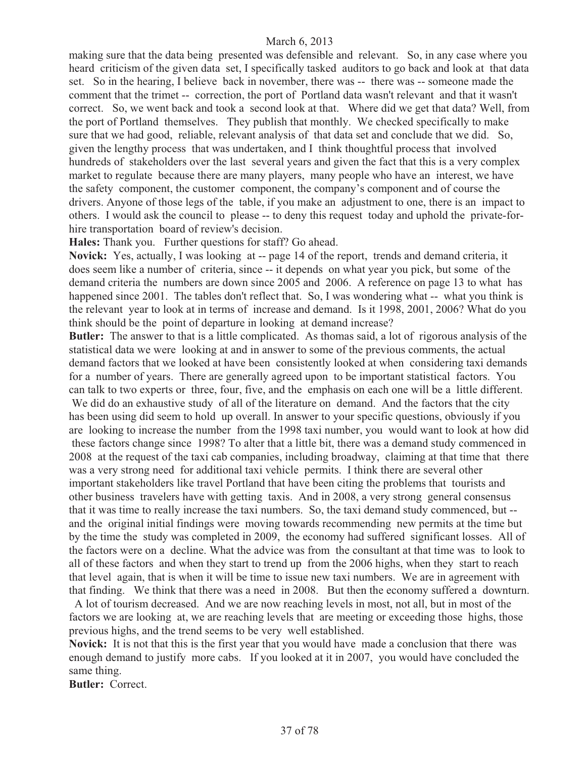making sure that the data being presented was defensible and relevant. So, in any case where you heard criticism of the given data set, I specifically tasked auditors to go back and look at that data set. So in the hearing, I believe back in november, there was -- there was -- someone made the comment that the trimet -- correction, the port of Portland data wasn't relevant and that it wasn't correct. So, we went back and took a second look at that. Where did we get that data? Well, from the port of Portland themselves. They publish that monthly. We checked specifically to make sure that we had good, reliable, relevant analysis of that data set and conclude that we did. So, given the lengthy process that was undertaken, and I think thoughtful process that involved hundreds of stakeholders over the last several years and given the fact that this is a very complex market to regulate because there are many players, many people who have an interest, we have the safety component, the customer component, the company's component and of course the drivers. Anyone of those legs of the table, if you make an adjustment to one, there is an impact to others. I would ask the council to please -- to deny this request today and uphold the private-forhire transportation board of review's decision.

**Hales:** Thank you. Further questions for staff? Go ahead.

**Novick:** Yes, actually, I was looking at -- page 14 of the report, trends and demand criteria, it does seem like a number of criteria, since -- it depends on what year you pick, but some of the demand criteria the numbers are down since 2005 and 2006. A reference on page 13 to what has happened since 2001. The tables don't reflect that. So, I was wondering what -- what you think is the relevant year to look at in terms of increase and demand. Is it 1998, 2001, 2006? What do you think should be the point of departure in looking at demand increase?

**Butler:** The answer to that is a little complicated. As thomas said, a lot of rigorous analysis of the statistical data we were looking at and in answer to some of the previous comments, the actual demand factors that we looked at have been consistently looked at when considering taxi demands for a number of years. There are generally agreed upon to be important statistical factors. You can talk to two experts or three, four, five, and the emphasis on each one will be a little different.

We did do an exhaustive study of all of the literature on demand. And the factors that the city has been using did seem to hold up overall. In answer to your specific questions, obviously if you are looking to increase the number from the 1998 taxi number, you would want to look at how did these factors change since 1998? To alter that a little bit, there was a demand study commenced in 2008 at the request of the taxi cab companies, including broadway, claiming at that time that there was a very strong need for additional taxi vehicle permits. I think there are several other important stakeholders like travel Portland that have been citing the problems that tourists and other business travelers have with getting taxis. And in 2008, a very strong general consensus that it was time to really increase the taxi numbers. So, the taxi demand study commenced, but - and the original initial findings were moving towards recommending new permits at the time but by the time the study was completed in 2009, the economy had suffered significant losses. All of the factors were on a decline. What the advice was from the consultant at that time was to look to all of these factors and when they start to trend up from the 2006 highs, when they start to reach that level again, that is when it will be time to issue new taxi numbers. We are in agreement with that finding. We think that there was a need in 2008. But then the economy suffered a downturn.

 A lot of tourism decreased. And we are now reaching levels in most, not all, but in most of the factors we are looking at, we are reaching levels that are meeting or exceeding those highs, those previous highs, and the trend seems to be very well established.

**Novick:** It is not that this is the first year that you would have made a conclusion that there was enough demand to justify more cabs. If you looked at it in 2007, you would have concluded the same thing.

**Butler:** Correct.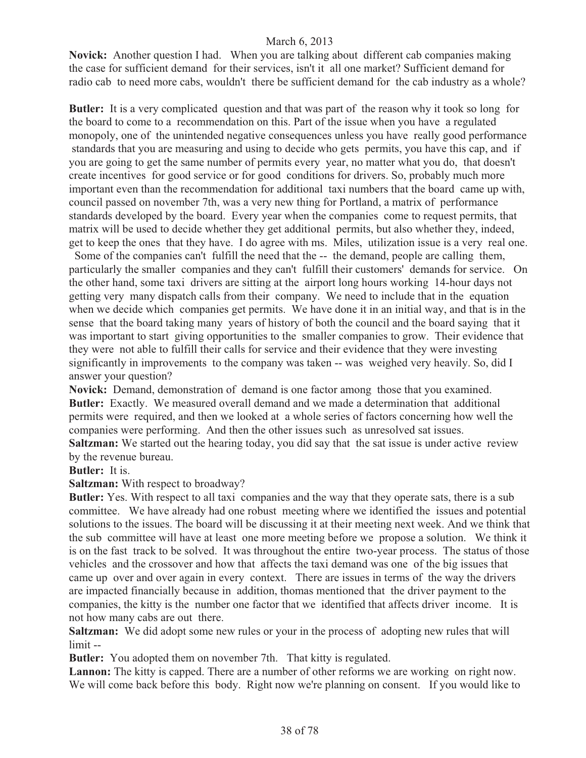**Novick:** Another question I had. When you are talking about different cab companies making the case for sufficient demand for their services, isn't it all one market? Sufficient demand for radio cab to need more cabs, wouldn't there be sufficient demand for the cab industry as a whole?

**Butler:** It is a very complicated question and that was part of the reason why it took so long for the board to come to a recommendation on this. Part of the issue when you have a regulated monopoly, one of the unintended negative consequences unless you have really good performance standards that you are measuring and using to decide who gets permits, you have this cap, and if you are going to get the same number of permits every year, no matter what you do, that doesn't create incentives for good service or for good conditions for drivers. So, probably much more important even than the recommendation for additional taxi numbers that the board came up with, council passed on november 7th, was a very new thing for Portland, a matrix of performance standards developed by the board. Every year when the companies come to request permits, that matrix will be used to decide whether they get additional permits, but also whether they, indeed, get to keep the ones that they have. I do agree with ms. Miles, utilization issue is a very real one.

 Some of the companies can't fulfill the need that the -- the demand, people are calling them, particularly the smaller companies and they can't fulfill their customers' demands for service. On the other hand, some taxi drivers are sitting at the airport long hours working 14-hour days not getting very many dispatch calls from their company. We need to include that in the equation when we decide which companies get permits. We have done it in an initial way, and that is in the sense that the board taking many years of history of both the council and the board saying that it was important to start giving opportunities to the smaller companies to grow. Their evidence that they were not able to fulfill their calls for service and their evidence that they were investing significantly in improvements to the company was taken -- was weighed very heavily. So, did I answer your question?

**Novick:** Demand, demonstration of demand is one factor among those that you examined. **Butler:** Exactly. We measured overall demand and we made a determination that additional permits were required, and then we looked at a whole series of factors concerning how well the companies were performing. And then the other issues such as unresolved sat issues.

**Saltzman:** We started out the hearing today, you did say that the sat issue is under active review by the revenue bureau.

**Butler:** It is.

**Saltzman:** With respect to broadway?

**Butler:** Yes. With respect to all taxi companies and the way that they operate sats, there is a sub committee. We have already had one robust meeting where we identified the issues and potential solutions to the issues. The board will be discussing it at their meeting next week. And we think that the sub committee will have at least one more meeting before we propose a solution. We think it is on the fast track to be solved. It was throughout the entire two-year process. The status of those vehicles and the crossover and how that affects the taxi demand was one of the big issues that came up over and over again in every context. There are issues in terms of the way the drivers are impacted financially because in addition, thomas mentioned that the driver payment to the companies, the kitty is the number one factor that we identified that affects driver income. It is not how many cabs are out there.

**Saltzman:** We did adopt some new rules or your in the process of adopting new rules that will limit --

**Butler:** You adopted them on november 7th. That kitty is regulated.

Lannon: The kitty is capped. There are a number of other reforms we are working on right now. We will come back before this body. Right now we're planning on consent. If you would like to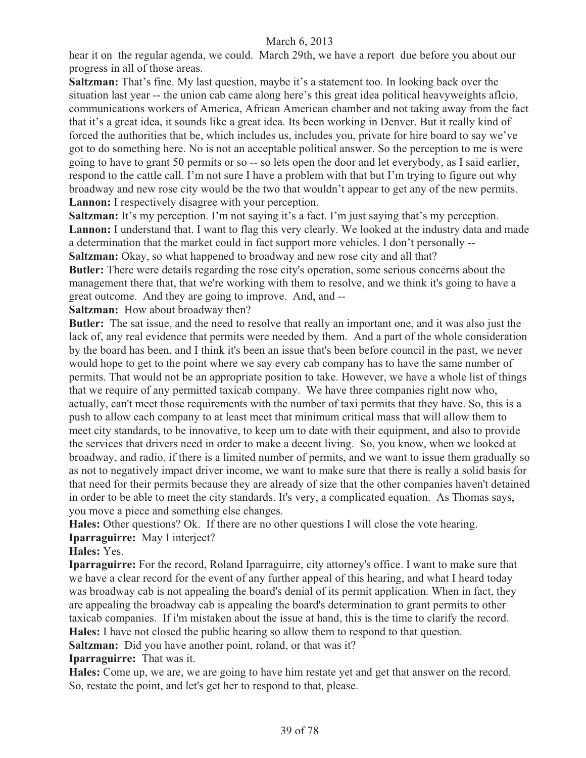hear it on the regular agenda, we could. March 29th, we have a report due before you about our progress in all of those areas.

**Saltzman:** That's fine. My last question, maybe it's a statement too. In looking back over the situation last year -- the union cab came along here's this great idea political heavyweights aflcio, communications workers of America, African American chamber and not taking away from the fact that it's a great idea, it sounds like a great idea. Its been working in Denver. But it really kind of forced the authorities that be, which includes us, includes you, private for hire board to say we've got to do something here. No is not an acceptable political answer. So the perception to me is were going to have to grant 50 permits or so -- so lets open the door and let everybody, as I said earlier, respond to the cattle call. I'm not sure I have a problem with that but I'm trying to figure out why broadway and new rose city would be the two that wouldn't appear to get any of the new permits. **Lannon:** I respectively disagree with your perception.

**Saltzman:** It's my perception. I'm not saying it's a fact. I'm just saying that's my perception. **Lannon:** I understand that. I want to flag this very clearly. We looked at the industry data and made a determination that the market could in fact support more vehicles. I don't personally -- Saltzman: Okay, so what happened to broadway and new rose city and all that?

**Butler:** There were details regarding the rose city's operation, some serious concerns about the management there that, that we're working with them to resolve, and we think it's going to have a great outcome. And they are going to improve. And, and --

**Saltzman:** How about broadway then?

**Butler:** The sat issue, and the need to resolve that really an important one, and it was also just the lack of, any real evidence that permits were needed by them. And a part of the whole consideration by the board has been, and I think it's been an issue that's been before council in the past, we never would hope to get to the point where we say every cab company has to have the same number of permits. That would not be an appropriate position to take. However, we have a whole list of things that we require of any permitted taxicab company. We have three companies right now who, actually, can't meet those requirements with the number of taxi permits that they have. So, this is a push to allow each company to at least meet that minimum critical mass that will allow them to meet city standards, to be innovative, to keep um to date with their equipment, and also to provide the services that drivers need in order to make a decent living. So, you know, when we looked at broadway, and radio, if there is a limited number of permits, and we want to issue them gradually so as not to negatively impact driver income, we want to make sure that there is really a solid basis for that need for their permits because they are already of size that the other companies haven't detained in order to be able to meet the city standards. It's very, a complicated equation. As Thomas says, you move a piece and something else changes.

**Hales:** Other questions? Ok. If there are no other questions I will close the vote hearing. **Iparraguirre:** May I interject?

### **Hales:** Yes.

**Iparraguirre:** For the record, Roland Iparraguirre, city attorney's office. I want to make sure that we have a clear record for the event of any further appeal of this hearing, and what I heard today was broadway cab is not appealing the board's denial of its permit application. When in fact, they are appealing the broadway cab is appealing the board's determination to grant permits to other taxicab companies. If i'm mistaken about the issue at hand, this is the time to clarify the record. **Hales:** I have not closed the public hearing so allow them to respond to that question.

**Saltzman:** Did you have another point, roland, or that was it?

**Iparraguirre:** That was it.

**Hales:** Come up, we are, we are going to have him restate yet and get that answer on the record. So, restate the point, and let's get her to respond to that, please.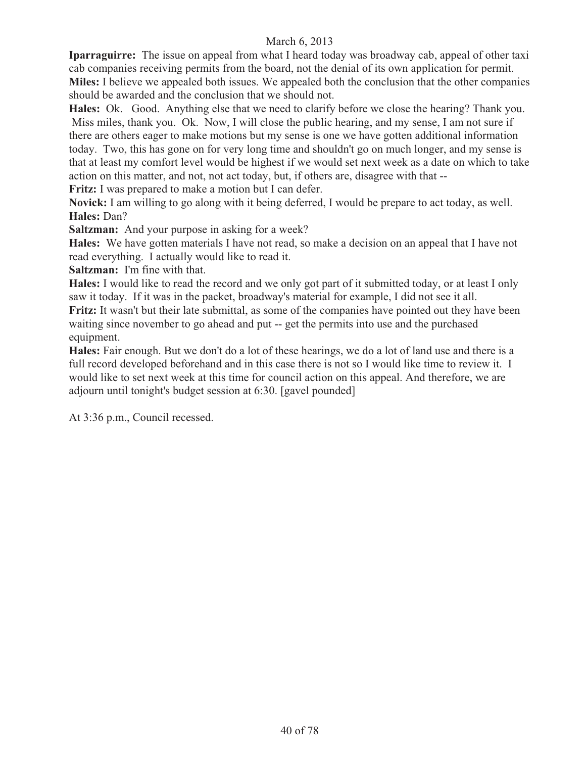**Iparraguirre:** The issue on appeal from what I heard today was broadway cab, appeal of other taxi cab companies receiving permits from the board, not the denial of its own application for permit. **Miles:** I believe we appealed both issues. We appealed both the conclusion that the other companies should be awarded and the conclusion that we should not.

**Hales:** Ok. Good. Anything else that we need to clarify before we close the hearing? Thank you. Miss miles, thank you. Ok. Now, I will close the public hearing, and my sense, I am not sure if there are others eager to make motions but my sense is one we have gotten additional information today. Two, this has gone on for very long time and shouldn't go on much longer, and my sense is that at least my comfort level would be highest if we would set next week as a date on which to take action on this matter, and not, not act today, but, if others are, disagree with that --

**Fritz:** I was prepared to make a motion but I can defer.

**Novick:** I am willing to go along with it being deferred, I would be prepare to act today, as well. **Hales:** Dan?

**Saltzman:** And your purpose in asking for a week?

**Hales:** We have gotten materials I have not read, so make a decision on an appeal that I have not read everything. I actually would like to read it.

**Saltzman:** I'm fine with that.

**Hales:** I would like to read the record and we only got part of it submitted today, or at least I only saw it today. If it was in the packet, broadway's material for example, I did not see it all. **Fritz:** It wasn't but their late submittal, as some of the companies have pointed out they have been waiting since november to go ahead and put -- get the permits into use and the purchased equipment.

**Hales:** Fair enough. But we don't do a lot of these hearings, we do a lot of land use and there is a full record developed beforehand and in this case there is not so I would like time to review it. I would like to set next week at this time for council action on this appeal. And therefore, we are adjourn until tonight's budget session at 6:30. [gavel pounded]

At 3:36 p.m., Council recessed.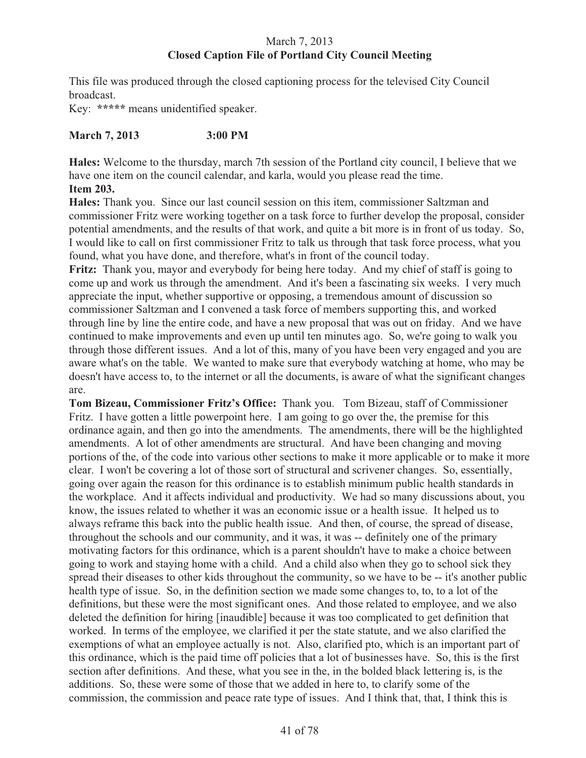# March 7, 2013 **Closed Caption File of Portland City Council Meeting**

This file was produced through the closed captioning process for the televised City Council broadcast.

Key: **\*\*\*\*\*** means unidentified speaker.

# **March 7, 2013 3:00 PM**

**Hales:** Welcome to the thursday, march 7th session of the Portland city council, I believe that we have one item on the council calendar, and karla, would you please read the time. **Item 203.**

**Hales:** Thank you. Since our last council session on this item, commissioner Saltzman and commissioner Fritz were working together on a task force to further develop the proposal, consider potential amendments, and the results of that work, and quite a bit more is in front of us today. So, I would like to call on first commissioner Fritz to talk us through that task force process, what you found, what you have done, and therefore, what's in front of the council today.

**Fritz:** Thank you, mayor and everybody for being here today. And my chief of staff is going to come up and work us through the amendment. And it's been a fascinating six weeks. I very much appreciate the input, whether supportive or opposing, a tremendous amount of discussion so commissioner Saltzman and I convened a task force of members supporting this, and worked through line by line the entire code, and have a new proposal that was out on friday. And we have continued to make improvements and even up until ten minutes ago. So, we're going to walk you through those different issues. And a lot of this, many of you have been very engaged and you are aware what's on the table. We wanted to make sure that everybody watching at home, who may be doesn't have access to, to the internet or all the documents, is aware of what the significant changes are.

**Tom Bizeau, Commissioner Fritz's Office:** Thank you. Tom Bizeau, staff of Commissioner Fritz. I have gotten a little powerpoint here. I am going to go over the, the premise for this ordinance again, and then go into the amendments. The amendments, there will be the highlighted amendments. A lot of other amendments are structural. And have been changing and moving portions of the, of the code into various other sections to make it more applicable or to make it more clear. I won't be covering a lot of those sort of structural and scrivener changes. So, essentially, going over again the reason for this ordinance is to establish minimum public health standards in the workplace. And it affects individual and productivity. We had so many discussions about, you know, the issues related to whether it was an economic issue or a health issue. It helped us to always reframe this back into the public health issue. And then, of course, the spread of disease, throughout the schools and our community, and it was, it was -- definitely one of the primary motivating factors for this ordinance, which is a parent shouldn't have to make a choice between going to work and staying home with a child. And a child also when they go to school sick they spread their diseases to other kids throughout the community, so we have to be -- it's another public health type of issue. So, in the definition section we made some changes to, to, to a lot of the definitions, but these were the most significant ones. And those related to employee, and we also deleted the definition for hiring [inaudible] because it was too complicated to get definition that worked. In terms of the employee, we clarified it per the state statute, and we also clarified the exemptions of what an employee actually is not. Also, clarified pto, which is an important part of this ordinance, which is the paid time off policies that a lot of businesses have. So, this is the first section after definitions. And these, what you see in the, in the bolded black lettering is, is the additions. So, these were some of those that we added in here to, to clarify some of the commission, the commission and peace rate type of issues. And I think that, that, I think this is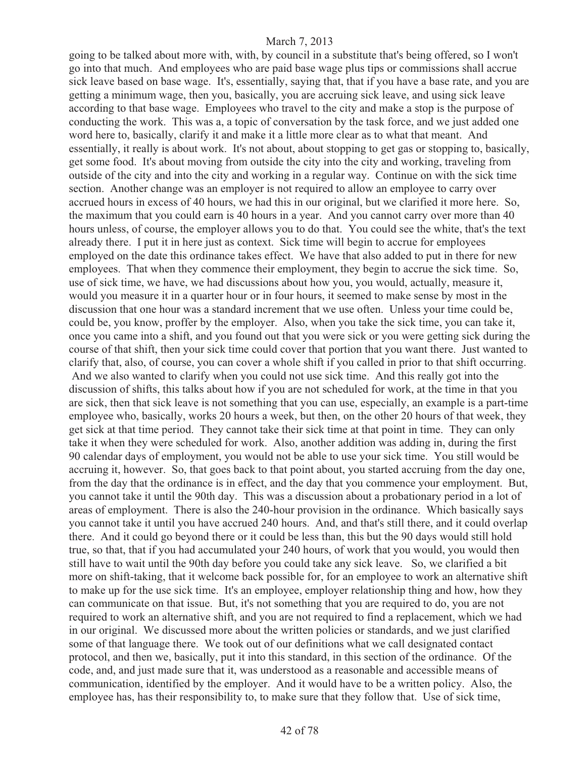going to be talked about more with, with, by council in a substitute that's being offered, so I won't go into that much. And employees who are paid base wage plus tips or commissions shall accrue sick leave based on base wage. It's, essentially, saying that, that if you have a base rate, and you are getting a minimum wage, then you, basically, you are accruing sick leave, and using sick leave according to that base wage. Employees who travel to the city and make a stop is the purpose of conducting the work. This was a, a topic of conversation by the task force, and we just added one word here to, basically, clarify it and make it a little more clear as to what that meant. And essentially, it really is about work. It's not about, about stopping to get gas or stopping to, basically, get some food. It's about moving from outside the city into the city and working, traveling from outside of the city and into the city and working in a regular way. Continue on with the sick time section. Another change was an employer is not required to allow an employee to carry over accrued hours in excess of 40 hours, we had this in our original, but we clarified it more here. So, the maximum that you could earn is 40 hours in a year. And you cannot carry over more than 40 hours unless, of course, the employer allows you to do that. You could see the white, that's the text already there. I put it in here just as context. Sick time will begin to accrue for employees employed on the date this ordinance takes effect. We have that also added to put in there for new employees. That when they commence their employment, they begin to accrue the sick time. So, use of sick time, we have, we had discussions about how you, you would, actually, measure it, would you measure it in a quarter hour or in four hours, it seemed to make sense by most in the discussion that one hour was a standard increment that we use often. Unless your time could be, could be, you know, proffer by the employer. Also, when you take the sick time, you can take it, once you came into a shift, and you found out that you were sick or you were getting sick during the course of that shift, then your sick time could cover that portion that you want there. Just wanted to clarify that, also, of course, you can cover a whole shift if you called in prior to that shift occurring. And we also wanted to clarify when you could not use sick time. And this really got into the discussion of shifts, this talks about how if you are not scheduled for work, at the time in that you are sick, then that sick leave is not something that you can use, especially, an example is a part-time employee who, basically, works 20 hours a week, but then, on the other 20 hours of that week, they get sick at that time period. They cannot take their sick time at that point in time. They can only take it when they were scheduled for work. Also, another addition was adding in, during the first 90 calendar days of employment, you would not be able to use your sick time. You still would be accruing it, however. So, that goes back to that point about, you started accruing from the day one, from the day that the ordinance is in effect, and the day that you commence your employment. But, you cannot take it until the 90th day. This was a discussion about a probationary period in a lot of areas of employment. There is also the 240-hour provision in the ordinance. Which basically says you cannot take it until you have accrued 240 hours. And, and that's still there, and it could overlap there. And it could go beyond there or it could be less than, this but the 90 days would still hold true, so that, that if you had accumulated your 240 hours, of work that you would, you would then still have to wait until the 90th day before you could take any sick leave. So, we clarified a bit more on shift-taking, that it welcome back possible for, for an employee to work an alternative shift to make up for the use sick time. It's an employee, employer relationship thing and how, how they can communicate on that issue. But, it's not something that you are required to do, you are not required to work an alternative shift, and you are not required to find a replacement, which we had in our original. We discussed more about the written policies or standards, and we just clarified some of that language there. We took out of our definitions what we call designated contact protocol, and then we, basically, put it into this standard, in this section of the ordinance. Of the code, and, and just made sure that it, was understood as a reasonable and accessible means of communication, identified by the employer. And it would have to be a written policy. Also, the employee has, has their responsibility to, to make sure that they follow that. Use of sick time,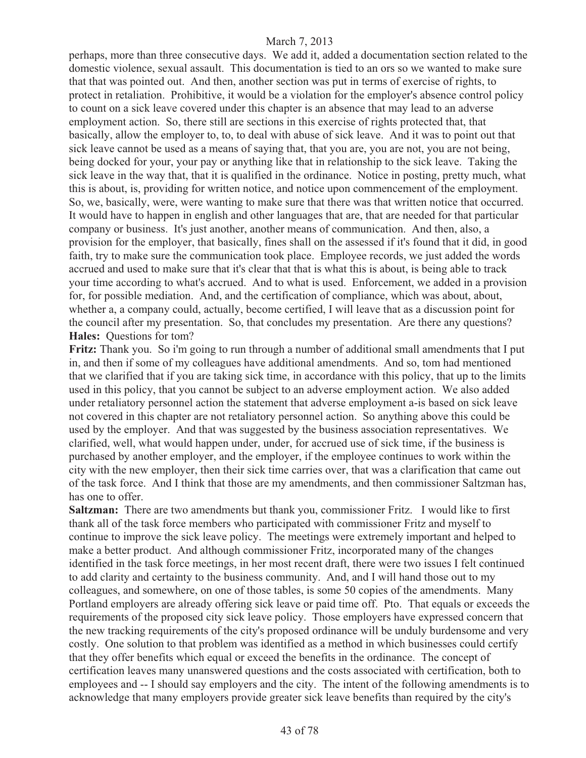perhaps, more than three consecutive days. We add it, added a documentation section related to the domestic violence, sexual assault. This documentation is tied to an ors so we wanted to make sure that that was pointed out. And then, another section was put in terms of exercise of rights, to protect in retaliation. Prohibitive, it would be a violation for the employer's absence control policy to count on a sick leave covered under this chapter is an absence that may lead to an adverse employment action. So, there still are sections in this exercise of rights protected that, that basically, allow the employer to, to, to deal with abuse of sick leave. And it was to point out that sick leave cannot be used as a means of saying that, that you are, you are not, you are not being, being docked for your, your pay or anything like that in relationship to the sick leave. Taking the sick leave in the way that, that it is qualified in the ordinance. Notice in posting, pretty much, what this is about, is, providing for written notice, and notice upon commencement of the employment. So, we, basically, were, were wanting to make sure that there was that written notice that occurred. It would have to happen in english and other languages that are, that are needed for that particular company or business. It's just another, another means of communication. And then, also, a provision for the employer, that basically, fines shall on the assessed if it's found that it did, in good faith, try to make sure the communication took place. Employee records, we just added the words accrued and used to make sure that it's clear that that is what this is about, is being able to track your time according to what's accrued. And to what is used. Enforcement, we added in a provision for, for possible mediation. And, and the certification of compliance, which was about, about, whether a, a company could, actually, become certified, I will leave that as a discussion point for the council after my presentation. So, that concludes my presentation. Are there any questions? **Hales:** Questions for tom?

**Fritz:** Thank you. So i'm going to run through a number of additional small amendments that I put in, and then if some of my colleagues have additional amendments. And so, tom had mentioned that we clarified that if you are taking sick time, in accordance with this policy, that up to the limits used in this policy, that you cannot be subject to an adverse employment action. We also added under retaliatory personnel action the statement that adverse employment a-is based on sick leave not covered in this chapter are not retaliatory personnel action. So anything above this could be used by the employer. And that was suggested by the business association representatives. We clarified, well, what would happen under, under, for accrued use of sick time, if the business is purchased by another employer, and the employer, if the employee continues to work within the city with the new employer, then their sick time carries over, that was a clarification that came out of the task force. And I think that those are my amendments, and then commissioner Saltzman has, has one to offer.

**Saltzman:** There are two amendments but thank you, commissioner Fritz. I would like to first thank all of the task force members who participated with commissioner Fritz and myself to continue to improve the sick leave policy. The meetings were extremely important and helped to make a better product. And although commissioner Fritz, incorporated many of the changes identified in the task force meetings, in her most recent draft, there were two issues I felt continued to add clarity and certainty to the business community. And, and I will hand those out to my colleagues, and somewhere, on one of those tables, is some 50 copies of the amendments. Many Portland employers are already offering sick leave or paid time off. Pto. That equals or exceeds the requirements of the proposed city sick leave policy. Those employers have expressed concern that the new tracking requirements of the city's proposed ordinance will be unduly burdensome and very costly. One solution to that problem was identified as a method in which businesses could certify that they offer benefits which equal or exceed the benefits in the ordinance. The concept of certification leaves many unanswered questions and the costs associated with certification, both to employees and -- I should say employers and the city. The intent of the following amendments is to acknowledge that many employers provide greater sick leave benefits than required by the city's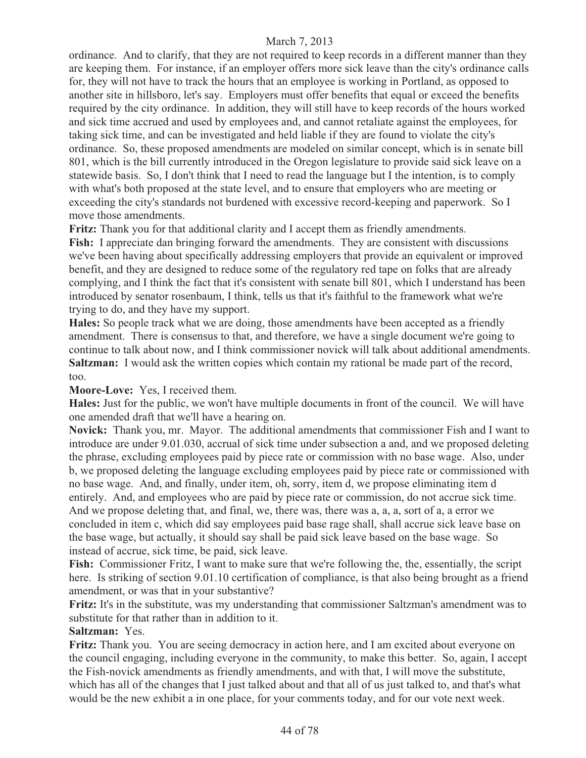ordinance. And to clarify, that they are not required to keep records in a different manner than they are keeping them. For instance, if an employer offers more sick leave than the city's ordinance calls for, they will not have to track the hours that an employee is working in Portland, as opposed to another site in hillsboro, let's say. Employers must offer benefits that equal or exceed the benefits required by the city ordinance. In addition, they will still have to keep records of the hours worked and sick time accrued and used by employees and, and cannot retaliate against the employees, for taking sick time, and can be investigated and held liable if they are found to violate the city's ordinance. So, these proposed amendments are modeled on similar concept, which is in senate bill 801, which is the bill currently introduced in the Oregon legislature to provide said sick leave on a statewide basis. So, I don't think that I need to read the language but I the intention, is to comply with what's both proposed at the state level, and to ensure that employers who are meeting or exceeding the city's standards not burdened with excessive record-keeping and paperwork. So I move those amendments.

**Fritz:** Thank you for that additional clarity and I accept them as friendly amendments.

**Fish:** I appreciate dan bringing forward the amendments. They are consistent with discussions we've been having about specifically addressing employers that provide an equivalent or improved benefit, and they are designed to reduce some of the regulatory red tape on folks that are already complying, and I think the fact that it's consistent with senate bill 801, which I understand has been introduced by senator rosenbaum, I think, tells us that it's faithful to the framework what we're trying to do, and they have my support.

**Hales:** So people track what we are doing, those amendments have been accepted as a friendly amendment. There is consensus to that, and therefore, we have a single document we're going to continue to talk about now, and I think commissioner novick will talk about additional amendments. **Saltzman:** I would ask the written copies which contain my rational be made part of the record, too.

**Moore-Love:** Yes, I received them.

**Hales:** Just for the public, we won't have multiple documents in front of the council. We will have one amended draft that we'll have a hearing on.

**Novick:** Thank you, mr. Mayor. The additional amendments that commissioner Fish and I want to introduce are under 9.01.030, accrual of sick time under subsection a and, and we proposed deleting the phrase, excluding employees paid by piece rate or commission with no base wage. Also, under b, we proposed deleting the language excluding employees paid by piece rate or commissioned with no base wage. And, and finally, under item, oh, sorry, item d, we propose eliminating item d entirely. And, and employees who are paid by piece rate or commission, do not accrue sick time. And we propose deleting that, and final, we, there was, there was a, a, a, sort of a, a error we concluded in item c, which did say employees paid base rage shall, shall accrue sick leave base on the base wage, but actually, it should say shall be paid sick leave based on the base wage. So instead of accrue, sick time, be paid, sick leave.

**Fish:** Commissioner Fritz, I want to make sure that we're following the, the, essentially, the script here. Is striking of section 9.01.10 certification of compliance, is that also being brought as a friend amendment, or was that in your substantive?

**Fritz:** It's in the substitute, was my understanding that commissioner Saltzman's amendment was to substitute for that rather than in addition to it.

# **Saltzman:** Yes.

**Fritz:** Thank you. You are seeing democracy in action here, and I am excited about everyone on the council engaging, including everyone in the community, to make this better. So, again, I accept the Fish-novick amendments as friendly amendments, and with that, I will move the substitute, which has all of the changes that I just talked about and that all of us just talked to, and that's what would be the new exhibit a in one place, for your comments today, and for our vote next week.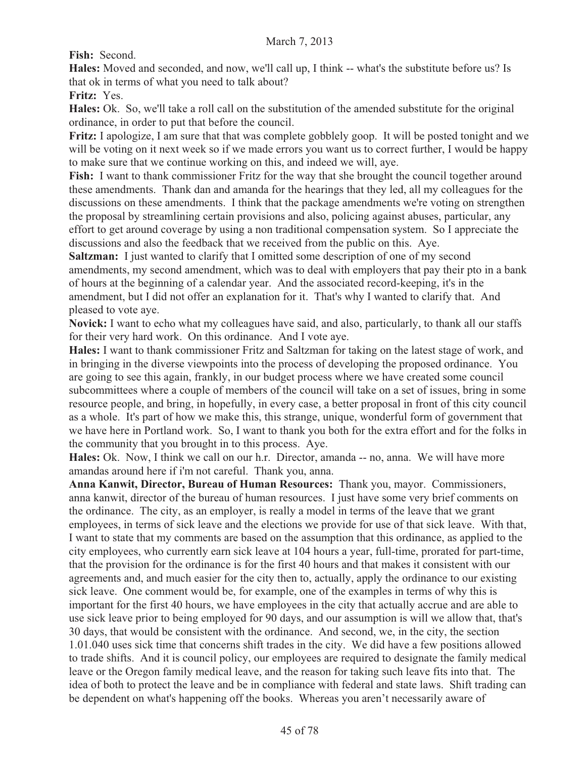**Fish:** Second.

**Hales:** Moved and seconded, and now, we'll call up, I think -- what's the substitute before us? Is that ok in terms of what you need to talk about?

**Fritz:** Yes.

**Hales:** Ok. So, we'll take a roll call on the substitution of the amended substitute for the original ordinance, in order to put that before the council.

**Fritz:** I apologize, I am sure that that was complete gobblely goop. It will be posted tonight and we will be voting on it next week so if we made errors you want us to correct further, I would be happy to make sure that we continue working on this, and indeed we will, aye.

**Fish:** I want to thank commissioner Fritz for the way that she brought the council together around these amendments. Thank dan and amanda for the hearings that they led, all my colleagues for the discussions on these amendments. I think that the package amendments we're voting on strengthen the proposal by streamlining certain provisions and also, policing against abuses, particular, any effort to get around coverage by using a non traditional compensation system. So I appreciate the discussions and also the feedback that we received from the public on this. Aye.

**Saltzman:** I just wanted to clarify that I omitted some description of one of my second amendments, my second amendment, which was to deal with employers that pay their pto in a bank of hours at the beginning of a calendar year. And the associated record-keeping, it's in the amendment, but I did not offer an explanation for it. That's why I wanted to clarify that. And pleased to vote aye.

**Novick:** I want to echo what my colleagues have said, and also, particularly, to thank all our staffs for their very hard work. On this ordinance. And I vote aye.

**Hales:** I want to thank commissioner Fritz and Saltzman for taking on the latest stage of work, and in bringing in the diverse viewpoints into the process of developing the proposed ordinance. You are going to see this again, frankly, in our budget process where we have created some council subcommittees where a couple of members of the council will take on a set of issues, bring in some resource people, and bring, in hopefully, in every case, a better proposal in front of this city council as a whole. It's part of how we make this, this strange, unique, wonderful form of government that we have here in Portland work. So, I want to thank you both for the extra effort and for the folks in the community that you brought in to this process. Aye.

**Hales:** Ok. Now, I think we call on our h.r. Director, amanda -- no, anna. We will have more amandas around here if i'm not careful. Thank you, anna.

**Anna Kanwit, Director, Bureau of Human Resources:** Thank you, mayor. Commissioners, anna kanwit, director of the bureau of human resources. I just have some very brief comments on the ordinance. The city, as an employer, is really a model in terms of the leave that we grant employees, in terms of sick leave and the elections we provide for use of that sick leave. With that, I want to state that my comments are based on the assumption that this ordinance, as applied to the city employees, who currently earn sick leave at 104 hours a year, full-time, prorated for part-time, that the provision for the ordinance is for the first 40 hours and that makes it consistent with our agreements and, and much easier for the city then to, actually, apply the ordinance to our existing sick leave. One comment would be, for example, one of the examples in terms of why this is important for the first 40 hours, we have employees in the city that actually accrue and are able to use sick leave prior to being employed for 90 days, and our assumption is will we allow that, that's 30 days, that would be consistent with the ordinance. And second, we, in the city, the section 1.01.040 uses sick time that concerns shift trades in the city. We did have a few positions allowed to trade shifts. And it is council policy, our employees are required to designate the family medical leave or the Oregon family medical leave, and the reason for taking such leave fits into that. The idea of both to protect the leave and be in compliance with federal and state laws. Shift trading can be dependent on what's happening off the books. Whereas you aren't necessarily aware of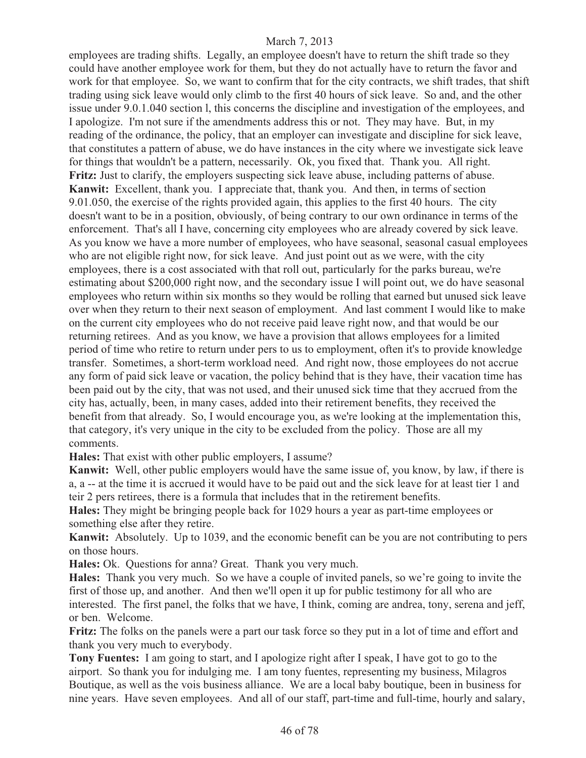employees are trading shifts. Legally, an employee doesn't have to return the shift trade so they could have another employee work for them, but they do not actually have to return the favor and work for that employee. So, we want to confirm that for the city contracts, we shift trades, that shift trading using sick leave would only climb to the first 40 hours of sick leave. So and, and the other issue under 9.0.1.040 section l, this concerns the discipline and investigation of the employees, and I apologize. I'm not sure if the amendments address this or not. They may have. But, in my reading of the ordinance, the policy, that an employer can investigate and discipline for sick leave, that constitutes a pattern of abuse, we do have instances in the city where we investigate sick leave for things that wouldn't be a pattern, necessarily. Ok, you fixed that. Thank you. All right. **Fritz:** Just to clarify, the employers suspecting sick leave abuse, including patterns of abuse. **Kanwit:** Excellent, thank you. I appreciate that, thank you. And then, in terms of section 9.01.050, the exercise of the rights provided again, this applies to the first 40 hours. The city doesn't want to be in a position, obviously, of being contrary to our own ordinance in terms of the enforcement. That's all I have, concerning city employees who are already covered by sick leave. As you know we have a more number of employees, who have seasonal, seasonal casual employees who are not eligible right now, for sick leave. And just point out as we were, with the city employees, there is a cost associated with that roll out, particularly for the parks bureau, we're estimating about \$200,000 right now, and the secondary issue I will point out, we do have seasonal employees who return within six months so they would be rolling that earned but unused sick leave over when they return to their next season of employment. And last comment I would like to make on the current city employees who do not receive paid leave right now, and that would be our returning retirees. And as you know, we have a provision that allows employees for a limited period of time who retire to return under pers to us to employment, often it's to provide knowledge transfer. Sometimes, a short-term workload need. And right now, those employees do not accrue any form of paid sick leave or vacation, the policy behind that is they have, their vacation time has been paid out by the city, that was not used, and their unused sick time that they accrued from the city has, actually, been, in many cases, added into their retirement benefits, they received the benefit from that already. So, I would encourage you, as we're looking at the implementation this, that category, it's very unique in the city to be excluded from the policy. Those are all my comments.

**Hales:** That exist with other public employers, I assume?

**Kanwit:** Well, other public employers would have the same issue of, you know, by law, if there is a, a -- at the time it is accrued it would have to be paid out and the sick leave for at least tier 1 and teir 2 pers retirees, there is a formula that includes that in the retirement benefits.

**Hales:** They might be bringing people back for 1029 hours a year as part-time employees or something else after they retire.

**Kanwit:** Absolutely. Up to 1039, and the economic benefit can be you are not contributing to pers on those hours.

**Hales:** Ok. Questions for anna? Great. Thank you very much.

**Hales:** Thank you very much. So we have a couple of invited panels, so we're going to invite the first of those up, and another. And then we'll open it up for public testimony for all who are interested. The first panel, the folks that we have, I think, coming are andrea, tony, serena and jeff, or ben. Welcome.

**Fritz:** The folks on the panels were a part our task force so they put in a lot of time and effort and thank you very much to everybody.

**Tony Fuentes:** I am going to start, and I apologize right after I speak, I have got to go to the airport. So thank you for indulging me. I am tony fuentes, representing my business, Milagros Boutique, as well as the vois business alliance. We are a local baby boutique, been in business for nine years. Have seven employees. And all of our staff, part-time and full-time, hourly and salary,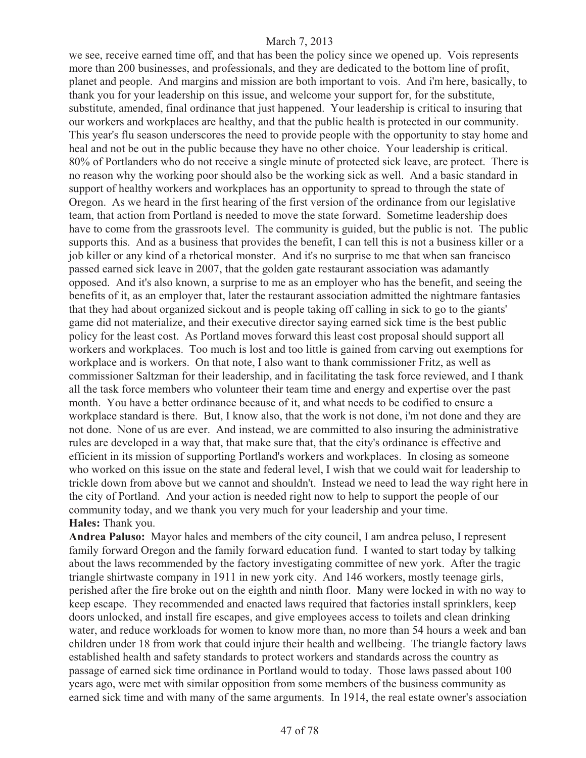we see, receive earned time off, and that has been the policy since we opened up. Vois represents more than 200 businesses, and professionals, and they are dedicated to the bottom line of profit, planet and people. And margins and mission are both important to vois. And i'm here, basically, to thank you for your leadership on this issue, and welcome your support for, for the substitute, substitute, amended, final ordinance that just happened. Your leadership is critical to insuring that our workers and workplaces are healthy, and that the public health is protected in our community. This year's flu season underscores the need to provide people with the opportunity to stay home and heal and not be out in the public because they have no other choice. Your leadership is critical. 80% of Portlanders who do not receive a single minute of protected sick leave, are protect. There is no reason why the working poor should also be the working sick as well. And a basic standard in support of healthy workers and workplaces has an opportunity to spread to through the state of Oregon. As we heard in the first hearing of the first version of the ordinance from our legislative team, that action from Portland is needed to move the state forward. Sometime leadership does have to come from the grassroots level. The community is guided, but the public is not. The public supports this. And as a business that provides the benefit, I can tell this is not a business killer or a job killer or any kind of a rhetorical monster. And it's no surprise to me that when san francisco passed earned sick leave in 2007, that the golden gate restaurant association was adamantly opposed. And it's also known, a surprise to me as an employer who has the benefit, and seeing the benefits of it, as an employer that, later the restaurant association admitted the nightmare fantasies that they had about organized sickout and is people taking off calling in sick to go to the giants' game did not materialize, and their executive director saying earned sick time is the best public policy for the least cost. As Portland moves forward this least cost proposal should support all workers and workplaces. Too much is lost and too little is gained from carving out exemptions for workplace and is workers. On that note, I also want to thank commissioner Fritz, as well as commissioner Saltzman for their leadership, and in facilitating the task force reviewed, and I thank all the task force members who volunteer their team time and energy and expertise over the past month. You have a better ordinance because of it, and what needs to be codified to ensure a workplace standard is there. But, I know also, that the work is not done, i'm not done and they are not done. None of us are ever. And instead, we are committed to also insuring the administrative rules are developed in a way that, that make sure that, that the city's ordinance is effective and efficient in its mission of supporting Portland's workers and workplaces. In closing as someone who worked on this issue on the state and federal level, I wish that we could wait for leadership to trickle down from above but we cannot and shouldn't. Instead we need to lead the way right here in the city of Portland. And your action is needed right now to help to support the people of our community today, and we thank you very much for your leadership and your time. **Hales:** Thank you.

**Andrea Paluso:** Mayor hales and members of the city council, I am andrea peluso, I represent family forward Oregon and the family forward education fund. I wanted to start today by talking about the laws recommended by the factory investigating committee of new york. After the tragic triangle shirtwaste company in 1911 in new york city. And 146 workers, mostly teenage girls, perished after the fire broke out on the eighth and ninth floor. Many were locked in with no way to keep escape. They recommended and enacted laws required that factories install sprinklers, keep doors unlocked, and install fire escapes, and give employees access to toilets and clean drinking water, and reduce workloads for women to know more than, no more than 54 hours a week and ban children under 18 from work that could injure their health and wellbeing. The triangle factory laws established health and safety standards to protect workers and standards across the country as passage of earned sick time ordinance in Portland would to today. Those laws passed about 100 years ago, were met with similar opposition from some members of the business community as earned sick time and with many of the same arguments. In 1914, the real estate owner's association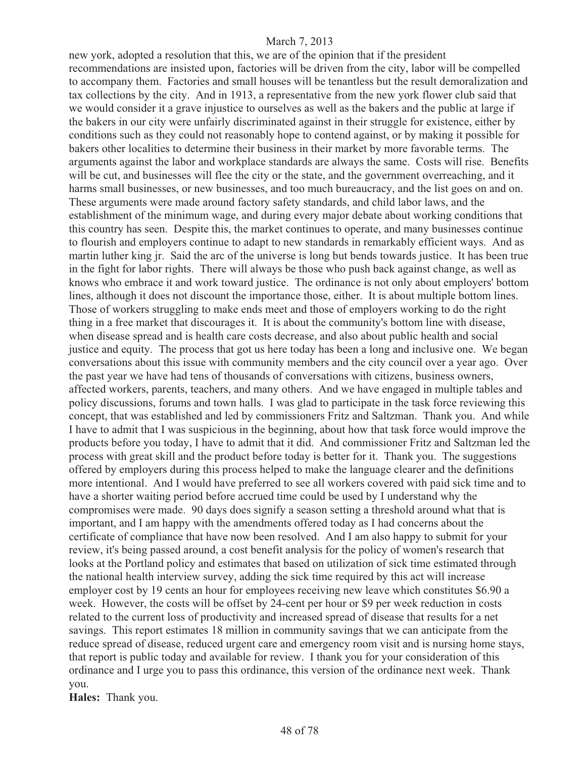new york, adopted a resolution that this, we are of the opinion that if the president recommendations are insisted upon, factories will be driven from the city, labor will be compelled to accompany them. Factories and small houses will be tenantless but the result demoralization and tax collections by the city. And in 1913, a representative from the new york flower club said that we would consider it a grave injustice to ourselves as well as the bakers and the public at large if the bakers in our city were unfairly discriminated against in their struggle for existence, either by conditions such as they could not reasonably hope to contend against, or by making it possible for bakers other localities to determine their business in their market by more favorable terms. The arguments against the labor and workplace standards are always the same. Costs will rise. Benefits will be cut, and businesses will flee the city or the state, and the government overreaching, and it harms small businesses, or new businesses, and too much bureaucracy, and the list goes on and on. These arguments were made around factory safety standards, and child labor laws, and the establishment of the minimum wage, and during every major debate about working conditions that this country has seen. Despite this, the market continues to operate, and many businesses continue to flourish and employers continue to adapt to new standards in remarkably efficient ways. And as martin luther king jr. Said the arc of the universe is long but bends towards justice. It has been true in the fight for labor rights. There will always be those who push back against change, as well as knows who embrace it and work toward justice. The ordinance is not only about employers' bottom lines, although it does not discount the importance those, either. It is about multiple bottom lines. Those of workers struggling to make ends meet and those of employers working to do the right thing in a free market that discourages it. It is about the community's bottom line with disease, when disease spread and is health care costs decrease, and also about public health and social justice and equity. The process that got us here today has been a long and inclusive one. We began conversations about this issue with community members and the city council over a year ago. Over the past year we have had tens of thousands of conversations with citizens, business owners, affected workers, parents, teachers, and many others. And we have engaged in multiple tables and policy discussions, forums and town halls. I was glad to participate in the task force reviewing this concept, that was established and led by commissioners Fritz and Saltzman. Thank you. And while I have to admit that I was suspicious in the beginning, about how that task force would improve the products before you today, I have to admit that it did. And commissioner Fritz and Saltzman led the process with great skill and the product before today is better for it. Thank you. The suggestions offered by employers during this process helped to make the language clearer and the definitions more intentional. And I would have preferred to see all workers covered with paid sick time and to have a shorter waiting period before accrued time could be used by I understand why the compromises were made. 90 days does signify a season setting a threshold around what that is important, and I am happy with the amendments offered today as I had concerns about the certificate of compliance that have now been resolved. And I am also happy to submit for your review, it's being passed around, a cost benefit analysis for the policy of women's research that looks at the Portland policy and estimates that based on utilization of sick time estimated through the national health interview survey, adding the sick time required by this act will increase employer cost by 19 cents an hour for employees receiving new leave which constitutes \$6.90 a week. However, the costs will be offset by 24-cent per hour or \$9 per week reduction in costs related to the current loss of productivity and increased spread of disease that results for a net savings. This report estimates 18 million in community savings that we can anticipate from the reduce spread of disease, reduced urgent care and emergency room visit and is nursing home stays, that report is public today and available for review. I thank you for your consideration of this ordinance and I urge you to pass this ordinance, this version of the ordinance next week. Thank you.

**Hales:** Thank you.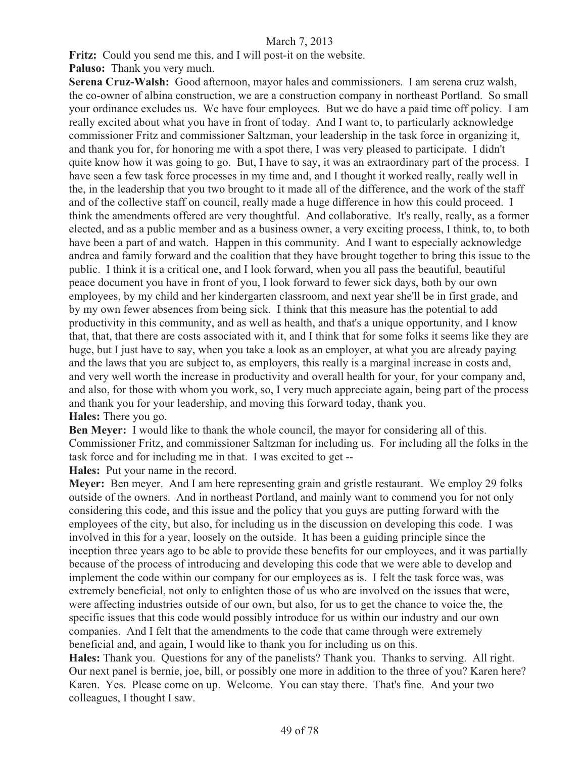Fritz: Could you send me this, and I will post-it on the website.

**Paluso:** Thank you very much.

**Serena Cruz-Walsh:** Good afternoon, mayor hales and commissioners. I am serena cruz walsh, the co-owner of albina construction, we are a construction company in northeast Portland. So small your ordinance excludes us. We have four employees. But we do have a paid time off policy. I am really excited about what you have in front of today. And I want to, to particularly acknowledge commissioner Fritz and commissioner Saltzman, your leadership in the task force in organizing it, and thank you for, for honoring me with a spot there, I was very pleased to participate. I didn't quite know how it was going to go. But, I have to say, it was an extraordinary part of the process. I have seen a few task force processes in my time and, and I thought it worked really, really well in the, in the leadership that you two brought to it made all of the difference, and the work of the staff and of the collective staff on council, really made a huge difference in how this could proceed. I think the amendments offered are very thoughtful. And collaborative. It's really, really, as a former elected, and as a public member and as a business owner, a very exciting process, I think, to, to both have been a part of and watch. Happen in this community. And I want to especially acknowledge andrea and family forward and the coalition that they have brought together to bring this issue to the public. I think it is a critical one, and I look forward, when you all pass the beautiful, beautiful peace document you have in front of you, I look forward to fewer sick days, both by our own employees, by my child and her kindergarten classroom, and next year she'll be in first grade, and by my own fewer absences from being sick. I think that this measure has the potential to add productivity in this community, and as well as health, and that's a unique opportunity, and I know that, that, that there are costs associated with it, and I think that for some folks it seems like they are huge, but I just have to say, when you take a look as an employer, at what you are already paying and the laws that you are subject to, as employers, this really is a marginal increase in costs and, and very well worth the increase in productivity and overall health for your, for your company and, and also, for those with whom you work, so, I very much appreciate again, being part of the process and thank you for your leadership, and moving this forward today, thank you. **Hales:** There you go.

**Ben Meyer:** I would like to thank the whole council, the mayor for considering all of this. Commissioner Fritz, and commissioner Saltzman for including us. For including all the folks in the task force and for including me in that. I was excited to get -- **Hales:** Put your name in the record.

**Meyer:** Ben meyer. And I am here representing grain and gristle restaurant. We employ 29 folks outside of the owners. And in northeast Portland, and mainly want to commend you for not only considering this code, and this issue and the policy that you guys are putting forward with the employees of the city, but also, for including us in the discussion on developing this code. I was involved in this for a year, loosely on the outside. It has been a guiding principle since the inception three years ago to be able to provide these benefits for our employees, and it was partially because of the process of introducing and developing this code that we were able to develop and implement the code within our company for our employees as is. I felt the task force was, was extremely beneficial, not only to enlighten those of us who are involved on the issues that were, were affecting industries outside of our own, but also, for us to get the chance to voice the, the specific issues that this code would possibly introduce for us within our industry and our own companies. And I felt that the amendments to the code that came through were extremely beneficial and, and again, I would like to thank you for including us on this.

**Hales:** Thank you. Questions for any of the panelists? Thank you. Thanks to serving. All right. Our next panel is bernie, joe, bill, or possibly one more in addition to the three of you? Karen here? Karen. Yes. Please come on up. Welcome. You can stay there. That's fine. And your two colleagues, I thought I saw.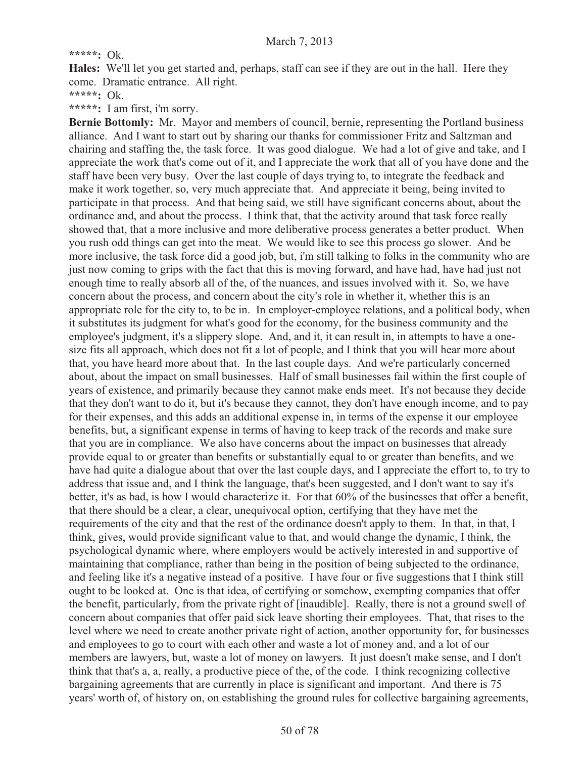# **\*\*\*\*\*:** Ok.

**Hales:** We'll let you get started and, perhaps, staff can see if they are out in the hall. Here they come. Dramatic entrance. All right.

**\*\*\*\*\*:** Ok.

**\*\*\*\*\*:** I am first, i'm sorry.

**Bernie Bottomly:** Mr. Mayor and members of council, bernie, representing the Portland business alliance. And I want to start out by sharing our thanks for commissioner Fritz and Saltzman and chairing and staffing the, the task force. It was good dialogue. We had a lot of give and take, and I appreciate the work that's come out of it, and I appreciate the work that all of you have done and the staff have been very busy. Over the last couple of days trying to, to integrate the feedback and make it work together, so, very much appreciate that. And appreciate it being, being invited to participate in that process. And that being said, we still have significant concerns about, about the ordinance and, and about the process. I think that, that the activity around that task force really showed that, that a more inclusive and more deliberative process generates a better product. When you rush odd things can get into the meat. We would like to see this process go slower. And be more inclusive, the task force did a good job, but, i'm still talking to folks in the community who are just now coming to grips with the fact that this is moving forward, and have had, have had just not enough time to really absorb all of the, of the nuances, and issues involved with it. So, we have concern about the process, and concern about the city's role in whether it, whether this is an appropriate role for the city to, to be in. In employer-employee relations, and a political body, when it substitutes its judgment for what's good for the economy, for the business community and the employee's judgment, it's a slippery slope. And, and it, it can result in, in attempts to have a onesize fits all approach, which does not fit a lot of people, and I think that you will hear more about that, you have heard more about that. In the last couple days. And we're particularly concerned about, about the impact on small businesses. Half of small businesses fail within the first couple of years of existence, and primarily because they cannot make ends meet. It's not because they decide that they don't want to do it, but it's because they cannot, they don't have enough income, and to pay for their expenses, and this adds an additional expense in, in terms of the expense it our employee benefits, but, a significant expense in terms of having to keep track of the records and make sure that you are in compliance. We also have concerns about the impact on businesses that already provide equal to or greater than benefits or substantially equal to or greater than benefits, and we have had quite a dialogue about that over the last couple days, and I appreciate the effort to, to try to address that issue and, and I think the language, that's been suggested, and I don't want to say it's better, it's as bad, is how I would characterize it. For that 60% of the businesses that offer a benefit, that there should be a clear, a clear, unequivocal option, certifying that they have met the requirements of the city and that the rest of the ordinance doesn't apply to them. In that, in that, I think, gives, would provide significant value to that, and would change the dynamic, I think, the psychological dynamic where, where employers would be actively interested in and supportive of maintaining that compliance, rather than being in the position of being subjected to the ordinance, and feeling like it's a negative instead of a positive. I have four or five suggestions that I think still ought to be looked at. One is that idea, of certifying or somehow, exempting companies that offer the benefit, particularly, from the private right of [inaudible]. Really, there is not a ground swell of concern about companies that offer paid sick leave shorting their employees. That, that rises to the level where we need to create another private right of action, another opportunity for, for businesses and employees to go to court with each other and waste a lot of money and, and a lot of our members are lawyers, but, waste a lot of money on lawyers. It just doesn't make sense, and I don't think that that's a, a, really, a productive piece of the, of the code. I think recognizing collective bargaining agreements that are currently in place is significant and important. And there is 75 years' worth of, of history on, on establishing the ground rules for collective bargaining agreements,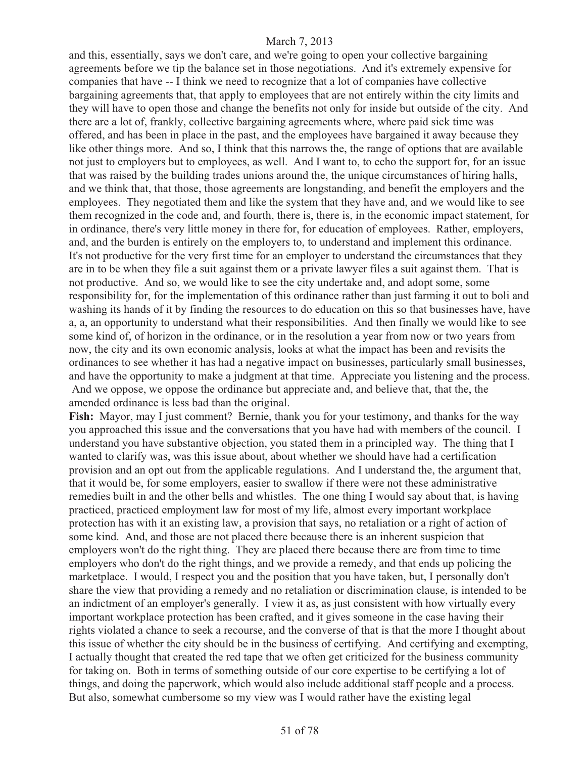and this, essentially, says we don't care, and we're going to open your collective bargaining agreements before we tip the balance set in those negotiations. And it's extremely expensive for companies that have -- I think we need to recognize that a lot of companies have collective bargaining agreements that, that apply to employees that are not entirely within the city limits and they will have to open those and change the benefits not only for inside but outside of the city. And there are a lot of, frankly, collective bargaining agreements where, where paid sick time was offered, and has been in place in the past, and the employees have bargained it away because they like other things more. And so, I think that this narrows the, the range of options that are available not just to employers but to employees, as well. And I want to, to echo the support for, for an issue that was raised by the building trades unions around the, the unique circumstances of hiring halls, and we think that, that those, those agreements are longstanding, and benefit the employers and the employees. They negotiated them and like the system that they have and, and we would like to see them recognized in the code and, and fourth, there is, there is, in the economic impact statement, for in ordinance, there's very little money in there for, for education of employees. Rather, employers, and, and the burden is entirely on the employers to, to understand and implement this ordinance. It's not productive for the very first time for an employer to understand the circumstances that they are in to be when they file a suit against them or a private lawyer files a suit against them. That is not productive. And so, we would like to see the city undertake and, and adopt some, some responsibility for, for the implementation of this ordinance rather than just farming it out to boli and washing its hands of it by finding the resources to do education on this so that businesses have, have a, a, an opportunity to understand what their responsibilities. And then finally we would like to see some kind of, of horizon in the ordinance, or in the resolution a year from now or two years from now, the city and its own economic analysis, looks at what the impact has been and revisits the ordinances to see whether it has had a negative impact on businesses, particularly small businesses, and have the opportunity to make a judgment at that time. Appreciate you listening and the process. And we oppose, we oppose the ordinance but appreciate and, and believe that, that the, the amended ordinance is less bad than the original.

Fish: Mayor, may I just comment? Bernie, thank you for your testimony, and thanks for the way you approached this issue and the conversations that you have had with members of the council. I understand you have substantive objection, you stated them in a principled way. The thing that I wanted to clarify was, was this issue about, about whether we should have had a certification provision and an opt out from the applicable regulations. And I understand the, the argument that, that it would be, for some employers, easier to swallow if there were not these administrative remedies built in and the other bells and whistles. The one thing I would say about that, is having practiced, practiced employment law for most of my life, almost every important workplace protection has with it an existing law, a provision that says, no retaliation or a right of action of some kind. And, and those are not placed there because there is an inherent suspicion that employers won't do the right thing. They are placed there because there are from time to time employers who don't do the right things, and we provide a remedy, and that ends up policing the marketplace. I would, I respect you and the position that you have taken, but, I personally don't share the view that providing a remedy and no retaliation or discrimination clause, is intended to be an indictment of an employer's generally. I view it as, as just consistent with how virtually every important workplace protection has been crafted, and it gives someone in the case having their rights violated a chance to seek a recourse, and the converse of that is that the more I thought about this issue of whether the city should be in the business of certifying. And certifying and exempting, I actually thought that created the red tape that we often get criticized for the business community for taking on. Both in terms of something outside of our core expertise to be certifying a lot of things, and doing the paperwork, which would also include additional staff people and a process. But also, somewhat cumbersome so my view was I would rather have the existing legal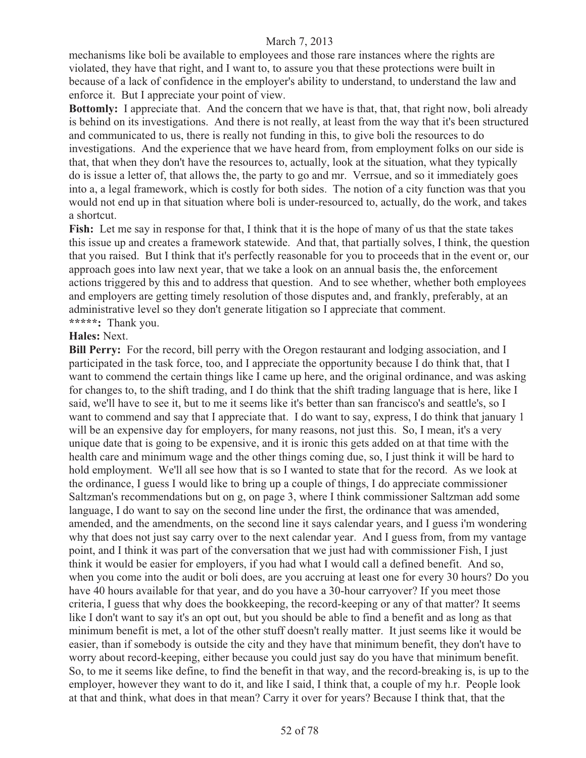mechanisms like boli be available to employees and those rare instances where the rights are violated, they have that right, and I want to, to assure you that these protections were built in because of a lack of confidence in the employer's ability to understand, to understand the law and enforce it. But I appreciate your point of view.

**Bottomly:** I appreciate that. And the concern that we have is that, that, that right now, boli already is behind on its investigations. And there is not really, at least from the way that it's been structured and communicated to us, there is really not funding in this, to give boli the resources to do investigations. And the experience that we have heard from, from employment folks on our side is that, that when they don't have the resources to, actually, look at the situation, what they typically do is issue a letter of, that allows the, the party to go and mr. Verrsue, and so it immediately goes into a, a legal framework, which is costly for both sides. The notion of a city function was that you would not end up in that situation where boli is under-resourced to, actually, do the work, and takes a shortcut.

**Fish:** Let me say in response for that, I think that it is the hope of many of us that the state takes this issue up and creates a framework statewide. And that, that partially solves, I think, the question that you raised. But I think that it's perfectly reasonable for you to proceeds that in the event or, our approach goes into law next year, that we take a look on an annual basis the, the enforcement actions triggered by this and to address that question. And to see whether, whether both employees and employers are getting timely resolution of those disputes and, and frankly, preferably, at an administrative level so they don't generate litigation so I appreciate that comment. **\*\*\*\*\*:** Thank you.

#### **Hales:** Next.

**Bill Perry:** For the record, bill perry with the Oregon restaurant and lodging association, and I participated in the task force, too, and I appreciate the opportunity because I do think that, that I want to commend the certain things like I came up here, and the original ordinance, and was asking for changes to, to the shift trading, and I do think that the shift trading language that is here, like I said, we'll have to see it, but to me it seems like it's better than san francisco's and seattle's, so I want to commend and say that I appreciate that. I do want to say, express, I do think that january 1 will be an expensive day for employers, for many reasons, not just this. So, I mean, it's a very unique date that is going to be expensive, and it is ironic this gets added on at that time with the health care and minimum wage and the other things coming due, so, I just think it will be hard to hold employment. We'll all see how that is so I wanted to state that for the record. As we look at the ordinance, I guess I would like to bring up a couple of things, I do appreciate commissioner Saltzman's recommendations but on g, on page 3, where I think commissioner Saltzman add some language, I do want to say on the second line under the first, the ordinance that was amended, amended, and the amendments, on the second line it says calendar years, and I guess i'm wondering why that does not just say carry over to the next calendar year. And I guess from, from my vantage point, and I think it was part of the conversation that we just had with commissioner Fish, I just think it would be easier for employers, if you had what I would call a defined benefit. And so, when you come into the audit or boli does, are you accruing at least one for every 30 hours? Do you have 40 hours available for that year, and do you have a 30-hour carryover? If you meet those criteria, I guess that why does the bookkeeping, the record-keeping or any of that matter? It seems like I don't want to say it's an opt out, but you should be able to find a benefit and as long as that minimum benefit is met, a lot of the other stuff doesn't really matter. It just seems like it would be easier, than if somebody is outside the city and they have that minimum benefit, they don't have to worry about record-keeping, either because you could just say do you have that minimum benefit. So, to me it seems like define, to find the benefit in that way, and the record-breaking is, is up to the employer, however they want to do it, and like I said, I think that, a couple of my h.r. People look at that and think, what does in that mean? Carry it over for years? Because I think that, that the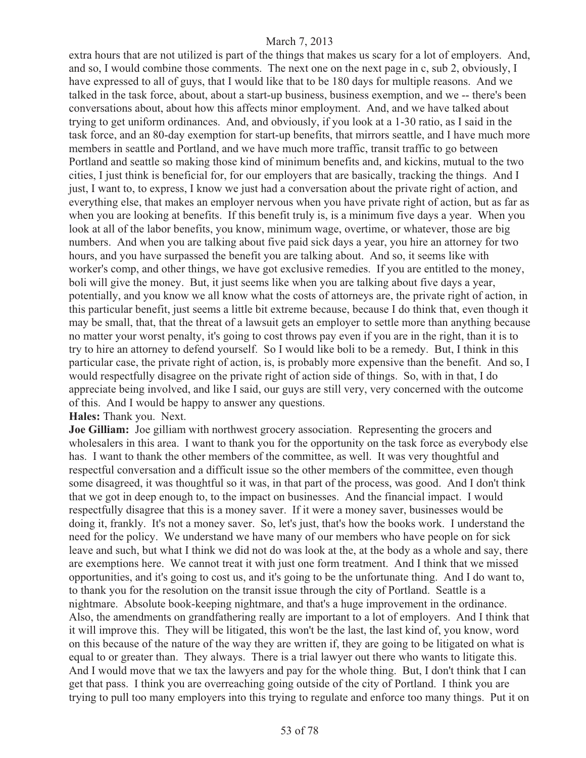extra hours that are not utilized is part of the things that makes us scary for a lot of employers. And, and so, I would combine those comments. The next one on the next page in c, sub 2, obviously, I have expressed to all of guys, that I would like that to be 180 days for multiple reasons. And we talked in the task force, about, about a start-up business, business exemption, and we -- there's been conversations about, about how this affects minor employment. And, and we have talked about trying to get uniform ordinances. And, and obviously, if you look at a 1-30 ratio, as I said in the task force, and an 80-day exemption for start-up benefits, that mirrors seattle, and I have much more members in seattle and Portland, and we have much more traffic, transit traffic to go between Portland and seattle so making those kind of minimum benefits and, and kickins, mutual to the two cities, I just think is beneficial for, for our employers that are basically, tracking the things. And I just, I want to, to express, I know we just had a conversation about the private right of action, and everything else, that makes an employer nervous when you have private right of action, but as far as when you are looking at benefits. If this benefit truly is, is a minimum five days a year. When you look at all of the labor benefits, you know, minimum wage, overtime, or whatever, those are big numbers. And when you are talking about five paid sick days a year, you hire an attorney for two hours, and you have surpassed the benefit you are talking about. And so, it seems like with worker's comp, and other things, we have got exclusive remedies. If you are entitled to the money, boli will give the money. But, it just seems like when you are talking about five days a year, potentially, and you know we all know what the costs of attorneys are, the private right of action, in this particular benefit, just seems a little bit extreme because, because I do think that, even though it may be small, that, that the threat of a lawsuit gets an employer to settle more than anything because no matter your worst penalty, it's going to cost throws pay even if you are in the right, than it is to try to hire an attorney to defend yourself. So I would like boli to be a remedy. But, I think in this particular case, the private right of action, is, is probably more expensive than the benefit. And so, I would respectfully disagree on the private right of action side of things. So, with in that, I do appreciate being involved, and like I said, our guys are still very, very concerned with the outcome of this. And I would be happy to answer any questions.

**Hales:** Thank you. Next.

**Joe Gilliam:** Joe gilliam with northwest grocery association. Representing the grocers and wholesalers in this area. I want to thank you for the opportunity on the task force as everybody else has. I want to thank the other members of the committee, as well. It was very thoughtful and respectful conversation and a difficult issue so the other members of the committee, even though some disagreed, it was thoughtful so it was, in that part of the process, was good. And I don't think that we got in deep enough to, to the impact on businesses. And the financial impact. I would respectfully disagree that this is a money saver. If it were a money saver, businesses would be doing it, frankly. It's not a money saver. So, let's just, that's how the books work. I understand the need for the policy. We understand we have many of our members who have people on for sick leave and such, but what I think we did not do was look at the, at the body as a whole and say, there are exemptions here. We cannot treat it with just one form treatment. And I think that we missed opportunities, and it's going to cost us, and it's going to be the unfortunate thing. And I do want to, to thank you for the resolution on the transit issue through the city of Portland. Seattle is a nightmare. Absolute book-keeping nightmare, and that's a huge improvement in the ordinance. Also, the amendments on grandfathering really are important to a lot of employers. And I think that it will improve this. They will be litigated, this won't be the last, the last kind of, you know, word on this because of the nature of the way they are written if, they are going to be litigated on what is equal to or greater than. They always. There is a trial lawyer out there who wants to litigate this. And I would move that we tax the lawyers and pay for the whole thing. But, I don't think that I can get that pass. I think you are overreaching going outside of the city of Portland. I think you are trying to pull too many employers into this trying to regulate and enforce too many things. Put it on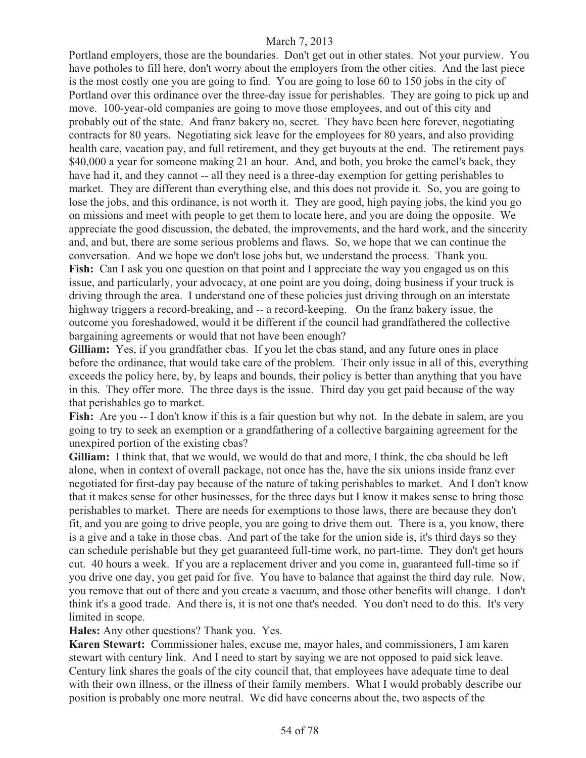Portland employers, those are the boundaries. Don't get out in other states. Not your purview. You have potholes to fill here, don't worry about the employers from the other cities. And the last piece is the most costly one you are going to find. You are going to lose 60 to 150 jobs in the city of Portland over this ordinance over the three-day issue for perishables. They are going to pick up and move. 100-year-old companies are going to move those employees, and out of this city and probably out of the state. And franz bakery no, secret. They have been here forever, negotiating contracts for 80 years. Negotiating sick leave for the employees for 80 years, and also providing health care, vacation pay, and full retirement, and they get buyouts at the end. The retirement pays \$40,000 a year for someone making 21 an hour. And, and both, you broke the camel's back, they have had it, and they cannot -- all they need is a three-day exemption for getting perishables to market. They are different than everything else, and this does not provide it. So, you are going to lose the jobs, and this ordinance, is not worth it. They are good, high paying jobs, the kind you go on missions and meet with people to get them to locate here, and you are doing the opposite. We appreciate the good discussion, the debated, the improvements, and the hard work, and the sincerity and, and but, there are some serious problems and flaws. So, we hope that we can continue the conversation. And we hope we don't lose jobs but, we understand the process. Thank you. Fish: Can I ask you one question on that point and I appreciate the way you engaged us on this issue, and particularly, your advocacy, at one point are you doing, doing business if your truck is driving through the area. I understand one of these policies just driving through on an interstate highway triggers a record-breaking, and -- a record-keeping. On the franz bakery issue, the outcome you foreshadowed, would it be different if the council had grandfathered the collective bargaining agreements or would that not have been enough?

**Gilliam:** Yes, if you grandfather cbas. If you let the cbas stand, and any future ones in place before the ordinance, that would take care of the problem. Their only issue in all of this, everything exceeds the policy here, by, by leaps and bounds, their policy is better than anything that you have in this. They offer more. The three days is the issue. Third day you get paid because of the way that perishables go to market.

**Fish:** Are you -- I don't know if this is a fair question but why not. In the debate in salem, are you going to try to seek an exemption or a grandfathering of a collective bargaining agreement for the unexpired portion of the existing cbas?

**Gilliam:** I think that, that we would, we would do that and more, I think, the cba should be left alone, when in context of overall package, not once has the, have the six unions inside franz ever negotiated for first-day pay because of the nature of taking perishables to market. And I don't know that it makes sense for other businesses, for the three days but I know it makes sense to bring those perishables to market. There are needs for exemptions to those laws, there are because they don't fit, and you are going to drive people, you are going to drive them out. There is a, you know, there is a give and a take in those cbas. And part of the take for the union side is, it's third days so they can schedule perishable but they get guaranteed full-time work, no part-time. They don't get hours cut. 40 hours a week. If you are a replacement driver and you come in, guaranteed full-time so if you drive one day, you get paid for five. You have to balance that against the third day rule. Now, you remove that out of there and you create a vacuum, and those other benefits will change. I don't think it's a good trade. And there is, it is not one that's needed. You don't need to do this. It's very limited in scope.

**Hales:** Any other questions? Thank you. Yes.

**Karen Stewart:** Commissioner hales, excuse me, mayor hales, and commissioners, I am karen stewart with century link. And I need to start by saying we are not opposed to paid sick leave. Century link shares the goals of the city council that, that employees have adequate time to deal with their own illness, or the illness of their family members. What I would probably describe our position is probably one more neutral. We did have concerns about the, two aspects of the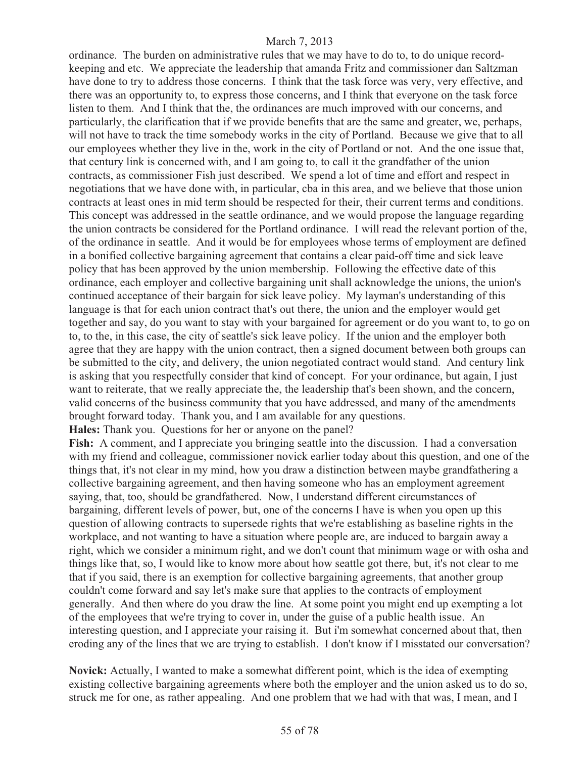ordinance. The burden on administrative rules that we may have to do to, to do unique recordkeeping and etc. We appreciate the leadership that amanda Fritz and commissioner dan Saltzman have done to try to address those concerns. I think that the task force was very, very effective, and there was an opportunity to, to express those concerns, and I think that everyone on the task force listen to them. And I think that the, the ordinances are much improved with our concerns, and particularly, the clarification that if we provide benefits that are the same and greater, we, perhaps, will not have to track the time somebody works in the city of Portland. Because we give that to all our employees whether they live in the, work in the city of Portland or not. And the one issue that, that century link is concerned with, and I am going to, to call it the grandfather of the union contracts, as commissioner Fish just described. We spend a lot of time and effort and respect in negotiations that we have done with, in particular, cba in this area, and we believe that those union contracts at least ones in mid term should be respected for their, their current terms and conditions. This concept was addressed in the seattle ordinance, and we would propose the language regarding the union contracts be considered for the Portland ordinance. I will read the relevant portion of the, of the ordinance in seattle. And it would be for employees whose terms of employment are defined in a bonified collective bargaining agreement that contains a clear paid-off time and sick leave policy that has been approved by the union membership. Following the effective date of this ordinance, each employer and collective bargaining unit shall acknowledge the unions, the union's continued acceptance of their bargain for sick leave policy. My layman's understanding of this language is that for each union contract that's out there, the union and the employer would get together and say, do you want to stay with your bargained for agreement or do you want to, to go on to, to the, in this case, the city of seattle's sick leave policy. If the union and the employer both agree that they are happy with the union contract, then a signed document between both groups can be submitted to the city, and delivery, the union negotiated contract would stand. And century link is asking that you respectfully consider that kind of concept. For your ordinance, but again, I just want to reiterate, that we really appreciate the, the leadership that's been shown, and the concern, valid concerns of the business community that you have addressed, and many of the amendments brought forward today. Thank you, and I am available for any questions.

**Hales:** Thank you. Questions for her or anyone on the panel?

**Fish:** A comment, and I appreciate you bringing seattle into the discussion. I had a conversation with my friend and colleague, commissioner novick earlier today about this question, and one of the things that, it's not clear in my mind, how you draw a distinction between maybe grandfathering a collective bargaining agreement, and then having someone who has an employment agreement saying, that, too, should be grandfathered. Now, I understand different circumstances of bargaining, different levels of power, but, one of the concerns I have is when you open up this question of allowing contracts to supersede rights that we're establishing as baseline rights in the workplace, and not wanting to have a situation where people are, are induced to bargain away a right, which we consider a minimum right, and we don't count that minimum wage or with osha and things like that, so, I would like to know more about how seattle got there, but, it's not clear to me that if you said, there is an exemption for collective bargaining agreements, that another group couldn't come forward and say let's make sure that applies to the contracts of employment generally. And then where do you draw the line. At some point you might end up exempting a lot of the employees that we're trying to cover in, under the guise of a public health issue. An interesting question, and I appreciate your raising it. But i'm somewhat concerned about that, then eroding any of the lines that we are trying to establish. I don't know if I misstated our conversation?

**Novick:** Actually, I wanted to make a somewhat different point, which is the idea of exempting existing collective bargaining agreements where both the employer and the union asked us to do so, struck me for one, as rather appealing. And one problem that we had with that was, I mean, and I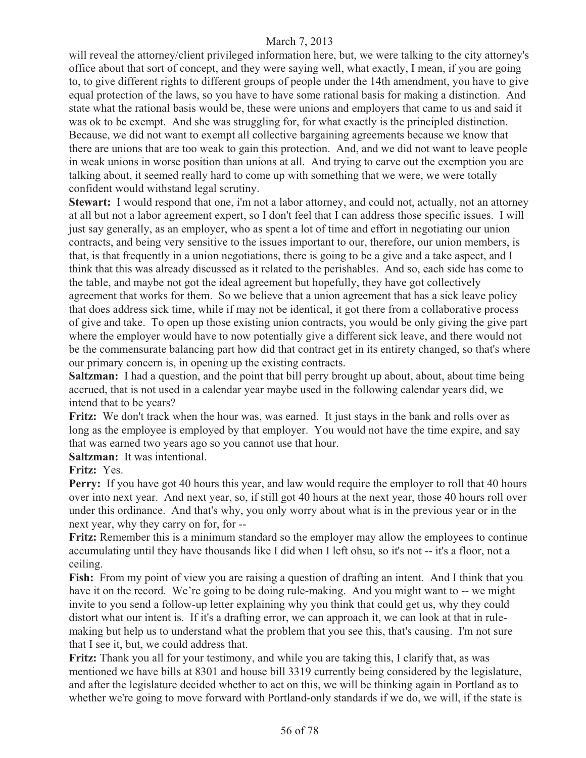will reveal the attorney/client privileged information here, but, we were talking to the city attorney's office about that sort of concept, and they were saying well, what exactly, I mean, if you are going to, to give different rights to different groups of people under the 14th amendment, you have to give equal protection of the laws, so you have to have some rational basis for making a distinction. And state what the rational basis would be, these were unions and employers that came to us and said it was ok to be exempt. And she was struggling for, for what exactly is the principled distinction. Because, we did not want to exempt all collective bargaining agreements because we know that there are unions that are too weak to gain this protection. And, and we did not want to leave people in weak unions in worse position than unions at all. And trying to carve out the exemption you are talking about, it seemed really hard to come up with something that we were, we were totally confident would withstand legal scrutiny.

**Stewart:** I would respond that one, i'm not a labor attorney, and could not, actually, not an attorney at all but not a labor agreement expert, so I don't feel that I can address those specific issues. I will just say generally, as an employer, who as spent a lot of time and effort in negotiating our union contracts, and being very sensitive to the issues important to our, therefore, our union members, is that, is that frequently in a union negotiations, there is going to be a give and a take aspect, and I think that this was already discussed as it related to the perishables. And so, each side has come to the table, and maybe not got the ideal agreement but hopefully, they have got collectively agreement that works for them. So we believe that a union agreement that has a sick leave policy that does address sick time, while if may not be identical, it got there from a collaborative process of give and take. To open up those existing union contracts, you would be only giving the give part where the employer would have to now potentially give a different sick leave, and there would not be the commensurate balancing part how did that contract get in its entirety changed, so that's where our primary concern is, in opening up the existing contracts.

**Saltzman:** I had a question, and the point that bill perry brought up about, about, about time being accrued, that is not used in a calendar year maybe used in the following calendar years did, we intend that to be years?

**Fritz:** We don't track when the hour was, was earned. It just stays in the bank and rolls over as long as the employee is employed by that employer. You would not have the time expire, and say that was earned two years ago so you cannot use that hour.

**Saltzman:** It was intentional.

### **Fritz:** Yes.

**Perry:** If you have got 40 hours this year, and law would require the employer to roll that 40 hours over into next year. And next year, so, if still got 40 hours at the next year, those 40 hours roll over under this ordinance. And that's why, you only worry about what is in the previous year or in the next year, why they carry on for, for --

**Fritz:** Remember this is a minimum standard so the employer may allow the employees to continue accumulating until they have thousands like I did when I left ohsu, so it's not -- it's a floor, not a ceiling.

**Fish:** From my point of view you are raising a question of drafting an intent. And I think that you have it on the record. We're going to be doing rule-making. And you might want to -- we might invite to you send a follow-up letter explaining why you think that could get us, why they could distort what our intent is. If it's a drafting error, we can approach it, we can look at that in rulemaking but help us to understand what the problem that you see this, that's causing. I'm not sure that I see it, but, we could address that.

**Fritz:** Thank you all for your testimony, and while you are taking this, I clarify that, as was mentioned we have bills at 8301 and house bill 3319 currently being considered by the legislature, and after the legislature decided whether to act on this, we will be thinking again in Portland as to whether we're going to move forward with Portland-only standards if we do, we will, if the state is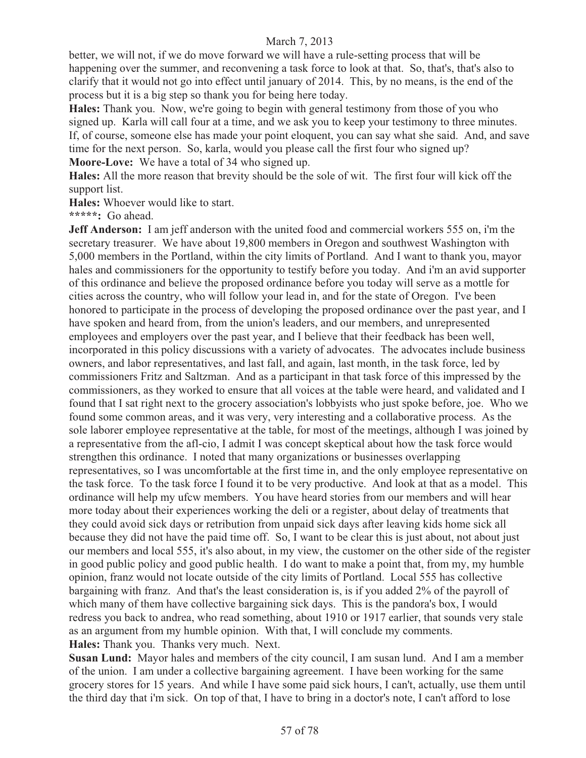better, we will not, if we do move forward we will have a rule-setting process that will be happening over the summer, and reconvening a task force to look at that. So, that's, that's also to clarify that it would not go into effect until january of 2014. This, by no means, is the end of the process but it is a big step so thank you for being here today.

**Hales:** Thank you. Now, we're going to begin with general testimony from those of you who signed up. Karla will call four at a time, and we ask you to keep your testimony to three minutes. If, of course, someone else has made your point eloquent, you can say what she said. And, and save time for the next person. So, karla, would you please call the first four who signed up? **Moore-Love:** We have a total of 34 who signed up.

**Hales:** All the more reason that brevity should be the sole of wit. The first four will kick off the support list.

**Hales:** Whoever would like to start.

**\*\*\*\*\*:** Go ahead.

**Jeff Anderson:** I am jeff anderson with the united food and commercial workers 555 on, i'm the secretary treasurer. We have about 19,800 members in Oregon and southwest Washington with 5,000 members in the Portland, within the city limits of Portland. And I want to thank you, mayor hales and commissioners for the opportunity to testify before you today. And i'm an avid supporter of this ordinance and believe the proposed ordinance before you today will serve as a mottle for cities across the country, who will follow your lead in, and for the state of Oregon. I've been honored to participate in the process of developing the proposed ordinance over the past year, and I have spoken and heard from, from the union's leaders, and our members, and unrepresented employees and employers over the past year, and I believe that their feedback has been well, incorporated in this policy discussions with a variety of advocates. The advocates include business owners, and labor representatives, and last fall, and again, last month, in the task force, led by commissioners Fritz and Saltzman. And as a participant in that task force of this impressed by the commissioners, as they worked to ensure that all voices at the table were heard, and validated and I found that I sat right next to the grocery association's lobbyists who just spoke before, joe. Who we found some common areas, and it was very, very interesting and a collaborative process. As the sole laborer employee representative at the table, for most of the meetings, although I was joined by a representative from the afl-cio, I admit I was concept skeptical about how the task force would strengthen this ordinance. I noted that many organizations or businesses overlapping representatives, so I was uncomfortable at the first time in, and the only employee representative on the task force. To the task force I found it to be very productive. And look at that as a model. This ordinance will help my ufcw members. You have heard stories from our members and will hear more today about their experiences working the deli or a register, about delay of treatments that they could avoid sick days or retribution from unpaid sick days after leaving kids home sick all because they did not have the paid time off. So, I want to be clear this is just about, not about just our members and local 555, it's also about, in my view, the customer on the other side of the register in good public policy and good public health. I do want to make a point that, from my, my humble opinion, franz would not locate outside of the city limits of Portland. Local 555 has collective bargaining with franz. And that's the least consideration is, is if you added 2% of the payroll of which many of them have collective bargaining sick days. This is the pandora's box, I would redress you back to andrea, who read something, about 1910 or 1917 earlier, that sounds very stale as an argument from my humble opinion. With that, I will conclude my comments. **Hales:** Thank you. Thanks very much. Next.

**Susan Lund:** Mayor hales and members of the city council, I am susan lund. And I am a member of the union. I am under a collective bargaining agreement. I have been working for the same grocery stores for 15 years. And while I have some paid sick hours, I can't, actually, use them until the third day that i'm sick. On top of that, I have to bring in a doctor's note, I can't afford to lose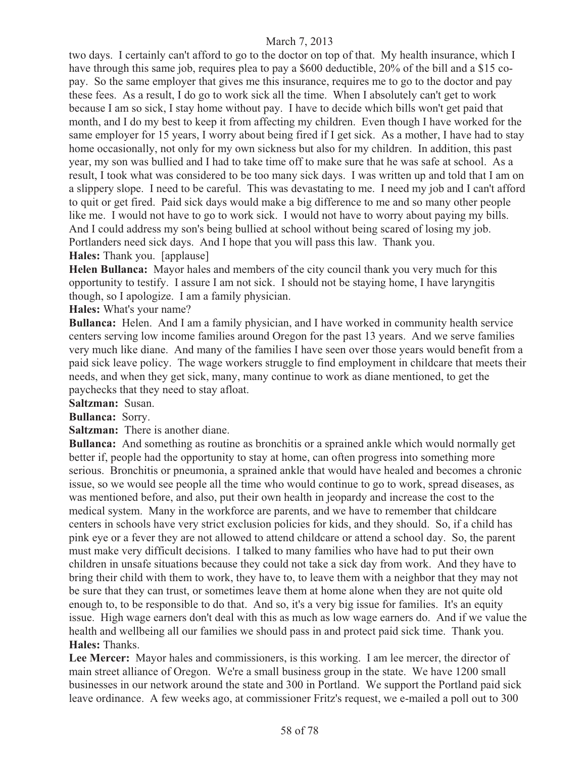two days. I certainly can't afford to go to the doctor on top of that. My health insurance, which I have through this same job, requires plea to pay a \$600 deductible, 20% of the bill and a \$15 copay. So the same employer that gives me this insurance, requires me to go to the doctor and pay these fees. As a result, I do go to work sick all the time. When I absolutely can't get to work because I am so sick, I stay home without pay. I have to decide which bills won't get paid that month, and I do my best to keep it from affecting my children. Even though I have worked for the same employer for 15 years, I worry about being fired if I get sick. As a mother, I have had to stay home occasionally, not only for my own sickness but also for my children. In addition, this past year, my son was bullied and I had to take time off to make sure that he was safe at school. As a result, I took what was considered to be too many sick days. I was written up and told that I am on a slippery slope. I need to be careful. This was devastating to me. I need my job and I can't afford to quit or get fired. Paid sick days would make a big difference to me and so many other people like me. I would not have to go to work sick. I would not have to worry about paying my bills. And I could address my son's being bullied at school without being scared of losing my job. Portlanders need sick days. And I hope that you will pass this law. Thank you. **Hales:** Thank you. [applause]

**Helen Bullanca:** Mayor hales and members of the city council thank you very much for this opportunity to testify. I assure I am not sick. I should not be staying home, I have laryngitis though, so I apologize. I am a family physician.

**Hales:** What's your name?

**Bullanca:** Helen. And I am a family physician, and I have worked in community health service centers serving low income families around Oregon for the past 13 years. And we serve families very much like diane. And many of the families I have seen over those years would benefit from a paid sick leave policy. The wage workers struggle to find employment in childcare that meets their needs, and when they get sick, many, many continue to work as diane mentioned, to get the paychecks that they need to stay afloat.

**Saltzman:** Susan.

**Bullanca:** Sorry.

**Saltzman:** There is another diane.

**Bullanca:** And something as routine as bronchitis or a sprained ankle which would normally get better if, people had the opportunity to stay at home, can often progress into something more serious. Bronchitis or pneumonia, a sprained ankle that would have healed and becomes a chronic issue, so we would see people all the time who would continue to go to work, spread diseases, as was mentioned before, and also, put their own health in jeopardy and increase the cost to the medical system. Many in the workforce are parents, and we have to remember that childcare centers in schools have very strict exclusion policies for kids, and they should. So, if a child has pink eye or a fever they are not allowed to attend childcare or attend a school day. So, the parent must make very difficult decisions. I talked to many families who have had to put their own children in unsafe situations because they could not take a sick day from work. And they have to bring their child with them to work, they have to, to leave them with a neighbor that they may not be sure that they can trust, or sometimes leave them at home alone when they are not quite old enough to, to be responsible to do that. And so, it's a very big issue for families. It's an equity issue. High wage earners don't deal with this as much as low wage earners do. And if we value the health and wellbeing all our families we should pass in and protect paid sick time. Thank you. **Hales:** Thanks.

**Lee Mercer:** Mayor hales and commissioners, is this working. I am lee mercer, the director of main street alliance of Oregon. We're a small business group in the state. We have 1200 small businesses in our network around the state and 300 in Portland. We support the Portland paid sick leave ordinance. A few weeks ago, at commissioner Fritz's request, we e-mailed a poll out to 300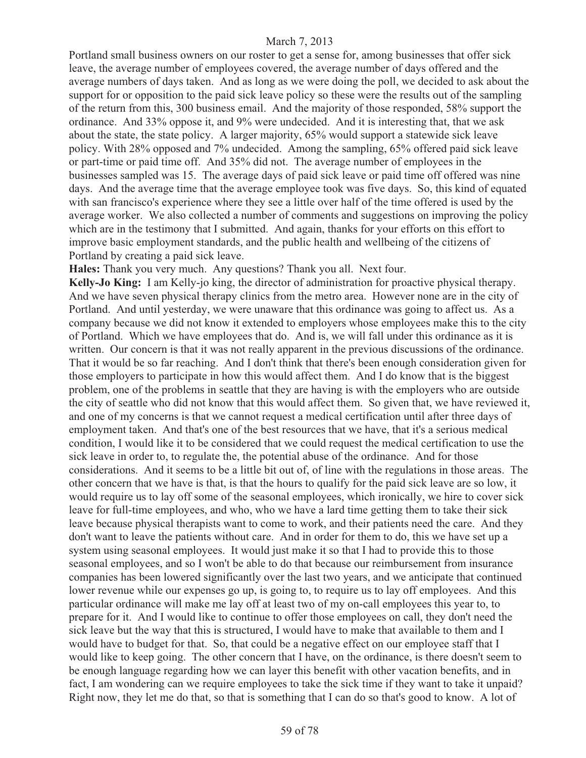Portland small business owners on our roster to get a sense for, among businesses that offer sick leave, the average number of employees covered, the average number of days offered and the average numbers of days taken. And as long as we were doing the poll, we decided to ask about the support for or opposition to the paid sick leave policy so these were the results out of the sampling of the return from this, 300 business email. And the majority of those responded, 58% support the ordinance. And 33% oppose it, and 9% were undecided. And it is interesting that, that we ask about the state, the state policy. A larger majority, 65% would support a statewide sick leave policy. With 28% opposed and 7% undecided. Among the sampling, 65% offered paid sick leave or part-time or paid time off. And 35% did not. The average number of employees in the businesses sampled was 15. The average days of paid sick leave or paid time off offered was nine days. And the average time that the average employee took was five days. So, this kind of equated with san francisco's experience where they see a little over half of the time offered is used by the average worker. We also collected a number of comments and suggestions on improving the policy which are in the testimony that I submitted. And again, thanks for your efforts on this effort to improve basic employment standards, and the public health and wellbeing of the citizens of Portland by creating a paid sick leave.

**Hales:** Thank you very much. Any questions? Thank you all. Next four.

**Kelly-Jo King:** I am Kelly-jo king, the director of administration for proactive physical therapy. And we have seven physical therapy clinics from the metro area. However none are in the city of Portland. And until yesterday, we were unaware that this ordinance was going to affect us. As a company because we did not know it extended to employers whose employees make this to the city of Portland. Which we have employees that do. And is, we will fall under this ordinance as it is written. Our concern is that it was not really apparent in the previous discussions of the ordinance. That it would be so far reaching. And I don't think that there's been enough consideration given for those employers to participate in how this would affect them. And I do know that is the biggest problem, one of the problems in seattle that they are having is with the employers who are outside the city of seattle who did not know that this would affect them. So given that, we have reviewed it, and one of my concerns is that we cannot request a medical certification until after three days of employment taken. And that's one of the best resources that we have, that it's a serious medical condition, I would like it to be considered that we could request the medical certification to use the sick leave in order to, to regulate the, the potential abuse of the ordinance. And for those considerations. And it seems to be a little bit out of, of line with the regulations in those areas. The other concern that we have is that, is that the hours to qualify for the paid sick leave are so low, it would require us to lay off some of the seasonal employees, which ironically, we hire to cover sick leave for full-time employees, and who, who we have a lard time getting them to take their sick leave because physical therapists want to come to work, and their patients need the care. And they don't want to leave the patients without care. And in order for them to do, this we have set up a system using seasonal employees. It would just make it so that I had to provide this to those seasonal employees, and so I won't be able to do that because our reimbursement from insurance companies has been lowered significantly over the last two years, and we anticipate that continued lower revenue while our expenses go up, is going to, to require us to lay off employees. And this particular ordinance will make me lay off at least two of my on-call employees this year to, to prepare for it. And I would like to continue to offer those employees on call, they don't need the sick leave but the way that this is structured, I would have to make that available to them and I would have to budget for that. So, that could be a negative effect on our employee staff that I would like to keep going. The other concern that I have, on the ordinance, is there doesn't seem to be enough language regarding how we can layer this benefit with other vacation benefits, and in fact, I am wondering can we require employees to take the sick time if they want to take it unpaid? Right now, they let me do that, so that is something that I can do so that's good to know. A lot of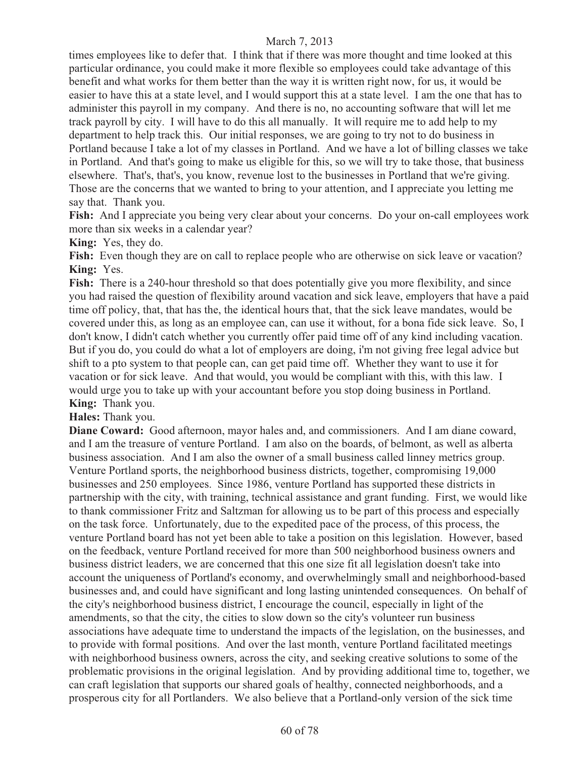times employees like to defer that. I think that if there was more thought and time looked at this particular ordinance, you could make it more flexible so employees could take advantage of this benefit and what works for them better than the way it is written right now, for us, it would be easier to have this at a state level, and I would support this at a state level. I am the one that has to administer this payroll in my company. And there is no, no accounting software that will let me track payroll by city. I will have to do this all manually. It will require me to add help to my department to help track this. Our initial responses, we are going to try not to do business in Portland because I take a lot of my classes in Portland. And we have a lot of billing classes we take in Portland. And that's going to make us eligible for this, so we will try to take those, that business elsewhere. That's, that's, you know, revenue lost to the businesses in Portland that we're giving. Those are the concerns that we wanted to bring to your attention, and I appreciate you letting me say that. Thank you.

**Fish:** And I appreciate you being very clear about your concerns. Do your on-call employees work more than six weeks in a calendar year?

**King:** Yes, they do.

Fish: Even though they are on call to replace people who are otherwise on sick leave or vacation? **King:** Yes.

Fish: There is a 240-hour threshold so that does potentially give you more flexibility, and since you had raised the question of flexibility around vacation and sick leave, employers that have a paid time off policy, that, that has the, the identical hours that, that the sick leave mandates, would be covered under this, as long as an employee can, can use it without, for a bona fide sick leave. So, I don't know, I didn't catch whether you currently offer paid time off of any kind including vacation. But if you do, you could do what a lot of employers are doing, i'm not giving free legal advice but shift to a pto system to that people can, can get paid time off. Whether they want to use it for vacation or for sick leave. And that would, you would be compliant with this, with this law. I would urge you to take up with your accountant before you stop doing business in Portland. **King:** Thank you.

**Hales:** Thank you.

**Diane Coward:** Good afternoon, mayor hales and, and commissioners. And I am diane coward, and I am the treasure of venture Portland. I am also on the boards, of belmont, as well as alberta business association. And I am also the owner of a small business called linney metrics group. Venture Portland sports, the neighborhood business districts, together, compromising 19,000 businesses and 250 employees. Since 1986, venture Portland has supported these districts in partnership with the city, with training, technical assistance and grant funding. First, we would like to thank commissioner Fritz and Saltzman for allowing us to be part of this process and especially on the task force. Unfortunately, due to the expedited pace of the process, of this process, the venture Portland board has not yet been able to take a position on this legislation. However, based on the feedback, venture Portland received for more than 500 neighborhood business owners and business district leaders, we are concerned that this one size fit all legislation doesn't take into account the uniqueness of Portland's economy, and overwhelmingly small and neighborhood-based businesses and, and could have significant and long lasting unintended consequences. On behalf of the city's neighborhood business district, I encourage the council, especially in light of the amendments, so that the city, the cities to slow down so the city's volunteer run business associations have adequate time to understand the impacts of the legislation, on the businesses, and to provide with formal positions. And over the last month, venture Portland facilitated meetings with neighborhood business owners, across the city, and seeking creative solutions to some of the problematic provisions in the original legislation. And by providing additional time to, together, we can craft legislation that supports our shared goals of healthy, connected neighborhoods, and a prosperous city for all Portlanders. We also believe that a Portland-only version of the sick time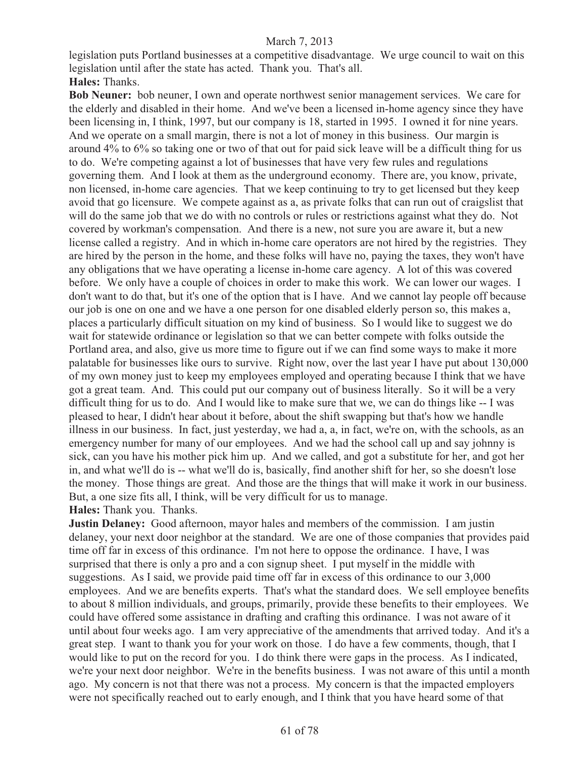legislation puts Portland businesses at a competitive disadvantage. We urge council to wait on this legislation until after the state has acted. Thank you. That's all. **Hales:** Thanks.

**Bob Neuner:** bob neuner, I own and operate northwest senior management services. We care for the elderly and disabled in their home. And we've been a licensed in-home agency since they have been licensing in, I think, 1997, but our company is 18, started in 1995. I owned it for nine years. And we operate on a small margin, there is not a lot of money in this business. Our margin is around 4% to 6% so taking one or two of that out for paid sick leave will be a difficult thing for us to do. We're competing against a lot of businesses that have very few rules and regulations governing them. And I look at them as the underground economy. There are, you know, private, non licensed, in-home care agencies. That we keep continuing to try to get licensed but they keep avoid that go licensure. We compete against as a, as private folks that can run out of craigslist that will do the same job that we do with no controls or rules or restrictions against what they do. Not covered by workman's compensation. And there is a new, not sure you are aware it, but a new license called a registry. And in which in-home care operators are not hired by the registries. They are hired by the person in the home, and these folks will have no, paying the taxes, they won't have any obligations that we have operating a license in-home care agency. A lot of this was covered before. We only have a couple of choices in order to make this work. We can lower our wages. I don't want to do that, but it's one of the option that is I have. And we cannot lay people off because our job is one on one and we have a one person for one disabled elderly person so, this makes a, places a particularly difficult situation on my kind of business. So I would like to suggest we do wait for statewide ordinance or legislation so that we can better compete with folks outside the Portland area, and also, give us more time to figure out if we can find some ways to make it more palatable for businesses like ours to survive. Right now, over the last year I have put about 130,000 of my own money just to keep my employees employed and operating because I think that we have got a great team. And. This could put our company out of business literally. So it will be a very difficult thing for us to do. And I would like to make sure that we, we can do things like -- I was pleased to hear, I didn't hear about it before, about the shift swapping but that's how we handle illness in our business. In fact, just yesterday, we had a, a, in fact, we're on, with the schools, as an emergency number for many of our employees. And we had the school call up and say johnny is sick, can you have his mother pick him up. And we called, and got a substitute for her, and got her in, and what we'll do is -- what we'll do is, basically, find another shift for her, so she doesn't lose the money. Those things are great. And those are the things that will make it work in our business. But, a one size fits all, I think, will be very difficult for us to manage.

**Hales:** Thank you. Thanks.

**Justin Delaney:** Good afternoon, mayor hales and members of the commission. I am justin delaney, your next door neighbor at the standard. We are one of those companies that provides paid time off far in excess of this ordinance. I'm not here to oppose the ordinance. I have, I was surprised that there is only a pro and a con signup sheet. I put myself in the middle with suggestions. As I said, we provide paid time off far in excess of this ordinance to our 3,000 employees. And we are benefits experts. That's what the standard does. We sell employee benefits to about 8 million individuals, and groups, primarily, provide these benefits to their employees. We could have offered some assistance in drafting and crafting this ordinance. I was not aware of it until about four weeks ago. I am very appreciative of the amendments that arrived today. And it's a great step. I want to thank you for your work on those. I do have a few comments, though, that I would like to put on the record for you. I do think there were gaps in the process. As I indicated, we're your next door neighbor. We're in the benefits business. I was not aware of this until a month ago. My concern is not that there was not a process. My concern is that the impacted employers were not specifically reached out to early enough, and I think that you have heard some of that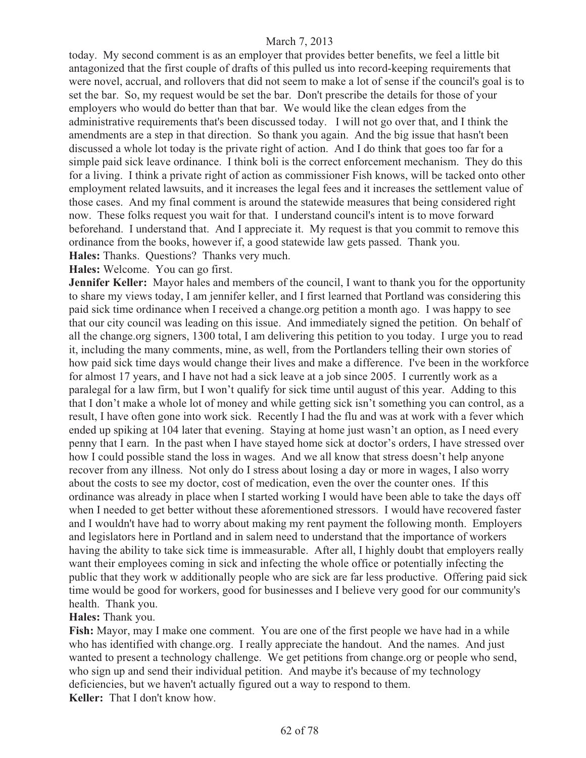today. My second comment is as an employer that provides better benefits, we feel a little bit antagonized that the first couple of drafts of this pulled us into record-keeping requirements that were novel, accrual, and rollovers that did not seem to make a lot of sense if the council's goal is to set the bar. So, my request would be set the bar. Don't prescribe the details for those of your employers who would do better than that bar. We would like the clean edges from the administrative requirements that's been discussed today. I will not go over that, and I think the amendments are a step in that direction. So thank you again. And the big issue that hasn't been discussed a whole lot today is the private right of action. And I do think that goes too far for a simple paid sick leave ordinance. I think boli is the correct enforcement mechanism. They do this for a living. I think a private right of action as commissioner Fish knows, will be tacked onto other employment related lawsuits, and it increases the legal fees and it increases the settlement value of those cases. And my final comment is around the statewide measures that being considered right now. These folks request you wait for that. I understand council's intent is to move forward beforehand. I understand that. And I appreciate it. My request is that you commit to remove this ordinance from the books, however if, a good statewide law gets passed. Thank you. **Hales:** Thanks. Questions? Thanks very much.

**Hales:** Welcome. You can go first.

**Jennifer Keller:** Mayor hales and members of the council, I want to thank you for the opportunity to share my views today, I am jennifer keller, and I first learned that Portland was considering this paid sick time ordinance when I received a change.org petition a month ago. I was happy to see that our city council was leading on this issue. And immediately signed the petition. On behalf of all the change.org signers, 1300 total, I am delivering this petition to you today. I urge you to read it, including the many comments, mine, as well, from the Portlanders telling their own stories of how paid sick time days would change their lives and make a difference. I've been in the workforce for almost 17 years, and I have not had a sick leave at a job since 2005. I currently work as a paralegal for a law firm, but I won't qualify for sick time until august of this year. Adding to this that I don't make a whole lot of money and while getting sick isn't something you can control, as a result, I have often gone into work sick. Recently I had the flu and was at work with a fever which ended up spiking at 104 later that evening. Staying at home just wasn't an option, as I need every penny that I earn. In the past when I have stayed home sick at doctor's orders, I have stressed over how I could possible stand the loss in wages. And we all know that stress doesn't help anyone recover from any illness. Not only do I stress about losing a day or more in wages, I also worry about the costs to see my doctor, cost of medication, even the over the counter ones. If this ordinance was already in place when I started working I would have been able to take the days off when I needed to get better without these aforementioned stressors. I would have recovered faster and I wouldn't have had to worry about making my rent payment the following month. Employers and legislators here in Portland and in salem need to understand that the importance of workers having the ability to take sick time is immeasurable. After all, I highly doubt that employers really want their employees coming in sick and infecting the whole office or potentially infecting the public that they work w additionally people who are sick are far less productive. Offering paid sick time would be good for workers, good for businesses and I believe very good for our community's health. Thank you.

### **Hales:** Thank you.

**Fish:** Mayor, may I make one comment. You are one of the first people we have had in a while who has identified with change.org. I really appreciate the handout. And the names. And just wanted to present a technology challenge. We get petitions from change.org or people who send, who sign up and send their individual petition. And maybe it's because of my technology deficiencies, but we haven't actually figured out a way to respond to them. **Keller:** That I don't know how.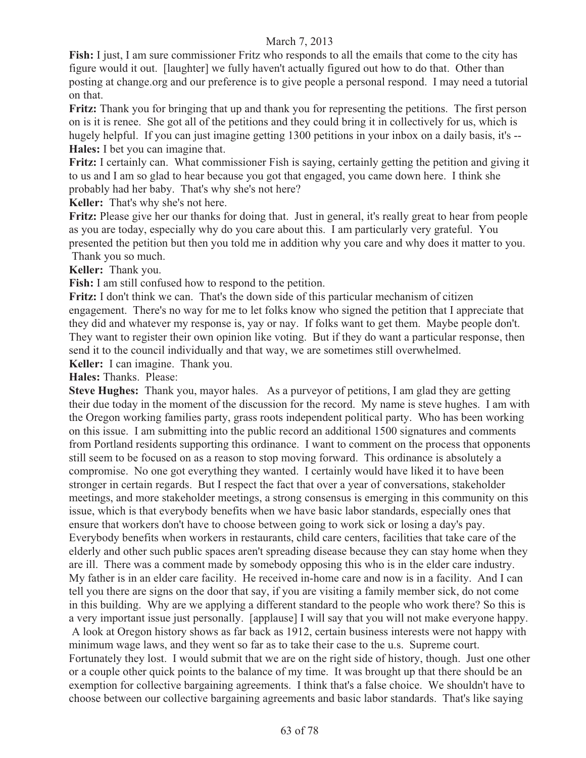**Fish:** I just, I am sure commissioner Fritz who responds to all the emails that come to the city has figure would it out. [laughter] we fully haven't actually figured out how to do that. Other than posting at change.org and our preference is to give people a personal respond. I may need a tutorial on that.

**Fritz:** Thank you for bringing that up and thank you for representing the petitions. The first person on is it is renee. She got all of the petitions and they could bring it in collectively for us, which is hugely helpful. If you can just imagine getting 1300 petitions in your inbox on a daily basis, it's -- **Hales:** I bet you can imagine that.

**Fritz:** I certainly can. What commissioner Fish is saying, certainly getting the petition and giving it to us and I am so glad to hear because you got that engaged, you came down here. I think she probably had her baby. That's why she's not here?

**Keller:** That's why she's not here.

**Fritz:** Please give her our thanks for doing that. Just in general, it's really great to hear from people as you are today, especially why do you care about this. I am particularly very grateful. You presented the petition but then you told me in addition why you care and why does it matter to you. Thank you so much.

**Keller:** Thank you.

**Fish:** I am still confused how to respond to the petition.

**Fritz:** I don't think we can. That's the down side of this particular mechanism of citizen engagement. There's no way for me to let folks know who signed the petition that I appreciate that they did and whatever my response is, yay or nay. If folks want to get them. Maybe people don't. They want to register their own opinion like voting. But if they do want a particular response, then send it to the council individually and that way, we are sometimes still overwhelmed.

**Keller:** I can imagine. Thank you.

**Hales:** Thanks. Please:

**Steve Hughes:** Thank you, mayor hales. As a purveyor of petitions, I am glad they are getting their due today in the moment of the discussion for the record. My name is steve hughes. I am with the Oregon working families party, grass roots independent political party. Who has been working on this issue. I am submitting into the public record an additional 1500 signatures and comments from Portland residents supporting this ordinance. I want to comment on the process that opponents still seem to be focused on as a reason to stop moving forward. This ordinance is absolutely a compromise. No one got everything they wanted. I certainly would have liked it to have been stronger in certain regards. But I respect the fact that over a year of conversations, stakeholder meetings, and more stakeholder meetings, a strong consensus is emerging in this community on this issue, which is that everybody benefits when we have basic labor standards, especially ones that ensure that workers don't have to choose between going to work sick or losing a day's pay. Everybody benefits when workers in restaurants, child care centers, facilities that take care of the elderly and other such public spaces aren't spreading disease because they can stay home when they are ill. There was a comment made by somebody opposing this who is in the elder care industry. My father is in an elder care facility. He received in-home care and now is in a facility. And I can tell you there are signs on the door that say, if you are visiting a family member sick, do not come in this building. Why are we applying a different standard to the people who work there? So this is a very important issue just personally. [applause] I will say that you will not make everyone happy. A look at Oregon history shows as far back as 1912, certain business interests were not happy with minimum wage laws, and they went so far as to take their case to the u.s. Supreme court.

Fortunately they lost. I would submit that we are on the right side of history, though. Just one other or a couple other quick points to the balance of my time. It was brought up that there should be an exemption for collective bargaining agreements. I think that's a false choice. We shouldn't have to choose between our collective bargaining agreements and basic labor standards. That's like saying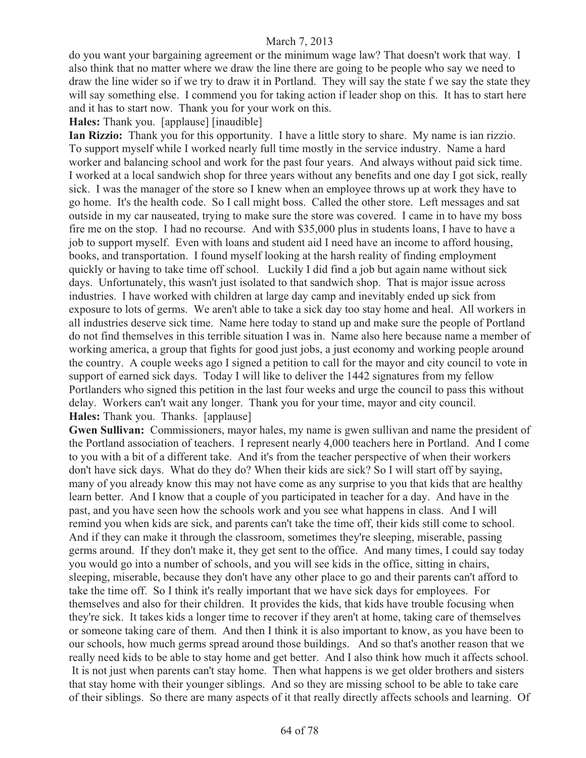do you want your bargaining agreement or the minimum wage law? That doesn't work that way. I also think that no matter where we draw the line there are going to be people who say we need to draw the line wider so if we try to draw it in Portland. They will say the state f we say the state they will say something else. I commend you for taking action if leader shop on this. It has to start here and it has to start now. Thank you for your work on this.

### **Hales:** Thank you. [applause] [inaudible]

**Ian Rizzio:** Thank you for this opportunity. I have a little story to share. My name is ian rizzio. To support myself while I worked nearly full time mostly in the service industry. Name a hard worker and balancing school and work for the past four years. And always without paid sick time. I worked at a local sandwich shop for three years without any benefits and one day I got sick, really sick. I was the manager of the store so I knew when an employee throws up at work they have to go home. It's the health code. So I call might boss. Called the other store. Left messages and sat outside in my car nauseated, trying to make sure the store was covered. I came in to have my boss fire me on the stop. I had no recourse. And with \$35,000 plus in students loans, I have to have a job to support myself. Even with loans and student aid I need have an income to afford housing, books, and transportation. I found myself looking at the harsh reality of finding employment quickly or having to take time off school. Luckily I did find a job but again name without sick days. Unfortunately, this wasn't just isolated to that sandwich shop. That is major issue across industries. I have worked with children at large day camp and inevitably ended up sick from exposure to lots of germs. We aren't able to take a sick day too stay home and heal. All workers in all industries deserve sick time. Name here today to stand up and make sure the people of Portland do not find themselves in this terrible situation I was in. Name also here because name a member of working america, a group that fights for good just jobs, a just economy and working people around the country. A couple weeks ago I signed a petition to call for the mayor and city council to vote in support of earned sick days. Today I will like to deliver the 1442 signatures from my fellow Portlanders who signed this petition in the last four weeks and urge the council to pass this without delay. Workers can't wait any longer. Thank you for your time, mayor and city council. **Hales:** Thank you. Thanks. [applause]

**Gwen Sullivan:** Commissioners, mayor hales, my name is gwen sullivan and name the president of the Portland association of teachers. I represent nearly 4,000 teachers here in Portland. And I come to you with a bit of a different take. And it's from the teacher perspective of when their workers don't have sick days. What do they do? When their kids are sick? So I will start off by saying, many of you already know this may not have come as any surprise to you that kids that are healthy learn better. And I know that a couple of you participated in teacher for a day. And have in the past, and you have seen how the schools work and you see what happens in class. And I will remind you when kids are sick, and parents can't take the time off, their kids still come to school. And if they can make it through the classroom, sometimes they're sleeping, miserable, passing germs around. If they don't make it, they get sent to the office. And many times, I could say today you would go into a number of schools, and you will see kids in the office, sitting in chairs, sleeping, miserable, because they don't have any other place to go and their parents can't afford to take the time off. So I think it's really important that we have sick days for employees. For themselves and also for their children. It provides the kids, that kids have trouble focusing when they're sick. It takes kids a longer time to recover if they aren't at home, taking care of themselves or someone taking care of them. And then I think it is also important to know, as you have been to our schools, how much germs spread around those buildings. And so that's another reason that we really need kids to be able to stay home and get better. And I also think how much it affects school. It is not just when parents can't stay home. Then what happens is we get older brothers and sisters that stay home with their younger siblings. And so they are missing school to be able to take care of their siblings. So there are many aspects of it that really directly affects schools and learning. Of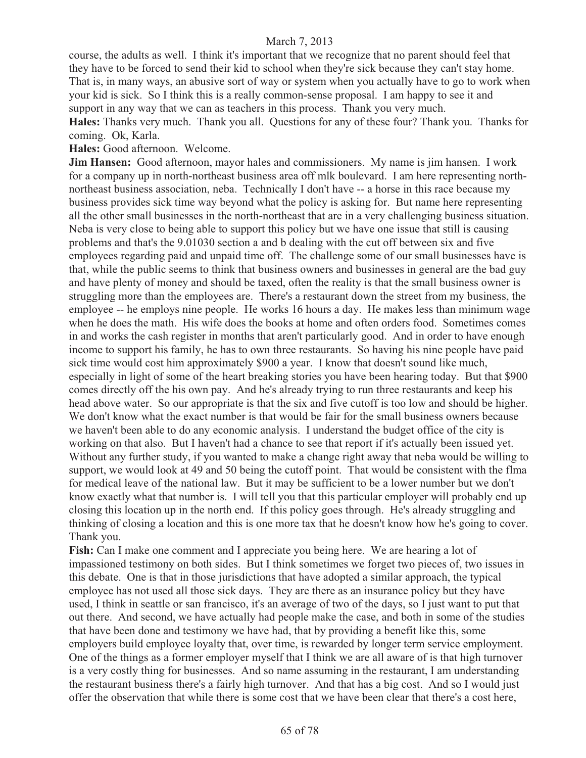course, the adults as well. I think it's important that we recognize that no parent should feel that they have to be forced to send their kid to school when they're sick because they can't stay home. That is, in many ways, an abusive sort of way or system when you actually have to go to work when your kid is sick. So I think this is a really common-sense proposal. I am happy to see it and support in any way that we can as teachers in this process. Thank you very much. **Hales:** Thanks very much. Thank you all. Questions for any of these four? Thank you. Thanks for coming. Ok, Karla.

**Hales:** Good afternoon. Welcome.

**Jim Hansen:** Good afternoon, mayor hales and commissioners. My name is jim hansen. I work for a company up in north-northeast business area off mlk boulevard. I am here representing northnortheast business association, neba. Technically I don't have -- a horse in this race because my business provides sick time way beyond what the policy is asking for. But name here representing all the other small businesses in the north-northeast that are in a very challenging business situation. Neba is very close to being able to support this policy but we have one issue that still is causing problems and that's the 9.01030 section a and b dealing with the cut off between six and five employees regarding paid and unpaid time off. The challenge some of our small businesses have is that, while the public seems to think that business owners and businesses in general are the bad guy and have plenty of money and should be taxed, often the reality is that the small business owner is struggling more than the employees are. There's a restaurant down the street from my business, the employee -- he employs nine people. He works 16 hours a day. He makes less than minimum wage when he does the math. His wife does the books at home and often orders food. Sometimes comes in and works the cash register in months that aren't particularly good. And in order to have enough income to support his family, he has to own three restaurants. So having his nine people have paid sick time would cost him approximately \$900 a year. I know that doesn't sound like much, especially in light of some of the heart breaking stories you have been hearing today. But that \$900 comes directly off the his own pay. And he's already trying to run three restaurants and keep his head above water. So our appropriate is that the six and five cutoff is too low and should be higher. We don't know what the exact number is that would be fair for the small business owners because we haven't been able to do any economic analysis. I understand the budget office of the city is working on that also. But I haven't had a chance to see that report if it's actually been issued yet. Without any further study, if you wanted to make a change right away that neba would be willing to support, we would look at 49 and 50 being the cutoff point. That would be consistent with the flma for medical leave of the national law. But it may be sufficient to be a lower number but we don't know exactly what that number is. I will tell you that this particular employer will probably end up closing this location up in the north end. If this policy goes through. He's already struggling and thinking of closing a location and this is one more tax that he doesn't know how he's going to cover. Thank you.

**Fish:** Can I make one comment and I appreciate you being here. We are hearing a lot of impassioned testimony on both sides. But I think sometimes we forget two pieces of, two issues in this debate. One is that in those jurisdictions that have adopted a similar approach, the typical employee has not used all those sick days. They are there as an insurance policy but they have used, I think in seattle or san francisco, it's an average of two of the days, so I just want to put that out there. And second, we have actually had people make the case, and both in some of the studies that have been done and testimony we have had, that by providing a benefit like this, some employers build employee loyalty that, over time, is rewarded by longer term service employment. One of the things as a former employer myself that I think we are all aware of is that high turnover is a very costly thing for businesses. And so name assuming in the restaurant, I am understanding the restaurant business there's a fairly high turnover. And that has a big cost. And so I would just offer the observation that while there is some cost that we have been clear that there's a cost here,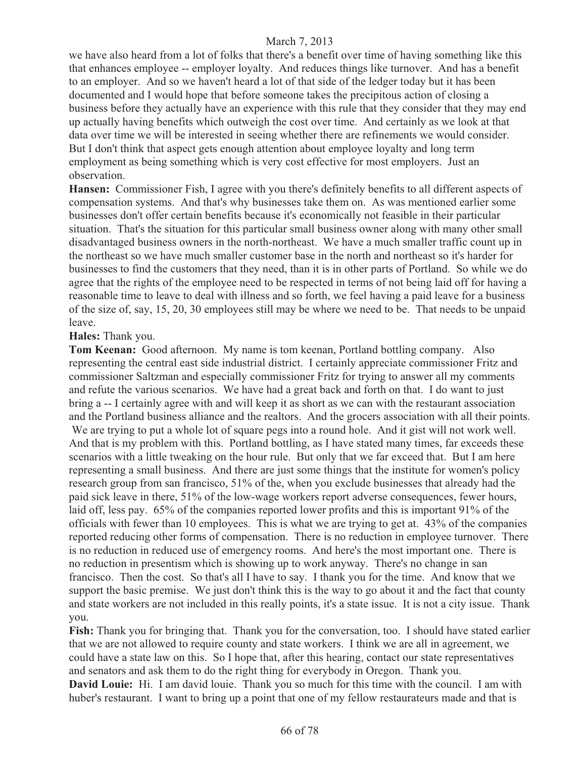we have also heard from a lot of folks that there's a benefit over time of having something like this that enhances employee -- employer loyalty. And reduces things like turnover. And has a benefit to an employer. And so we haven't heard a lot of that side of the ledger today but it has been documented and I would hope that before someone takes the precipitous action of closing a business before they actually have an experience with this rule that they consider that they may end up actually having benefits which outweigh the cost over time. And certainly as we look at that data over time we will be interested in seeing whether there are refinements we would consider. But I don't think that aspect gets enough attention about employee loyalty and long term employment as being something which is very cost effective for most employers. Just an observation.

**Hansen:** Commissioner Fish, I agree with you there's definitely benefits to all different aspects of compensation systems. And that's why businesses take them on. As was mentioned earlier some businesses don't offer certain benefits because it's economically not feasible in their particular situation. That's the situation for this particular small business owner along with many other small disadvantaged business owners in the north-northeast. We have a much smaller traffic count up in the northeast so we have much smaller customer base in the north and northeast so it's harder for businesses to find the customers that they need, than it is in other parts of Portland. So while we do agree that the rights of the employee need to be respected in terms of not being laid off for having a reasonable time to leave to deal with illness and so forth, we feel having a paid leave for a business of the size of, say, 15, 20, 30 employees still may be where we need to be. That needs to be unpaid leave.

## **Hales:** Thank you.

**Tom Keenan:** Good afternoon. My name is tom keenan, Portland bottling company. Also representing the central east side industrial district. I certainly appreciate commissioner Fritz and commissioner Saltzman and especially commissioner Fritz for trying to answer all my comments and refute the various scenarios. We have had a great back and forth on that. I do want to just bring a -- I certainly agree with and will keep it as short as we can with the restaurant association and the Portland business alliance and the realtors. And the grocers association with all their points. We are trying to put a whole lot of square pegs into a round hole. And it gist will not work well. And that is my problem with this. Portland bottling, as I have stated many times, far exceeds these scenarios with a little tweaking on the hour rule. But only that we far exceed that. But I am here representing a small business. And there are just some things that the institute for women's policy research group from san francisco, 51% of the, when you exclude businesses that already had the paid sick leave in there, 51% of the low-wage workers report adverse consequences, fewer hours, laid off, less pay. 65% of the companies reported lower profits and this is important 91% of the officials with fewer than 10 employees. This is what we are trying to get at. 43% of the companies reported reducing other forms of compensation. There is no reduction in employee turnover. There is no reduction in reduced use of emergency rooms. And here's the most important one. There is no reduction in presentism which is showing up to work anyway. There's no change in san francisco. Then the cost. So that's all I have to say. I thank you for the time. And know that we support the basic premise. We just don't think this is the way to go about it and the fact that county and state workers are not included in this really points, it's a state issue. It is not a city issue. Thank you.

**Fish:** Thank you for bringing that. Thank you for the conversation, too. I should have stated earlier that we are not allowed to require county and state workers. I think we are all in agreement, we could have a state law on this. So I hope that, after this hearing, contact our state representatives and senators and ask them to do the right thing for everybody in Oregon. Thank you.

**David Louie:** Hi. I am david louie. Thank you so much for this time with the council. I am with huber's restaurant. I want to bring up a point that one of my fellow restaurateurs made and that is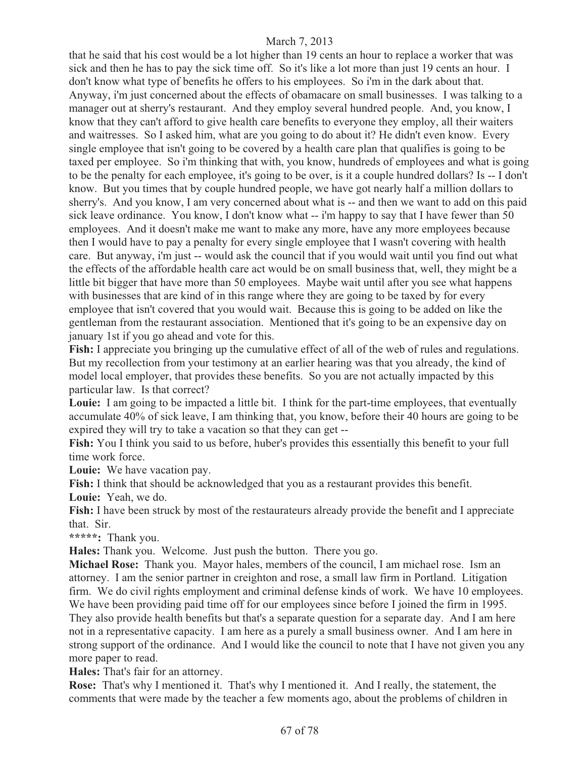that he said that his cost would be a lot higher than 19 cents an hour to replace a worker that was sick and then he has to pay the sick time off. So it's like a lot more than just 19 cents an hour. I don't know what type of benefits he offers to his employees. So i'm in the dark about that. Anyway, i'm just concerned about the effects of obamacare on small businesses. I was talking to a manager out at sherry's restaurant. And they employ several hundred people. And, you know, I know that they can't afford to give health care benefits to everyone they employ, all their waiters and waitresses. So I asked him, what are you going to do about it? He didn't even know. Every single employee that isn't going to be covered by a health care plan that qualifies is going to be taxed per employee. So i'm thinking that with, you know, hundreds of employees and what is going to be the penalty for each employee, it's going to be over, is it a couple hundred dollars? Is -- I don't know. But you times that by couple hundred people, we have got nearly half a million dollars to sherry's. And you know, I am very concerned about what is -- and then we want to add on this paid sick leave ordinance. You know, I don't know what -- i'm happy to say that I have fewer than 50 employees. And it doesn't make me want to make any more, have any more employees because then I would have to pay a penalty for every single employee that I wasn't covering with health care. But anyway, i'm just -- would ask the council that if you would wait until you find out what the effects of the affordable health care act would be on small business that, well, they might be a little bit bigger that have more than 50 employees. Maybe wait until after you see what happens with businesses that are kind of in this range where they are going to be taxed by for every employee that isn't covered that you would wait. Because this is going to be added on like the gentleman from the restaurant association. Mentioned that it's going to be an expensive day on january 1st if you go ahead and vote for this.

**Fish:** I appreciate you bringing up the cumulative effect of all of the web of rules and regulations. But my recollection from your testimony at an earlier hearing was that you already, the kind of model local employer, that provides these benefits. So you are not actually impacted by this particular law. Is that correct?

**Louie:** I am going to be impacted a little bit. I think for the part-time employees, that eventually accumulate 40% of sick leave, I am thinking that, you know, before their 40 hours are going to be expired they will try to take a vacation so that they can get --

**Fish:** You I think you said to us before, huber's provides this essentially this benefit to your full time work force.

**Louie:** We have vacation pay.

**Fish:** I think that should be acknowledged that you as a restaurant provides this benefit.

**Louie:** Yeah, we do.

**Fish:** I have been struck by most of the restaurateurs already provide the benefit and I appreciate that. Sir.

**\*\*\*\*\*:** Thank you.

**Hales:** Thank you. Welcome. Just push the button. There you go.

**Michael Rose:** Thank you. Mayor hales, members of the council, I am michael rose. Ism an attorney. I am the senior partner in creighton and rose, a small law firm in Portland. Litigation firm. We do civil rights employment and criminal defense kinds of work. We have 10 employees. We have been providing paid time off for our employees since before I joined the firm in 1995. They also provide health benefits but that's a separate question for a separate day. And I am here not in a representative capacity. I am here as a purely a small business owner. And I am here in strong support of the ordinance. And I would like the council to note that I have not given you any more paper to read.

**Hales:** That's fair for an attorney.

**Rose:** That's why I mentioned it. That's why I mentioned it. And I really, the statement, the comments that were made by the teacher a few moments ago, about the problems of children in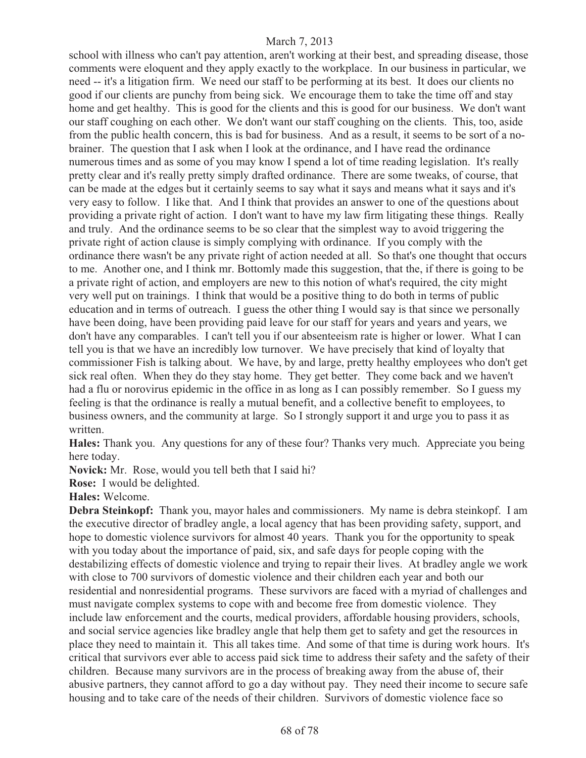school with illness who can't pay attention, aren't working at their best, and spreading disease, those comments were eloquent and they apply exactly to the workplace. In our business in particular, we need -- it's a litigation firm. We need our staff to be performing at its best. It does our clients no good if our clients are punchy from being sick. We encourage them to take the time off and stay home and get healthy. This is good for the clients and this is good for our business. We don't want our staff coughing on each other. We don't want our staff coughing on the clients. This, too, aside from the public health concern, this is bad for business. And as a result, it seems to be sort of a nobrainer. The question that I ask when I look at the ordinance, and I have read the ordinance numerous times and as some of you may know I spend a lot of time reading legislation. It's really pretty clear and it's really pretty simply drafted ordinance. There are some tweaks, of course, that can be made at the edges but it certainly seems to say what it says and means what it says and it's very easy to follow. I like that. And I think that provides an answer to one of the questions about providing a private right of action. I don't want to have my law firm litigating these things. Really and truly. And the ordinance seems to be so clear that the simplest way to avoid triggering the private right of action clause is simply complying with ordinance. If you comply with the ordinance there wasn't be any private right of action needed at all. So that's one thought that occurs to me. Another one, and I think mr. Bottomly made this suggestion, that the, if there is going to be a private right of action, and employers are new to this notion of what's required, the city might very well put on trainings. I think that would be a positive thing to do both in terms of public education and in terms of outreach. I guess the other thing I would say is that since we personally have been doing, have been providing paid leave for our staff for years and years and years, we don't have any comparables. I can't tell you if our absenteeism rate is higher or lower. What I can tell you is that we have an incredibly low turnover. We have precisely that kind of loyalty that commissioner Fish is talking about. We have, by and large, pretty healthy employees who don't get sick real often. When they do they stay home. They get better. They come back and we haven't had a flu or norovirus epidemic in the office in as long as I can possibly remember. So I guess my feeling is that the ordinance is really a mutual benefit, and a collective benefit to employees, to business owners, and the community at large. So I strongly support it and urge you to pass it as written.

**Hales:** Thank you. Any questions for any of these four? Thanks very much. Appreciate you being here today.

**Novick:** Mr. Rose, would you tell beth that I said hi?

**Rose:** I would be delighted.

**Hales:** Welcome.

**Debra Steinkopf:** Thank you, mayor hales and commissioners. My name is debra steinkopf. I am the executive director of bradley angle, a local agency that has been providing safety, support, and hope to domestic violence survivors for almost 40 years. Thank you for the opportunity to speak with you today about the importance of paid, six, and safe days for people coping with the destabilizing effects of domestic violence and trying to repair their lives. At bradley angle we work with close to 700 survivors of domestic violence and their children each year and both our residential and nonresidential programs. These survivors are faced with a myriad of challenges and must navigate complex systems to cope with and become free from domestic violence. They include law enforcement and the courts, medical providers, affordable housing providers, schools, and social service agencies like bradley angle that help them get to safety and get the resources in place they need to maintain it. This all takes time. And some of that time is during work hours. It's critical that survivors ever able to access paid sick time to address their safety and the safety of their children. Because many survivors are in the process of breaking away from the abuse of, their abusive partners, they cannot afford to go a day without pay. They need their income to secure safe housing and to take care of the needs of their children. Survivors of domestic violence face so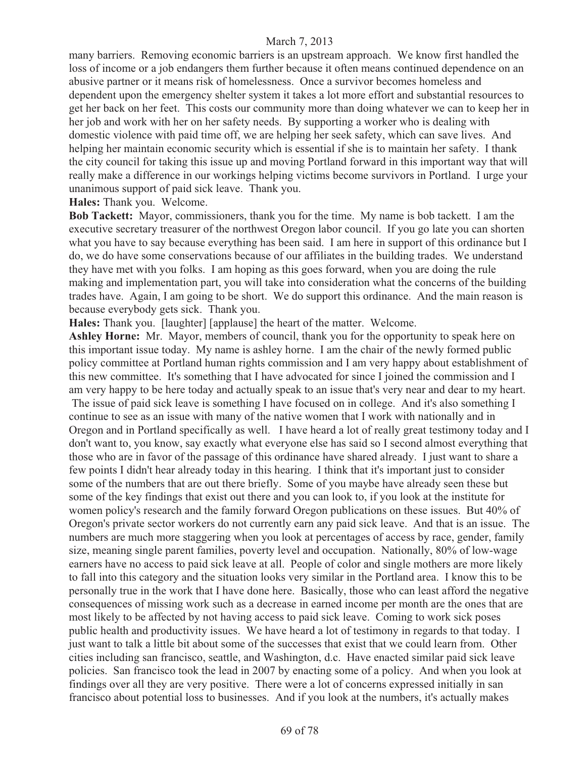many barriers. Removing economic barriers is an upstream approach. We know first handled the loss of income or a job endangers them further because it often means continued dependence on an abusive partner or it means risk of homelessness. Once a survivor becomes homeless and dependent upon the emergency shelter system it takes a lot more effort and substantial resources to get her back on her feet. This costs our community more than doing whatever we can to keep her in her job and work with her on her safety needs. By supporting a worker who is dealing with domestic violence with paid time off, we are helping her seek safety, which can save lives. And helping her maintain economic security which is essential if she is to maintain her safety. I thank the city council for taking this issue up and moving Portland forward in this important way that will really make a difference in our workings helping victims become survivors in Portland. I urge your unanimous support of paid sick leave. Thank you.

**Hales:** Thank you. Welcome.

**Bob Tackett:** Mayor, commissioners, thank you for the time. My name is bob tackett. I am the executive secretary treasurer of the northwest Oregon labor council. If you go late you can shorten what you have to say because everything has been said. I am here in support of this ordinance but I do, we do have some conservations because of our affiliates in the building trades. We understand they have met with you folks. I am hoping as this goes forward, when you are doing the rule making and implementation part, you will take into consideration what the concerns of the building trades have. Again, I am going to be short. We do support this ordinance. And the main reason is because everybody gets sick. Thank you.

**Hales:** Thank you. [laughter] [applause] the heart of the matter. Welcome.

**Ashley Horne:** Mr. Mayor, members of council, thank you for the opportunity to speak here on this important issue today. My name is ashley horne. I am the chair of the newly formed public policy committee at Portland human rights commission and I am very happy about establishment of this new committee. It's something that I have advocated for since I joined the commission and I am very happy to be here today and actually speak to an issue that's very near and dear to my heart. The issue of paid sick leave is something I have focused on in college. And it's also something I continue to see as an issue with many of the native women that I work with nationally and in Oregon and in Portland specifically as well. I have heard a lot of really great testimony today and I don't want to, you know, say exactly what everyone else has said so I second almost everything that those who are in favor of the passage of this ordinance have shared already. I just want to share a few points I didn't hear already today in this hearing. I think that it's important just to consider some of the numbers that are out there briefly. Some of you maybe have already seen these but some of the key findings that exist out there and you can look to, if you look at the institute for women policy's research and the family forward Oregon publications on these issues. But 40% of Oregon's private sector workers do not currently earn any paid sick leave. And that is an issue. The numbers are much more staggering when you look at percentages of access by race, gender, family size, meaning single parent families, poverty level and occupation. Nationally, 80% of low-wage earners have no access to paid sick leave at all. People of color and single mothers are more likely to fall into this category and the situation looks very similar in the Portland area. I know this to be personally true in the work that I have done here. Basically, those who can least afford the negative consequences of missing work such as a decrease in earned income per month are the ones that are most likely to be affected by not having access to paid sick leave. Coming to work sick poses public health and productivity issues. We have heard a lot of testimony in regards to that today. I just want to talk a little bit about some of the successes that exist that we could learn from. Other cities including san francisco, seattle, and Washington, d.c. Have enacted similar paid sick leave policies. San francisco took the lead in 2007 by enacting some of a policy. And when you look at findings over all they are very positive. There were a lot of concerns expressed initially in san francisco about potential loss to businesses. And if you look at the numbers, it's actually makes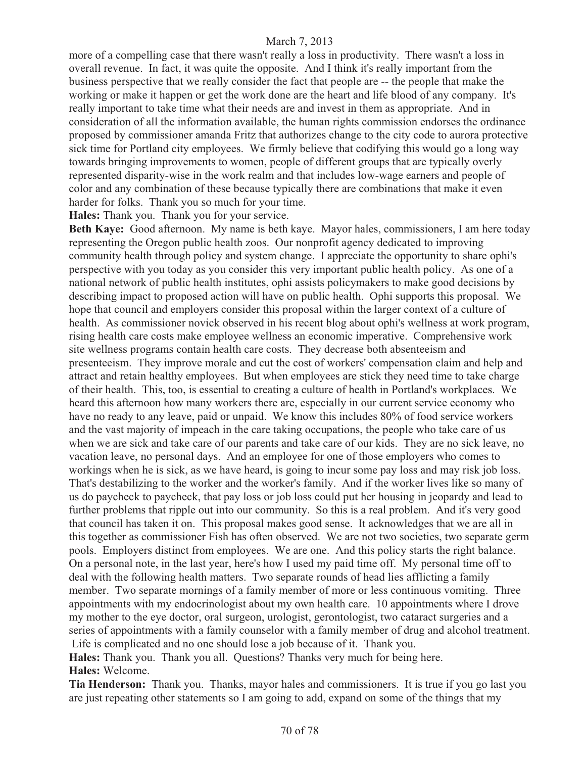more of a compelling case that there wasn't really a loss in productivity. There wasn't a loss in overall revenue. In fact, it was quite the opposite. And I think it's really important from the business perspective that we really consider the fact that people are -- the people that make the working or make it happen or get the work done are the heart and life blood of any company. It's really important to take time what their needs are and invest in them as appropriate. And in consideration of all the information available, the human rights commission endorses the ordinance proposed by commissioner amanda Fritz that authorizes change to the city code to aurora protective sick time for Portland city employees. We firmly believe that codifying this would go a long way towards bringing improvements to women, people of different groups that are typically overly represented disparity-wise in the work realm and that includes low-wage earners and people of color and any combination of these because typically there are combinations that make it even harder for folks. Thank you so much for your time.

**Hales:** Thank you. Thank you for your service.

**Beth Kaye:** Good afternoon. My name is beth kaye. Mayor hales, commissioners, I am here today representing the Oregon public health zoos. Our nonprofit agency dedicated to improving community health through policy and system change. I appreciate the opportunity to share ophi's perspective with you today as you consider this very important public health policy. As one of a national network of public health institutes, ophi assists policymakers to make good decisions by describing impact to proposed action will have on public health. Ophi supports this proposal. We hope that council and employers consider this proposal within the larger context of a culture of health. As commissioner novick observed in his recent blog about ophi's wellness at work program, rising health care costs make employee wellness an economic imperative. Comprehensive work site wellness programs contain health care costs. They decrease both absenteeism and presenteeism. They improve morale and cut the cost of workers' compensation claim and help and attract and retain healthy employees. But when employees are stick they need time to take charge of their health. This, too, is essential to creating a culture of health in Portland's workplaces. We heard this afternoon how many workers there are, especially in our current service economy who have no ready to any leave, paid or unpaid. We know this includes 80% of food service workers and the vast majority of impeach in the care taking occupations, the people who take care of us when we are sick and take care of our parents and take care of our kids. They are no sick leave, no vacation leave, no personal days. And an employee for one of those employers who comes to workings when he is sick, as we have heard, is going to incur some pay loss and may risk job loss. That's destabilizing to the worker and the worker's family. And if the worker lives like so many of us do paycheck to paycheck, that pay loss or job loss could put her housing in jeopardy and lead to further problems that ripple out into our community. So this is a real problem. And it's very good that council has taken it on. This proposal makes good sense. It acknowledges that we are all in this together as commissioner Fish has often observed. We are not two societies, two separate germ pools. Employers distinct from employees. We are one. And this policy starts the right balance. On a personal note, in the last year, here's how I used my paid time off. My personal time off to deal with the following health matters. Two separate rounds of head lies afflicting a family member. Two separate mornings of a family member of more or less continuous vomiting. Three appointments with my endocrinologist about my own health care. 10 appointments where I drove my mother to the eye doctor, oral surgeon, urologist, gerontologist, two cataract surgeries and a series of appointments with a family counselor with a family member of drug and alcohol treatment. Life is complicated and no one should lose a job because of it. Thank you.

**Hales:** Thank you. Thank you all. Questions? Thanks very much for being here. **Hales:** Welcome.

**Tia Henderson:** Thank you. Thanks, mayor hales and commissioners. It is true if you go last you are just repeating other statements so I am going to add, expand on some of the things that my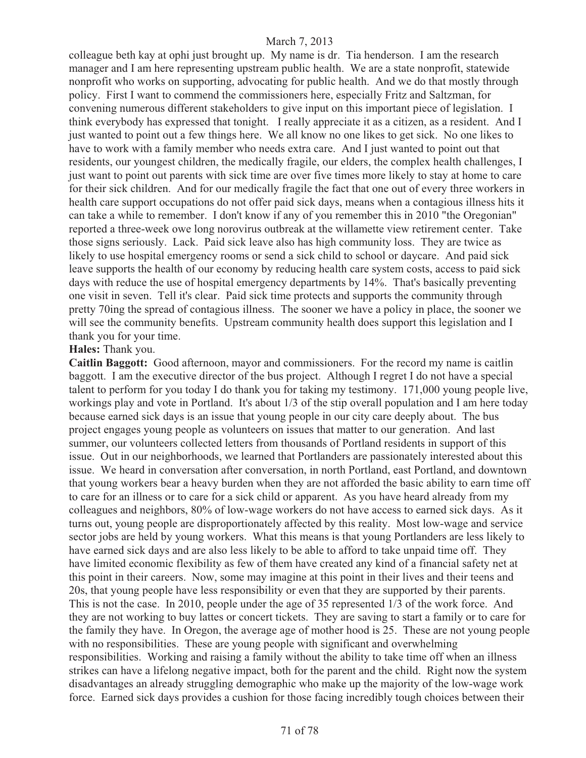colleague beth kay at ophi just brought up. My name is dr. Tia henderson. I am the research manager and I am here representing upstream public health. We are a state nonprofit, statewide nonprofit who works on supporting, advocating for public health. And we do that mostly through policy. First I want to commend the commissioners here, especially Fritz and Saltzman, for convening numerous different stakeholders to give input on this important piece of legislation. I think everybody has expressed that tonight. I really appreciate it as a citizen, as a resident. And I just wanted to point out a few things here. We all know no one likes to get sick. No one likes to have to work with a family member who needs extra care. And I just wanted to point out that residents, our youngest children, the medically fragile, our elders, the complex health challenges, I just want to point out parents with sick time are over five times more likely to stay at home to care for their sick children. And for our medically fragile the fact that one out of every three workers in health care support occupations do not offer paid sick days, means when a contagious illness hits it can take a while to remember. I don't know if any of you remember this in 2010 "the Oregonian" reported a three-week owe long norovirus outbreak at the willamette view retirement center. Take those signs seriously. Lack. Paid sick leave also has high community loss. They are twice as likely to use hospital emergency rooms or send a sick child to school or daycare. And paid sick leave supports the health of our economy by reducing health care system costs, access to paid sick days with reduce the use of hospital emergency departments by 14%. That's basically preventing one visit in seven. Tell it's clear. Paid sick time protects and supports the community through pretty 70ing the spread of contagious illness. The sooner we have a policy in place, the sooner we will see the community benefits. Upstream community health does support this legislation and I thank you for your time.

#### **Hales:** Thank you.

**Caitlin Baggott:** Good afternoon, mayor and commissioners. For the record my name is caitlin baggott. I am the executive director of the bus project. Although I regret I do not have a special talent to perform for you today I do thank you for taking my testimony. 171,000 young people live, workings play and vote in Portland. It's about 1/3 of the stip overall population and I am here today because earned sick days is an issue that young people in our city care deeply about. The bus project engages young people as volunteers on issues that matter to our generation. And last summer, our volunteers collected letters from thousands of Portland residents in support of this issue. Out in our neighborhoods, we learned that Portlanders are passionately interested about this issue. We heard in conversation after conversation, in north Portland, east Portland, and downtown that young workers bear a heavy burden when they are not afforded the basic ability to earn time off to care for an illness or to care for a sick child or apparent. As you have heard already from my colleagues and neighbors, 80% of low-wage workers do not have access to earned sick days. As it turns out, young people are disproportionately affected by this reality. Most low-wage and service sector jobs are held by young workers. What this means is that young Portlanders are less likely to have earned sick days and are also less likely to be able to afford to take unpaid time off. They have limited economic flexibility as few of them have created any kind of a financial safety net at this point in their careers. Now, some may imagine at this point in their lives and their teens and 20s, that young people have less responsibility or even that they are supported by their parents. This is not the case. In 2010, people under the age of 35 represented 1/3 of the work force. And they are not working to buy lattes or concert tickets. They are saving to start a family or to care for the family they have. In Oregon, the average age of mother hood is 25. These are not young people with no responsibilities. These are young people with significant and overwhelming responsibilities. Working and raising a family without the ability to take time off when an illness strikes can have a lifelong negative impact, both for the parent and the child. Right now the system disadvantages an already struggling demographic who make up the majority of the low-wage work force. Earned sick days provides a cushion for those facing incredibly tough choices between their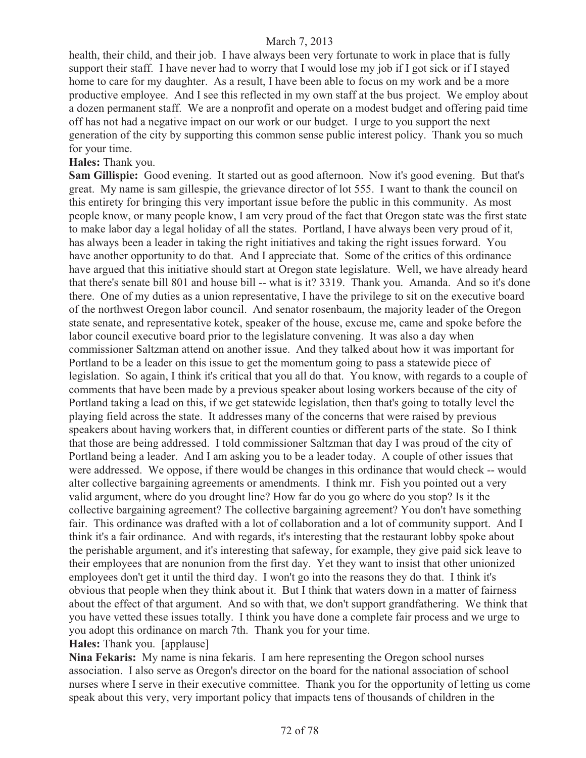health, their child, and their job. I have always been very fortunate to work in place that is fully support their staff. I have never had to worry that I would lose my job if I got sick or if I stayed home to care for my daughter. As a result, I have been able to focus on my work and be a more productive employee. And I see this reflected in my own staff at the bus project. We employ about a dozen permanent staff. We are a nonprofit and operate on a modest budget and offering paid time off has not had a negative impact on our work or our budget. I urge to you support the next generation of the city by supporting this common sense public interest policy. Thank you so much for your time.

### **Hales:** Thank you.

**Sam Gillispie:** Good evening. It started out as good afternoon. Now it's good evening. But that's great. My name is sam gillespie, the grievance director of lot 555. I want to thank the council on this entirety for bringing this very important issue before the public in this community. As most people know, or many people know, I am very proud of the fact that Oregon state was the first state to make labor day a legal holiday of all the states. Portland, I have always been very proud of it, has always been a leader in taking the right initiatives and taking the right issues forward. You have another opportunity to do that. And I appreciate that. Some of the critics of this ordinance have argued that this initiative should start at Oregon state legislature. Well, we have already heard that there's senate bill 801 and house bill -- what is it? 3319. Thank you. Amanda. And so it's done there. One of my duties as a union representative, I have the privilege to sit on the executive board of the northwest Oregon labor council. And senator rosenbaum, the majority leader of the Oregon state senate, and representative kotek, speaker of the house, excuse me, came and spoke before the labor council executive board prior to the legislature convening. It was also a day when commissioner Saltzman attend on another issue. And they talked about how it was important for Portland to be a leader on this issue to get the momentum going to pass a statewide piece of legislation. So again, I think it's critical that you all do that. You know, with regards to a couple of comments that have been made by a previous speaker about losing workers because of the city of Portland taking a lead on this, if we get statewide legislation, then that's going to totally level the playing field across the state. It addresses many of the concerns that were raised by previous speakers about having workers that, in different counties or different parts of the state. So I think that those are being addressed. I told commissioner Saltzman that day I was proud of the city of Portland being a leader. And I am asking you to be a leader today. A couple of other issues that were addressed. We oppose, if there would be changes in this ordinance that would check -- would alter collective bargaining agreements or amendments. I think mr. Fish you pointed out a very valid argument, where do you drought line? How far do you go where do you stop? Is it the collective bargaining agreement? The collective bargaining agreement? You don't have something fair. This ordinance was drafted with a lot of collaboration and a lot of community support. And I think it's a fair ordinance. And with regards, it's interesting that the restaurant lobby spoke about the perishable argument, and it's interesting that safeway, for example, they give paid sick leave to their employees that are nonunion from the first day. Yet they want to insist that other unionized employees don't get it until the third day. I won't go into the reasons they do that. I think it's obvious that people when they think about it. But I think that waters down in a matter of fairness about the effect of that argument. And so with that, we don't support grandfathering. We think that you have vetted these issues totally. I think you have done a complete fair process and we urge to you adopt this ordinance on march 7th. Thank you for your time.

**Hales:** Thank you. [applause]

**Nina Fekaris:** My name is nina fekaris. I am here representing the Oregon school nurses association. I also serve as Oregon's director on the board for the national association of school nurses where I serve in their executive committee. Thank you for the opportunity of letting us come speak about this very, very important policy that impacts tens of thousands of children in the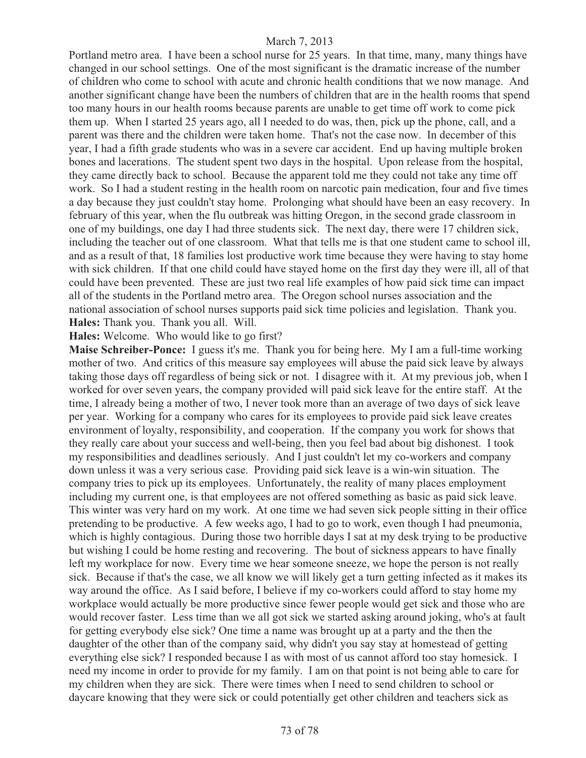Portland metro area. I have been a school nurse for 25 years. In that time, many, many things have changed in our school settings. One of the most significant is the dramatic increase of the number of children who come to school with acute and chronic health conditions that we now manage. And another significant change have been the numbers of children that are in the health rooms that spend too many hours in our health rooms because parents are unable to get time off work to come pick them up. When I started 25 years ago, all I needed to do was, then, pick up the phone, call, and a parent was there and the children were taken home. That's not the case now. In december of this year, I had a fifth grade students who was in a severe car accident. End up having multiple broken bones and lacerations. The student spent two days in the hospital. Upon release from the hospital, they came directly back to school. Because the apparent told me they could not take any time off work. So I had a student resting in the health room on narcotic pain medication, four and five times a day because they just couldn't stay home. Prolonging what should have been an easy recovery. In february of this year, when the flu outbreak was hitting Oregon, in the second grade classroom in one of my buildings, one day I had three students sick. The next day, there were 17 children sick, including the teacher out of one classroom. What that tells me is that one student came to school ill, and as a result of that, 18 families lost productive work time because they were having to stay home with sick children. If that one child could have stayed home on the first day they were ill, all of that could have been prevented. These are just two real life examples of how paid sick time can impact all of the students in the Portland metro area. The Oregon school nurses association and the national association of school nurses supports paid sick time policies and legislation. Thank you. **Hales:** Thank you. Thank you all. Will.

**Hales:** Welcome. Who would like to go first?

**Maise Schreiber-Ponce:** I guess it's me. Thank you for being here. My I am a full-time working mother of two. And critics of this measure say employees will abuse the paid sick leave by always taking those days off regardless of being sick or not. I disagree with it. At my previous job, when I worked for over seven years, the company provided will paid sick leave for the entire staff. At the time, I already being a mother of two, I never took more than an average of two days of sick leave per year. Working for a company who cares for its employees to provide paid sick leave creates environment of loyalty, responsibility, and cooperation. If the company you work for shows that they really care about your success and well-being, then you feel bad about big dishonest. I took my responsibilities and deadlines seriously. And I just couldn't let my co-workers and company down unless it was a very serious case. Providing paid sick leave is a win-win situation. The company tries to pick up its employees. Unfortunately, the reality of many places employment including my current one, is that employees are not offered something as basic as paid sick leave. This winter was very hard on my work. At one time we had seven sick people sitting in their office pretending to be productive. A few weeks ago, I had to go to work, even though I had pneumonia, which is highly contagious. During those two horrible days I sat at my desk trying to be productive but wishing I could be home resting and recovering. The bout of sickness appears to have finally left my workplace for now. Every time we hear someone sneeze, we hope the person is not really sick. Because if that's the case, we all know we will likely get a turn getting infected as it makes its way around the office. As I said before, I believe if my co-workers could afford to stay home my workplace would actually be more productive since fewer people would get sick and those who are would recover faster. Less time than we all got sick we started asking around joking, who's at fault for getting everybody else sick? One time a name was brought up at a party and the then the daughter of the other than of the company said, why didn't you say stay at homestead of getting everything else sick? I responded because I as with most of us cannot afford too stay homesick. I need my income in order to provide for my family. I am on that point is not being able to care for my children when they are sick. There were times when I need to send children to school or daycare knowing that they were sick or could potentially get other children and teachers sick as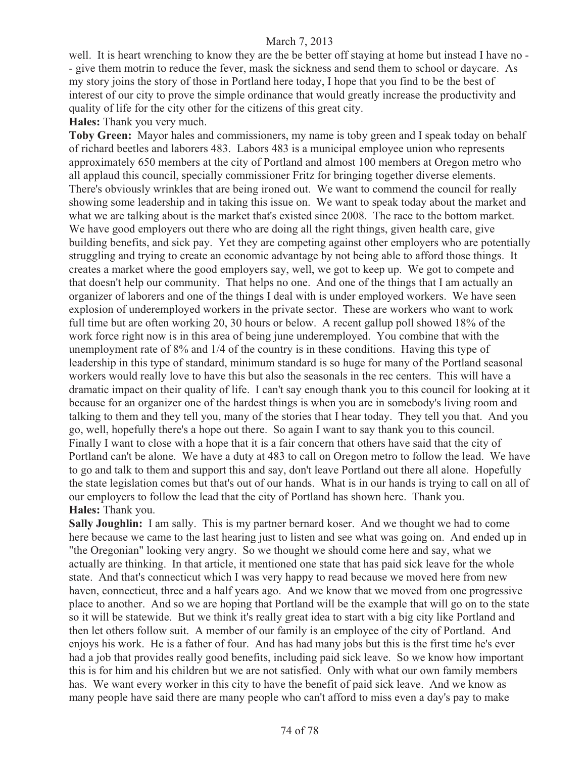well. It is heart wrenching to know they are the be better off staying at home but instead I have no - - give them motrin to reduce the fever, mask the sickness and send them to school or daycare. As my story joins the story of those in Portland here today, I hope that you find to be the best of interest of our city to prove the simple ordinance that would greatly increase the productivity and quality of life for the city other for the citizens of this great city.

**Hales:** Thank you very much.

**Toby Green:** Mayor hales and commissioners, my name is toby green and I speak today on behalf of richard beetles and laborers 483. Labors 483 is a municipal employee union who represents approximately 650 members at the city of Portland and almost 100 members at Oregon metro who all applaud this council, specially commissioner Fritz for bringing together diverse elements. There's obviously wrinkles that are being ironed out. We want to commend the council for really showing some leadership and in taking this issue on. We want to speak today about the market and what we are talking about is the market that's existed since 2008. The race to the bottom market. We have good employers out there who are doing all the right things, given health care, give building benefits, and sick pay. Yet they are competing against other employers who are potentially struggling and trying to create an economic advantage by not being able to afford those things. It creates a market where the good employers say, well, we got to keep up. We got to compete and that doesn't help our community. That helps no one. And one of the things that I am actually an organizer of laborers and one of the things I deal with is under employed workers. We have seen explosion of underemployed workers in the private sector. These are workers who want to work full time but are often working 20, 30 hours or below. A recent gallup poll showed 18% of the work force right now is in this area of being june underemployed. You combine that with the unemployment rate of 8% and 1/4 of the country is in these conditions. Having this type of leadership in this type of standard, minimum standard is so huge for many of the Portland seasonal workers would really love to have this but also the seasonals in the rec centers. This will have a dramatic impact on their quality of life. I can't say enough thank you to this council for looking at it because for an organizer one of the hardest things is when you are in somebody's living room and talking to them and they tell you, many of the stories that I hear today. They tell you that. And you go, well, hopefully there's a hope out there. So again I want to say thank you to this council. Finally I want to close with a hope that it is a fair concern that others have said that the city of Portland can't be alone. We have a duty at 483 to call on Oregon metro to follow the lead. We have to go and talk to them and support this and say, don't leave Portland out there all alone. Hopefully the state legislation comes but that's out of our hands. What is in our hands is trying to call on all of our employers to follow the lead that the city of Portland has shown here. Thank you. **Hales:** Thank you.

**Sally Joughlin:** I am sally. This is my partner bernard koser. And we thought we had to come here because we came to the last hearing just to listen and see what was going on. And ended up in "the Oregonian" looking very angry. So we thought we should come here and say, what we actually are thinking. In that article, it mentioned one state that has paid sick leave for the whole state. And that's connecticut which I was very happy to read because we moved here from new haven, connecticut, three and a half years ago. And we know that we moved from one progressive place to another. And so we are hoping that Portland will be the example that will go on to the state so it will be statewide. But we think it's really great idea to start with a big city like Portland and then let others follow suit. A member of our family is an employee of the city of Portland. And enjoys his work. He is a father of four. And has had many jobs but this is the first time he's ever had a job that provides really good benefits, including paid sick leave. So we know how important this is for him and his children but we are not satisfied. Only with what our own family members has. We want every worker in this city to have the benefit of paid sick leave. And we know as many people have said there are many people who can't afford to miss even a day's pay to make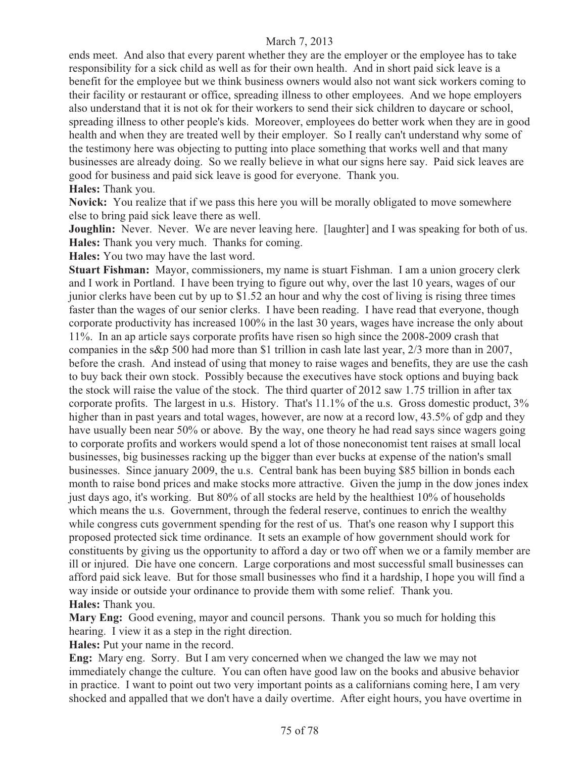ends meet. And also that every parent whether they are the employer or the employee has to take responsibility for a sick child as well as for their own health. And in short paid sick leave is a benefit for the employee but we think business owners would also not want sick workers coming to their facility or restaurant or office, spreading illness to other employees. And we hope employers also understand that it is not ok for their workers to send their sick children to daycare or school, spreading illness to other people's kids. Moreover, employees do better work when they are in good health and when they are treated well by their employer. So I really can't understand why some of the testimony here was objecting to putting into place something that works well and that many businesses are already doing. So we really believe in what our signs here say. Paid sick leaves are good for business and paid sick leave is good for everyone. Thank you.

## **Hales:** Thank you.

**Novick:** You realize that if we pass this here you will be morally obligated to move somewhere else to bring paid sick leave there as well.

**Joughlin:** Never. Never. We are never leaving here. [laughter] and I was speaking for both of us. **Hales:** Thank you very much. Thanks for coming.

**Hales:** You two may have the last word.

**Stuart Fishman:** Mayor, commissioners, my name is stuart Fishman. I am a union grocery clerk and I work in Portland. I have been trying to figure out why, over the last 10 years, wages of our junior clerks have been cut by up to \$1.52 an hour and why the cost of living is rising three times faster than the wages of our senior clerks. I have been reading. I have read that everyone, though corporate productivity has increased 100% in the last 30 years, wages have increase the only about 11%. In an ap article says corporate profits have risen so high since the 2008-2009 crash that companies in the s&p 500 had more than \$1 trillion in cash late last year, 2/3 more than in 2007, before the crash. And instead of using that money to raise wages and benefits, they are use the cash to buy back their own stock. Possibly because the executives have stock options and buying back the stock will raise the value of the stock. The third quarter of 2012 saw 1.75 trillion in after tax corporate profits. The largest in u.s. History. That's 11.1% of the u.s. Gross domestic product, 3% higher than in past years and total wages, however, are now at a record low, 43.5% of gdp and they have usually been near 50% or above. By the way, one theory he had read says since wagers going to corporate profits and workers would spend a lot of those noneconomist tent raises at small local businesses, big businesses racking up the bigger than ever bucks at expense of the nation's small businesses. Since january 2009, the u.s. Central bank has been buying \$85 billion in bonds each month to raise bond prices and make stocks more attractive. Given the jump in the dow jones index just days ago, it's working. But 80% of all stocks are held by the healthiest 10% of households which means the u.s. Government, through the federal reserve, continues to enrich the wealthy while congress cuts government spending for the rest of us. That's one reason why I support this proposed protected sick time ordinance. It sets an example of how government should work for constituents by giving us the opportunity to afford a day or two off when we or a family member are ill or injured. Die have one concern. Large corporations and most successful small businesses can afford paid sick leave. But for those small businesses who find it a hardship, I hope you will find a way inside or outside your ordinance to provide them with some relief. Thank you. **Hales:** Thank you.

**Mary Eng:** Good evening, mayor and council persons. Thank you so much for holding this hearing. I view it as a step in the right direction.

**Hales:** Put your name in the record.

**Eng:** Mary eng. Sorry. But I am very concerned when we changed the law we may not immediately change the culture. You can often have good law on the books and abusive behavior in practice. I want to point out two very important points as a californians coming here, I am very shocked and appalled that we don't have a daily overtime. After eight hours, you have overtime in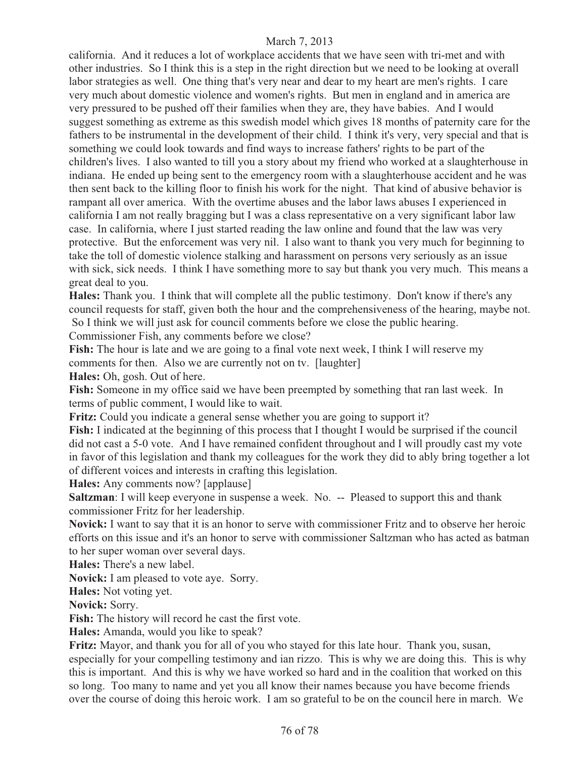california. And it reduces a lot of workplace accidents that we have seen with tri-met and with other industries. So I think this is a step in the right direction but we need to be looking at overall labor strategies as well. One thing that's very near and dear to my heart are men's rights. I care very much about domestic violence and women's rights. But men in england and in america are very pressured to be pushed off their families when they are, they have babies. And I would suggest something as extreme as this swedish model which gives 18 months of paternity care for the fathers to be instrumental in the development of their child. I think it's very, very special and that is something we could look towards and find ways to increase fathers' rights to be part of the children's lives. I also wanted to till you a story about my friend who worked at a slaughterhouse in indiana. He ended up being sent to the emergency room with a slaughterhouse accident and he was then sent back to the killing floor to finish his work for the night. That kind of abusive behavior is rampant all over america. With the overtime abuses and the labor laws abuses I experienced in california I am not really bragging but I was a class representative on a very significant labor law case. In california, where I just started reading the law online and found that the law was very protective. But the enforcement was very nil. I also want to thank you very much for beginning to take the toll of domestic violence stalking and harassment on persons very seriously as an issue with sick, sick needs. I think I have something more to say but thank you very much. This means a great deal to you.

**Hales:** Thank you. I think that will complete all the public testimony. Don't know if there's any council requests for staff, given both the hour and the comprehensiveness of the hearing, maybe not. So I think we will just ask for council comments before we close the public hearing.

Commissioner Fish, any comments before we close?

**Fish:** The hour is late and we are going to a final vote next week, I think I will reserve my comments for then. Also we are currently not on tv. [laughter]

**Hales:** Oh, gosh. Out of here.

**Fish:** Someone in my office said we have been preempted by something that ran last week. In terms of public comment, I would like to wait.

**Fritz:** Could you indicate a general sense whether you are going to support it?

**Fish:** I indicated at the beginning of this process that I thought I would be surprised if the council did not cast a 5-0 vote. And I have remained confident throughout and I will proudly cast my vote in favor of this legislation and thank my colleagues for the work they did to ably bring together a lot of different voices and interests in crafting this legislation.

**Hales:** Any comments now? [applause]

**Saltzman**: I will keep everyone in suspense a week. No. -- Pleased to support this and thank commissioner Fritz for her leadership.

**Novick:** I want to say that it is an honor to serve with commissioner Fritz and to observe her heroic efforts on this issue and it's an honor to serve with commissioner Saltzman who has acted as batman to her super woman over several days.

**Hales:** There's a new label.

**Novick:** I am pleased to vote aye. Sorry.

**Hales:** Not voting yet.

**Novick:** Sorry.

**Fish:** The history will record he cast the first vote.

**Hales:** Amanda, would you like to speak?

**Fritz:** Mayor, and thank you for all of you who stayed for this late hour. Thank you, susan, especially for your compelling testimony and ian rizzo. This is why we are doing this. This is why this is important. And this is why we have worked so hard and in the coalition that worked on this so long. Too many to name and yet you all know their names because you have become friends over the course of doing this heroic work. I am so grateful to be on the council here in march. We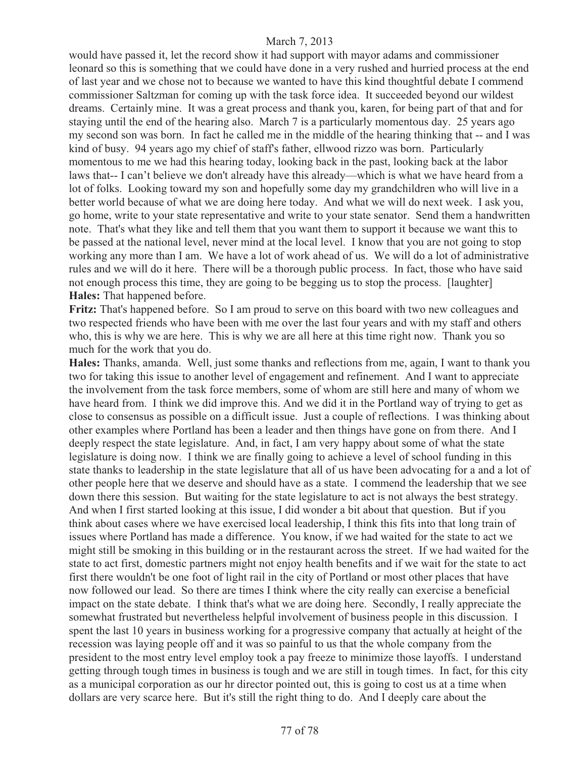would have passed it, let the record show it had support with mayor adams and commissioner leonard so this is something that we could have done in a very rushed and hurried process at the end of last year and we chose not to because we wanted to have this kind thoughtful debate I commend commissioner Saltzman for coming up with the task force idea. It succeeded beyond our wildest dreams. Certainly mine. It was a great process and thank you, karen, for being part of that and for staying until the end of the hearing also. March 7 is a particularly momentous day. 25 years ago my second son was born. In fact he called me in the middle of the hearing thinking that -- and I was kind of busy. 94 years ago my chief of staff's father, ellwood rizzo was born. Particularly momentous to me we had this hearing today, looking back in the past, looking back at the labor laws that-- I can't believe we don't already have this already—which is what we have heard from a lot of folks. Looking toward my son and hopefully some day my grandchildren who will live in a better world because of what we are doing here today. And what we will do next week. I ask you, go home, write to your state representative and write to your state senator. Send them a handwritten note. That's what they like and tell them that you want them to support it because we want this to be passed at the national level, never mind at the local level. I know that you are not going to stop working any more than I am. We have a lot of work ahead of us. We will do a lot of administrative rules and we will do it here. There will be a thorough public process. In fact, those who have said not enough process this time, they are going to be begging us to stop the process. [laughter] **Hales:** That happened before.

**Fritz:** That's happened before. So I am proud to serve on this board with two new colleagues and two respected friends who have been with me over the last four years and with my staff and others who, this is why we are here. This is why we are all here at this time right now. Thank you so much for the work that you do.

**Hales:** Thanks, amanda. Well, just some thanks and reflections from me, again, I want to thank you two for taking this issue to another level of engagement and refinement. And I want to appreciate the involvement from the task force members, some of whom are still here and many of whom we have heard from. I think we did improve this. And we did it in the Portland way of trying to get as close to consensus as possible on a difficult issue. Just a couple of reflections. I was thinking about other examples where Portland has been a leader and then things have gone on from there. And I deeply respect the state legislature. And, in fact, I am very happy about some of what the state legislature is doing now. I think we are finally going to achieve a level of school funding in this state thanks to leadership in the state legislature that all of us have been advocating for a and a lot of other people here that we deserve and should have as a state. I commend the leadership that we see down there this session. But waiting for the state legislature to act is not always the best strategy. And when I first started looking at this issue, I did wonder a bit about that question. But if you think about cases where we have exercised local leadership, I think this fits into that long train of issues where Portland has made a difference. You know, if we had waited for the state to act we might still be smoking in this building or in the restaurant across the street. If we had waited for the state to act first, domestic partners might not enjoy health benefits and if we wait for the state to act first there wouldn't be one foot of light rail in the city of Portland or most other places that have now followed our lead. So there are times I think where the city really can exercise a beneficial impact on the state debate. I think that's what we are doing here. Secondly, I really appreciate the somewhat frustrated but nevertheless helpful involvement of business people in this discussion. I spent the last 10 years in business working for a progressive company that actually at height of the recession was laying people off and it was so painful to us that the whole company from the president to the most entry level employ took a pay freeze to minimize those layoffs. I understand getting through tough times in business is tough and we are still in tough times. In fact, for this city as a municipal corporation as our hr director pointed out, this is going to cost us at a time when dollars are very scarce here. But it's still the right thing to do. And I deeply care about the